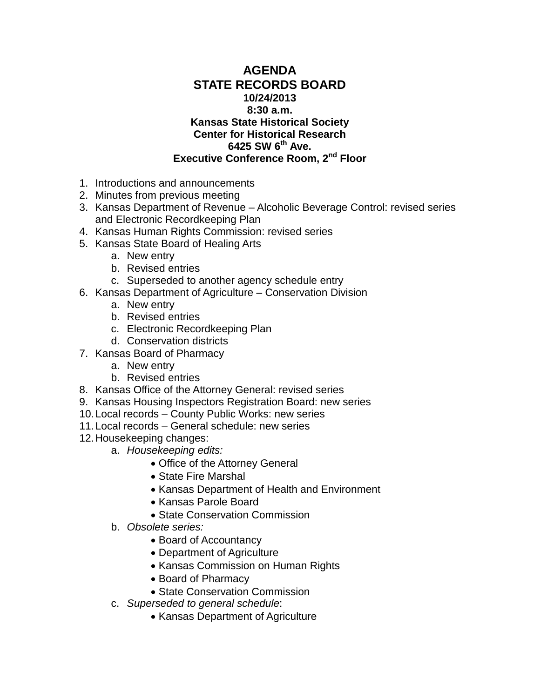## **AGENDA STATE RECORDS BOARD 10/24/2013 8:30 a.m. Kansas State Historical Society Center for Historical Research 6425 SW 6th Ave. Executive Conference Room, 2nd Floor**

- 1. Introductions and announcements
- 2. Minutes from previous meeting
- 3. Kansas Department of Revenue Alcoholic Beverage Control: revised series and Electronic Recordkeeping Plan
- 4. Kansas Human Rights Commission: revised series
- 5. Kansas State Board of Healing Arts
	- a. New entry
	- b. Revised entries
	- c. Superseded to another agency schedule entry
- 6. Kansas Department of Agriculture Conservation Division
	- a. New entry
	- b. Revised entries
	- c. Electronic Recordkeeping Plan
	- d. Conservation districts
- 7. Kansas Board of Pharmacy
	- a. New entry
	- b. Revised entries
- 8. Kansas Office of the Attorney General: revised series
- 9. Kansas Housing Inspectors Registration Board: new series
- 10.Local records County Public Works: new series
- 11.Local records General schedule: new series
- 12.Housekeeping changes:
	- a. *Housekeeping edits:*
		- Office of the Attorney General
		- State Fire Marshal
		- Kansas Department of Health and Environment
		- Kansas Parole Board
		- State Conservation Commission
	- b. *Obsolete series:*
		- Board of Accountancy
		- Department of Agriculture
		- Kansas Commission on Human Rights
		- Board of Pharmacy
		- State Conservation Commission
	- c. *Superseded to general schedule*:
		- Kansas Department of Agriculture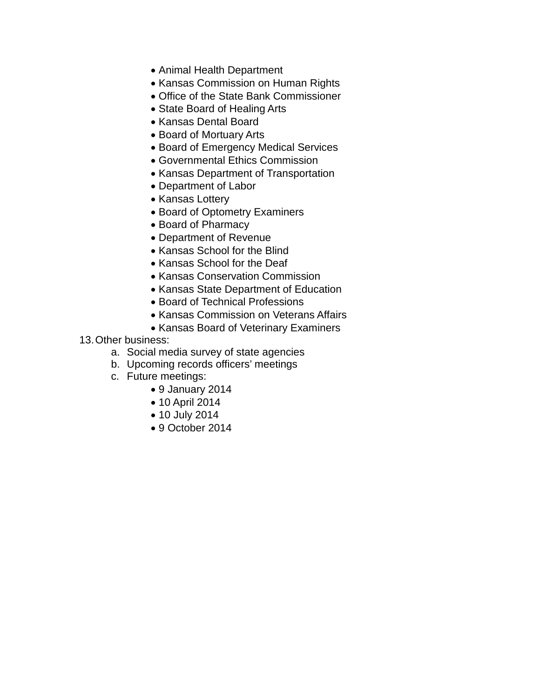- Animal Health Department
- Kansas Commission on Human Rights
- Office of the State Bank Commissioner
- State Board of Healing Arts
- Kansas Dental Board
- Board of Mortuary Arts
- Board of Emergency Medical Services
- Governmental Ethics Commission
- Kansas Department of Transportation
- Department of Labor
- Kansas Lottery
- Board of Optometry Examiners
- Board of Pharmacy
- Department of Revenue
- Kansas School for the Blind
- Kansas School for the Deaf
- Kansas Conservation Commission
- Kansas State Department of Education
- Board of Technical Professions
- Kansas Commission on Veterans Affairs
- Kansas Board of Veterinary Examiners

## 13.Other business:

- a. Social media survey of state agencies
- b. Upcoming records officers' meetings
- c. Future meetings:
	- 9 January 2014
	- 10 April 2014
	- 10 July 2014
	- 9 October 2014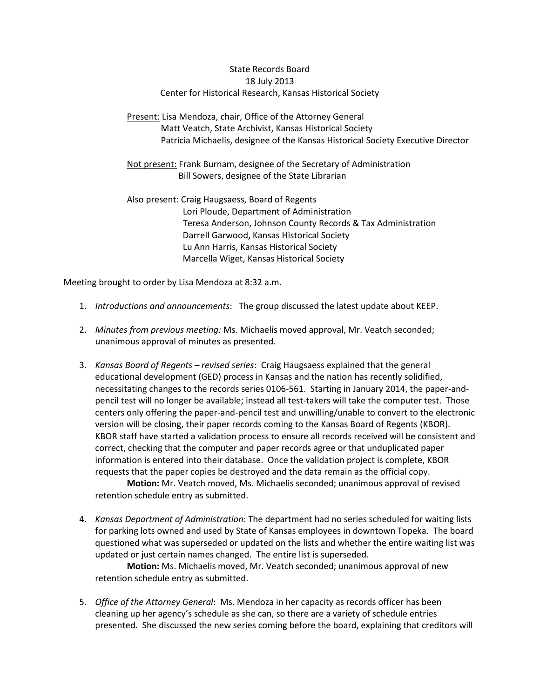### State Records Board 18 July 2013 Center for Historical Research, Kansas Historical Society

### Present: Lisa Mendoza, chair, Office of the Attorney General Matt Veatch, State Archivist, Kansas Historical Society Patricia Michaelis, designee of the Kansas Historical Society Executive Director

Not present: Frank Burnam, designee of the Secretary of Administration Bill Sowers, designee of the State Librarian

Also present: Craig Haugsaess, Board of Regents Lori Ploude, Department of Administration Teresa Anderson, Johnson County Records & Tax Administration Darrell Garwood, Kansas Historical Society Lu Ann Harris, Kansas Historical Society Marcella Wiget, Kansas Historical Society

Meeting brought to order by Lisa Mendoza at 8:32 a.m.

- 1. *Introductions and announcements*: The group discussed the latest update about KEEP.
- 2. *Minutes from previous meeting:* Ms. Michaelis moved approval, Mr. Veatch seconded; unanimous approval of minutes as presented.
- 3. *Kansas Board of Regents – revised series*: Craig Haugsaess explained that the general educational development (GED) process in Kansas and the nation has recently solidified, necessitating changes to the records series 0106-561. Starting in January 2014, the paper-andpencil test will no longer be available; instead all test-takers will take the computer test. Those centers only offering the paper-and-pencil test and unwilling/unable to convert to the electronic version will be closing, their paper records coming to the Kansas Board of Regents (KBOR). KBOR staff have started a validation process to ensure all records received will be consistent and correct, checking that the computer and paper records agree or that unduplicated paper information is entered into their database. Once the validation project is complete, KBOR requests that the paper copies be destroyed and the data remain as the official copy.

**Motion:** Mr. Veatch moved, Ms. Michaelis seconded; unanimous approval of revised retention schedule entry as submitted.

4. *Kansas Department of Administration*: The department had no series scheduled for waiting lists for parking lots owned and used by State of Kansas employees in downtown Topeka. The board questioned what was superseded or updated on the lists and whether the entire waiting list was updated or just certain names changed. The entire list is superseded.

**Motion:** Ms. Michaelis moved, Mr. Veatch seconded; unanimous approval of new retention schedule entry as submitted.

5. *Office of the Attorney General*: Ms. Mendoza in her capacity as records officer has been cleaning up her agency's schedule as she can, so there are a variety of schedule entries presented. She discussed the new series coming before the board, explaining that creditors will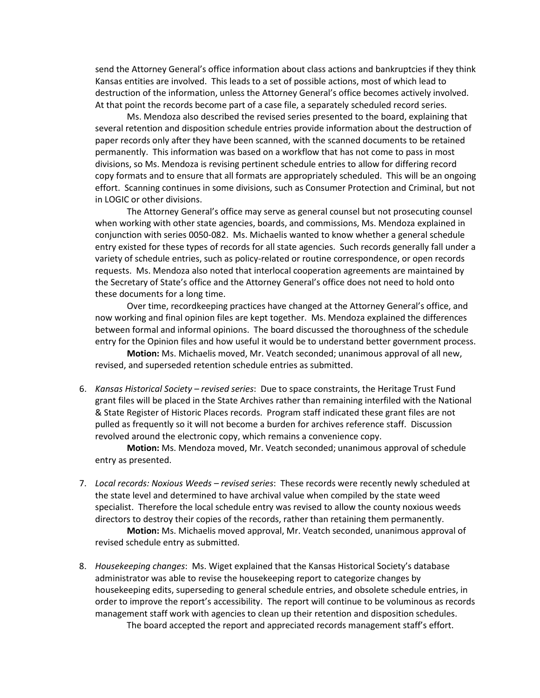send the Attorney General's office information about class actions and bankruptcies if they think Kansas entities are involved. This leads to a set of possible actions, most of which lead to destruction of the information, unless the Attorney General's office becomes actively involved. At that point the records become part of a case file, a separately scheduled record series.

Ms. Mendoza also described the revised series presented to the board, explaining that several retention and disposition schedule entries provide information about the destruction of paper records only after they have been scanned, with the scanned documents to be retained permanently. This information was based on a workflow that has not come to pass in most divisions, so Ms. Mendoza is revising pertinent schedule entries to allow for differing record copy formats and to ensure that all formats are appropriately scheduled. This will be an ongoing effort. Scanning continues in some divisions, such as Consumer Protection and Criminal, but not in LOGIC or other divisions.

The Attorney General's office may serve as general counsel but not prosecuting counsel when working with other state agencies, boards, and commissions, Ms. Mendoza explained in conjunction with series 0050-082. Ms. Michaelis wanted to know whether a general schedule entry existed for these types of records for all state agencies. Such records generally fall under a variety of schedule entries, such as policy-related or routine correspondence, or open records requests. Ms. Mendoza also noted that interlocal cooperation agreements are maintained by the Secretary of State's office and the Attorney General's office does not need to hold onto these documents for a long time.

Over time, recordkeeping practices have changed at the Attorney General's office, and now working and final opinion files are kept together. Ms. Mendoza explained the differences between formal and informal opinions. The board discussed the thoroughness of the schedule entry for the Opinion files and how useful it would be to understand better government process.

**Motion:** Ms. Michaelis moved, Mr. Veatch seconded; unanimous approval of all new, revised, and superseded retention schedule entries as submitted.

6. *Kansas Historical Society – revised series*: Due to space constraints, the Heritage Trust Fund grant files will be placed in the State Archives rather than remaining interfiled with the National & State Register of Historic Places records. Program staff indicated these grant files are not pulled as frequently so it will not become a burden for archives reference staff. Discussion revolved around the electronic copy, which remains a convenience copy.

**Motion:** Ms. Mendoza moved, Mr. Veatch seconded; unanimous approval of schedule entry as presented.

7. *Local records: Noxious Weeds – revised series*: These records were recently newly scheduled at the state level and determined to have archival value when compiled by the state weed specialist. Therefore the local schedule entry was revised to allow the county noxious weeds directors to destroy their copies of the records, rather than retaining them permanently.

**Motion:** Ms. Michaelis moved approval, Mr. Veatch seconded, unanimous approval of revised schedule entry as submitted.

8. *Housekeeping changes*: Ms. Wiget explained that the Kansas Historical Society's database administrator was able to revise the housekeeping report to categorize changes by housekeeping edits, superseding to general schedule entries, and obsolete schedule entries, in order to improve the report's accessibility. The report will continue to be voluminous as records management staff work with agencies to clean up their retention and disposition schedules. The board accepted the report and appreciated records management staff's effort.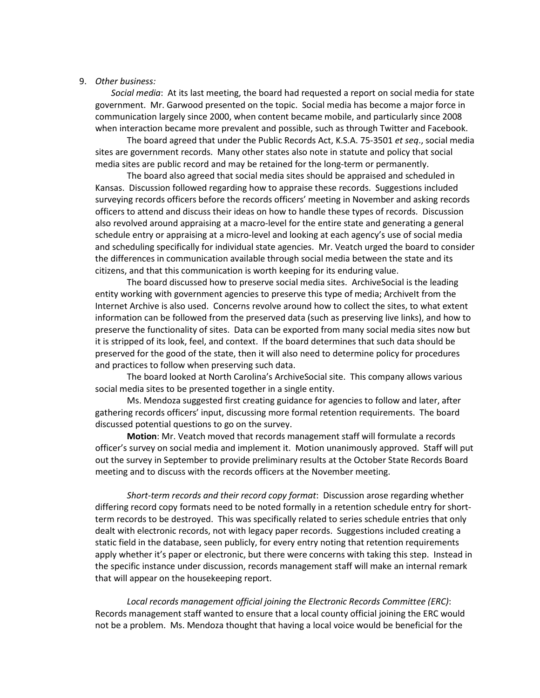#### 9. *Other business:*

*Social media*: At its last meeting, the board had requested a report on social media for state government. Mr. Garwood presented on the topic. Social media has become a major force in communication largely since 2000, when content became mobile, and particularly since 2008 when interaction became more prevalent and possible, such as through Twitter and Facebook.

The board agreed that under the Public Records Act, K.S.A. 75-3501 *et seq*., social media sites are government records. Many other states also note in statute and policy that social media sites are public record and may be retained for the long-term or permanently.

The board also agreed that social media sites should be appraised and scheduled in Kansas. Discussion followed regarding how to appraise these records. Suggestions included surveying records officers before the records officers' meeting in November and asking records officers to attend and discuss their ideas on how to handle these types of records. Discussion also revolved around appraising at a macro-level for the entire state and generating a general schedule entry or appraising at a micro-level and looking at each agency's use of social media and scheduling specifically for individual state agencies. Mr. Veatch urged the board to consider the differences in communication available through social media between the state and its citizens, and that this communication is worth keeping for its enduring value.

The board discussed how to preserve social media sites. ArchiveSocial is the leading entity working with government agencies to preserve this type of media; Archivelt from the Internet Archive is also used. Concerns revolve around how to collect the sites, to what extent information can be followed from the preserved data (such as preserving live links), and how to preserve the functionality of sites. Data can be exported from many social media sites now but it is stripped of its look, feel, and context. If the board determines that such data should be preserved for the good of the state, then it will also need to determine policy for procedures and practices to follow when preserving such data.

The board looked at North Carolina's ArchiveSocial site. This company allows various social media sites to be presented together in a single entity.

Ms. Mendoza suggested first creating guidance for agencies to follow and later, after gathering records officers' input, discussing more formal retention requirements. The board discussed potential questions to go on the survey.

**Motion**: Mr. Veatch moved that records management staff will formulate a records officer's survey on social media and implement it. Motion unanimously approved. Staff will put out the survey in September to provide preliminary results at the October State Records Board meeting and to discuss with the records officers at the November meeting.

*Short-term records and their record copy format*: Discussion arose regarding whether differing record copy formats need to be noted formally in a retention schedule entry for shortterm records to be destroyed. This was specifically related to series schedule entries that only dealt with electronic records, not with legacy paper records. Suggestions included creating a static field in the database, seen publicly, for every entry noting that retention requirements apply whether it's paper or electronic, but there were concerns with taking this step. Instead in the specific instance under discussion, records management staff will make an internal remark that will appear on the housekeeping report.

*Local records management official joining the Electronic Records Committee (ERC)*: Records management staff wanted to ensure that a local county official joining the ERC would not be a problem. Ms. Mendoza thought that having a local voice would be beneficial for the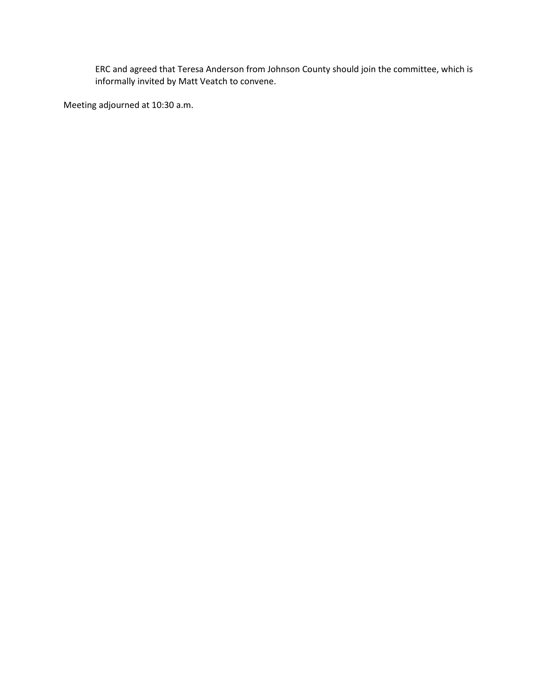ERC and agreed that Teresa Anderson from Johnson County should join the committee, which is informally invited by Matt Veatch to convene.

Meeting adjourned at 10:30 a.m.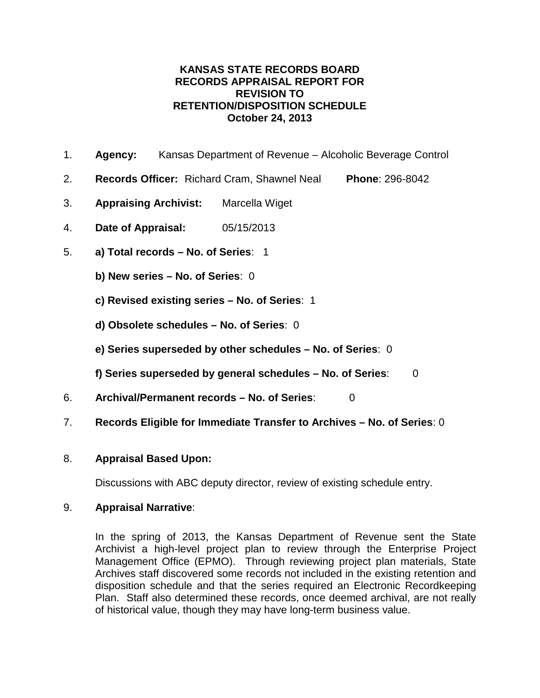- 1. **Agency:** Kansas Department of Revenue Alcoholic Beverage Control
- 2. **Records Officer:** Richard Cram, Shawnel Neal **Phone**: 296-8042
- 3. **Appraising Archivist:** Marcella Wiget
- 4. **Date of Appraisal:** 05/15/2013
- 5. **a) Total records – No. of Series**: 1
	- **b) New series – No. of Series**: 0
	- **c) Revised existing series – No. of Series**: 1
	- **d) Obsolete schedules – No. of Series**: 0
	- **e) Series superseded by other schedules – No. of Series**: 0
	- **f) Series superseded by general schedules – No. of Series**: 0
- 6. **Archival/Permanent records – No. of Series**: 0
- 7. **Records Eligible for Immediate Transfer to Archives – No. of Series**: 0

## 8. **Appraisal Based Upon:**

Discussions with ABC deputy director, review of existing schedule entry.

## 9. **Appraisal Narrative**:

In the spring of 2013, the Kansas Department of Revenue sent the State Archivist a high-level project plan to review through the Enterprise Project Management Office (EPMO). Through reviewing project plan materials, State Archives staff discovered some records not included in the existing retention and disposition schedule and that the series required an Electronic Recordkeeping Plan. Staff also determined these records, once deemed archival, are not really of historical value, though they may have long-term business value.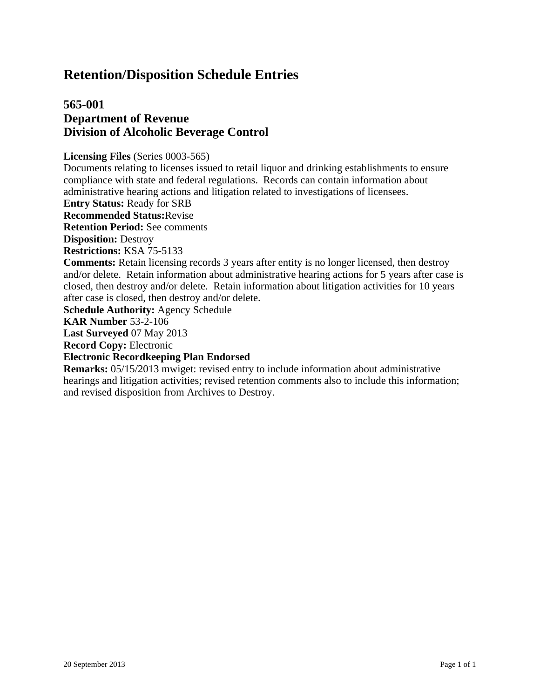# **565-001 Department of Revenue Division of Alcoholic Beverage Control**

**Licensing Files** (Series 0003-565)

Documents relating to licenses issued to retail liquor and drinking establishments to ensure compliance with state and federal regulations. Records can contain information about administrative hearing actions and litigation related to investigations of licensees.

**Entry Status:** Ready for SRB

**Recommended Status:**Revise

**Retention Period:** See comments

**Disposition:** Destroy

**Restrictions:** KSA 75-5133

**Comments:** Retain licensing records 3 years after entity is no longer licensed, then destroy and/or delete. Retain information about administrative hearing actions for 5 years after case is closed, then destroy and/or delete. Retain information about litigation activities for 10 years after case is closed, then destroy and/or delete.

**Schedule Authority:** Agency Schedule

**KAR Number** 53-2-106

**Last Surveyed** 07 May 2013

**Record Copy:** Electronic

**Electronic Recordkeeping Plan Endorsed**

**Remarks:** 05/15/2013 mwiget: revised entry to include information about administrative hearings and litigation activities; revised retention comments also to include this information; and revised disposition from Archives to Destroy.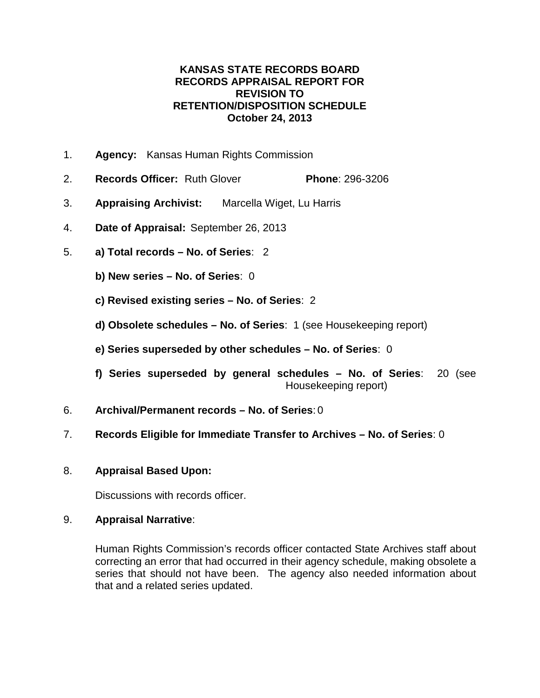- 1. **Agency:** Kansas Human Rights Commission
- 2. **Records Officer:** Ruth Glover **Phone**: 296-3206
- 3. **Appraising Archivist:** Marcella Wiget, Lu Harris
- 4. **Date of Appraisal:** September 26, 2013
- 5. **a) Total records – No. of Series**: 2
	- **b) New series – No. of Series**: 0
	- **c) Revised existing series – No. of Series**: 2
	- **d) Obsolete schedules – No. of Series**: 1 (see Housekeeping report)
	- **e) Series superseded by other schedules – No. of Series**: 0
	- **f) Series superseded by general schedules – No. of Series**: 20 (see Housekeeping report)
- 6. **Archival/Permanent records – No. of Series**: 0
- 7. **Records Eligible for Immediate Transfer to Archives – No. of Series**: 0
- 8. **Appraisal Based Upon:**

Discussions with records officer.

### 9. **Appraisal Narrative**:

Human Rights Commission's records officer contacted State Archives staff about correcting an error that had occurred in their agency schedule, making obsolete a series that should not have been. The agency also needed information about that and a related series updated.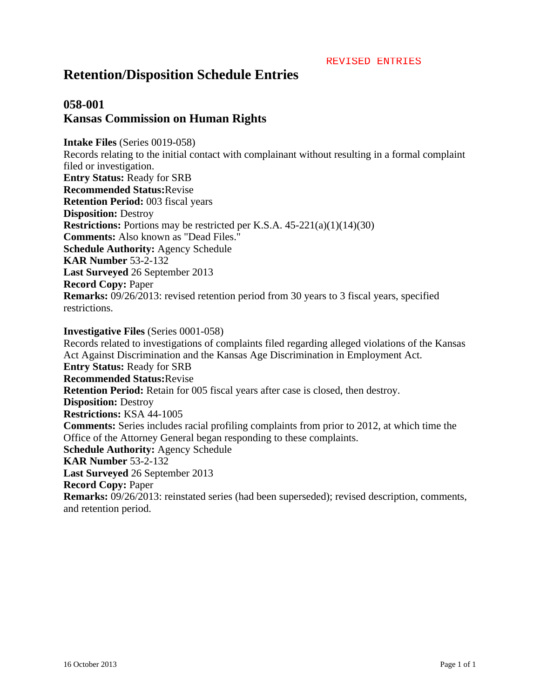# **058-001 Kansas Commission on Human Rights**

**Intake Files** (Series 0019-058) Records relating to the initial contact with complainant without resulting in a formal complaint filed or investigation. **Entry Status:** Ready for SRB **Recommended Status:**Revise **Retention Period:** 003 fiscal years **Disposition:** Destroy **Restrictions:** Portions may be restricted per K.S.A. 45-221(a)(1)(14)(30) **Comments:** Also known as "Dead Files." **Schedule Authority:** Agency Schedule **KAR Number** 53-2-132 **Last Surveyed** 26 September 2013 **Record Copy:** Paper **Remarks:** 09/26/2013: revised retention period from 30 years to 3 fiscal years, specified restrictions.

**Investigative Files** (Series 0001-058) Records related to investigations of complaints filed regarding alleged violations of the Kansas Act Against Discrimination and the Kansas Age Discrimination in Employment Act. **Entry Status:** Ready for SRB **Recommended Status:**Revise **Retention Period:** Retain for 005 fiscal years after case is closed, then destroy. **Disposition:** Destroy **Restrictions:** KSA 44-1005 **Comments:** Series includes racial profiling complaints from prior to 2012, at which time the Office of the Attorney General began responding to these complaints. **Schedule Authority:** Agency Schedule **KAR Number** 53-2-132 **Last Surveyed** 26 September 2013 **Record Copy:** Paper **Remarks:** 09/26/2013: reinstated series (had been superseded); revised description, comments, and retention period.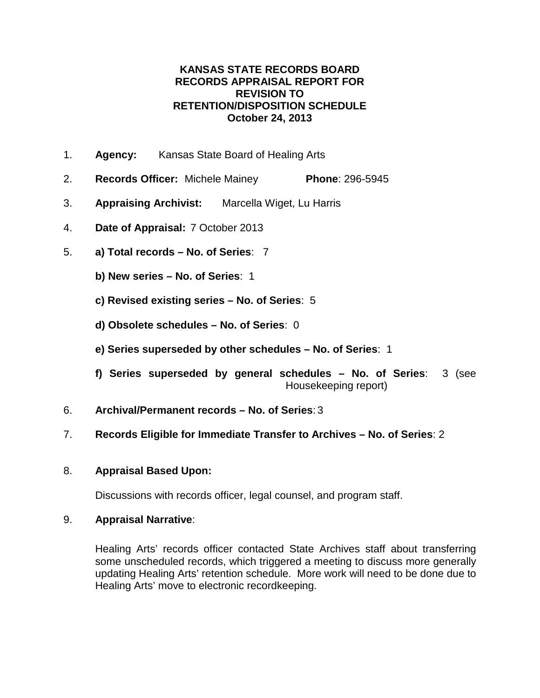- 1. **Agency:** Kansas State Board of Healing Arts
- 2. **Records Officer:** Michele Mainey **Phone**: 296-5945
- 3. **Appraising Archivist:** Marcella Wiget, Lu Harris
- 4. **Date of Appraisal:** 7 October 2013
- 5. **a) Total records – No. of Series**: 7
	- **b) New series – No. of Series**: 1
	- **c) Revised existing series – No. of Series**: 5
	- **d) Obsolete schedules – No. of Series**: 0
	- **e) Series superseded by other schedules – No. of Series**: 1
	- **f) Series superseded by general schedules – No. of Series**: 3 (see Housekeeping report)
- 6. **Archival/Permanent records – No. of Series**: 3
- 7. **Records Eligible for Immediate Transfer to Archives – No. of Series**: 2

## 8. **Appraisal Based Upon:**

Discussions with records officer, legal counsel, and program staff.

## 9. **Appraisal Narrative**:

Healing Arts' records officer contacted State Archives staff about transferring some unscheduled records, which triggered a meeting to discuss more generally updating Healing Arts' retention schedule. More work will need to be done due to Healing Arts' move to electronic recordkeeping.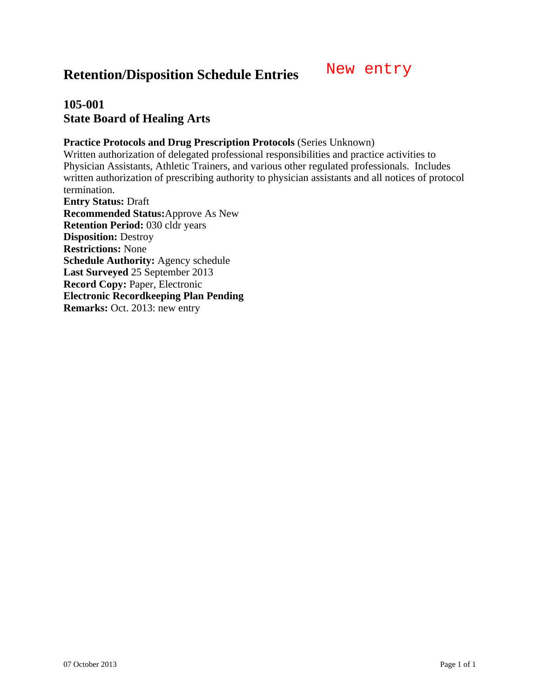# **105-001 State Board of Healing Arts**

### **Practice Protocols and Drug Prescription Protocols** (Series Unknown)

Written authorization of delegated professional responsibilities and practice activities to Physician Assistants, Athletic Trainers, and various other regulated professionals. Includes written authorization of prescribing authority to physician assistants and all notices of protocol termination.

**Entry Status:** Draft **Recommended Status:**Approve As New **Retention Period:** 030 cldr years **Disposition:** Destroy **Restrictions:** None **Schedule Authority:** Agency schedule **Last Surveyed** 25 September 2013 **Record Copy:** Paper, Electronic **Electronic Recordkeeping Plan Pending Remarks:** Oct. 2013: new entry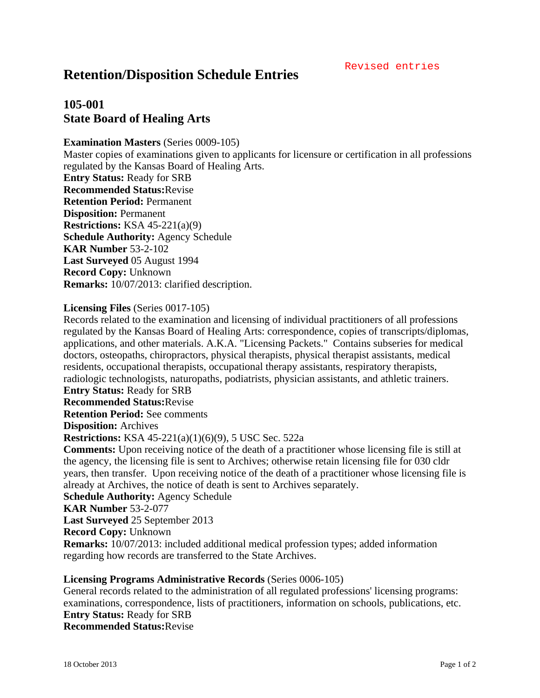#### Revised entries

# **Retention/Disposition Schedule Entries**

# **105-001 State Board of Healing Arts**

### **Examination Masters** (Series 0009-105)

Master copies of examinations given to applicants for licensure or certification in all professions regulated by the Kansas Board of Healing Arts. **Entry Status:** Ready for SRB

**Recommended Status:**Revise **Retention Period:** Permanent **Disposition:** Permanent **Restrictions:** KSA 45-221(a)(9) **Schedule Authority:** Agency Schedule **KAR Number** 53-2-102

**Last Surveyed** 05 August 1994 **Record Copy:** Unknown **Remarks:** 10/07/2013: clarified description.

#### **Licensing Files** (Series 0017-105)

Records related to the examination and licensing of individual practitioners of all professions regulated by the Kansas Board of Healing Arts: correspondence, copies of transcripts/diplomas, applications, and other materials. A.K.A. "Licensing Packets." Contains subseries for medical doctors, osteopaths, chiropractors, physical therapists, physical therapist assistants, medical residents, occupational therapists, occupational therapy assistants, respiratory therapists, radiologic technologists, naturopaths, podiatrists, physician assistants, and athletic trainers.

**Entry Status:** Ready for SRB

**Recommended Status:**Revise

**Retention Period:** See comments

**Disposition:** Archives

**Restrictions:** KSA 45-221(a)(1)(6)(9), 5 USC Sec. 522a

**Comments:** Upon receiving notice of the death of a practitioner whose licensing file is still at the agency, the licensing file is sent to Archives; otherwise retain licensing file for 030 cldr years, then transfer. Upon receiving notice of the death of a practitioner whose licensing file is already at Archives, the notice of death is sent to Archives separately.

**Schedule Authority:** Agency Schedule

**KAR Number** 53-2-077

**Last Surveyed** 25 September 2013

**Record Copy:** Unknown

**Remarks:** 10/07/2013: included additional medical profession types; added information regarding how records are transferred to the State Archives.

### **Licensing Programs Administrative Records** (Series 0006-105)

General records related to the administration of all regulated professions' licensing programs: examinations, correspondence, lists of practitioners, information on schools, publications, etc. **Entry Status:** Ready for SRB **Recommended Status:**Revise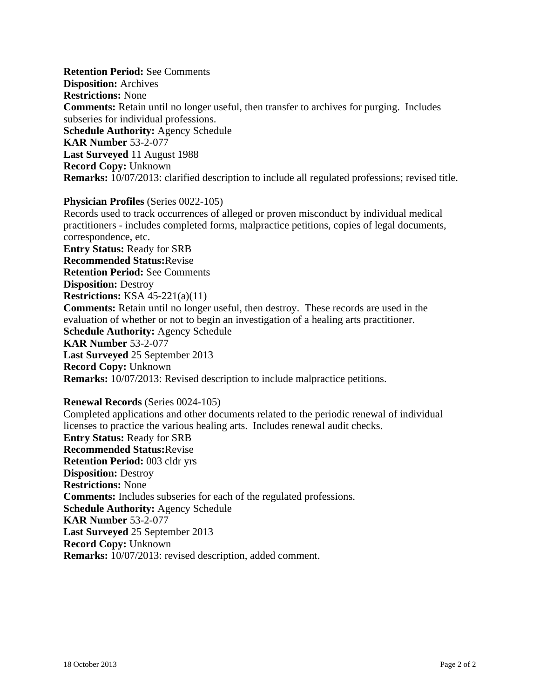**Retention Period:** See Comments **Disposition:** Archives **Restrictions:** None **Comments:** Retain until no longer useful, then transfer to archives for purging. Includes subseries for individual professions. **Schedule Authority:** Agency Schedule **KAR Number** 53-2-077 **Last Surveyed** 11 August 1988 **Record Copy:** Unknown **Remarks:** 10/07/2013: clarified description to include all regulated professions; revised title.

#### **Physician Profiles** (Series 0022-105)

Records used to track occurrences of alleged or proven misconduct by individual medical practitioners - includes completed forms, malpractice petitions, copies of legal documents, correspondence, etc. **Entry Status:** Ready for SRB **Recommended Status:**Revise **Retention Period:** See Comments **Disposition:** Destroy **Restrictions:** KSA 45-221(a)(11) **Comments:** Retain until no longer useful, then destroy. These records are used in the evaluation of whether or not to begin an investigation of a healing arts practitioner. **Schedule Authority:** Agency Schedule **KAR Number** 53-2-077 **Last Surveyed** 25 September 2013 **Record Copy:** Unknown **Remarks:** 10/07/2013: Revised description to include malpractice petitions.

### **Renewal Records** (Series 0024-105)

Completed applications and other documents related to the periodic renewal of individual licenses to practice the various healing arts. Includes renewal audit checks. **Entry Status:** Ready for SRB **Recommended Status:**Revise **Retention Period:** 003 cldr yrs **Disposition:** Destroy **Restrictions:** None **Comments:** Includes subseries for each of the regulated professions. **Schedule Authority:** Agency Schedule **KAR Number** 53-2-077 **Last Surveyed** 25 September 2013 **Record Copy:** Unknown **Remarks:** 10/07/2013: revised description, added comment.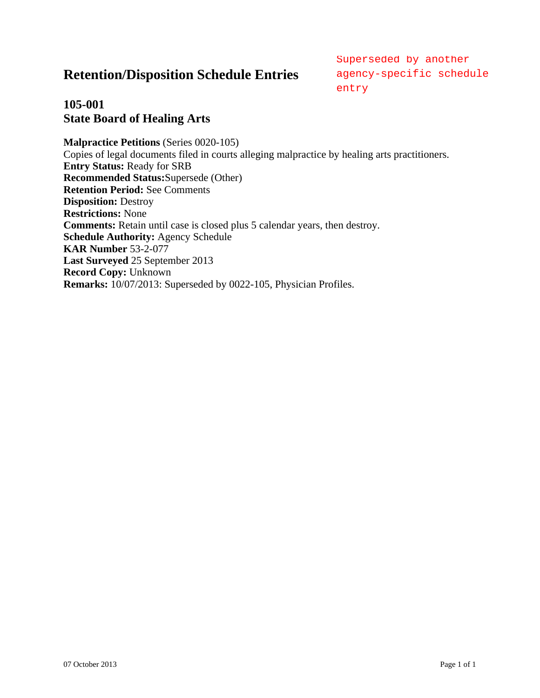agency-specific schedule entry

# **105-001 State Board of Healing Arts**

**Malpractice Petitions** (Series 0020-105) Copies of legal documents filed in courts alleging malpractice by healing arts practitioners. **Entry Status:** Ready for SRB **Recommended Status:**Supersede (Other) **Retention Period:** See Comments **Disposition:** Destroy **Restrictions:** None **Comments:** Retain until case is closed plus 5 calendar years, then destroy. **Schedule Authority:** Agency Schedule **KAR Number** 53-2-077 **Last Surveyed** 25 September 2013 **Record Copy:** Unknown **Remarks:** 10/07/2013: Superseded by 0022-105, Physician Profiles. **Retention/Disposition Schedule Enfries** sugency-specified by another<br>
105-001<br>
105-001<br>
Slate Board of Healing Arts<br>
107-001<br>
Slate Board of Healing Arts<br>
Mappendes Pertinson Sches 602-01-05<br>
Copies of legal documents fil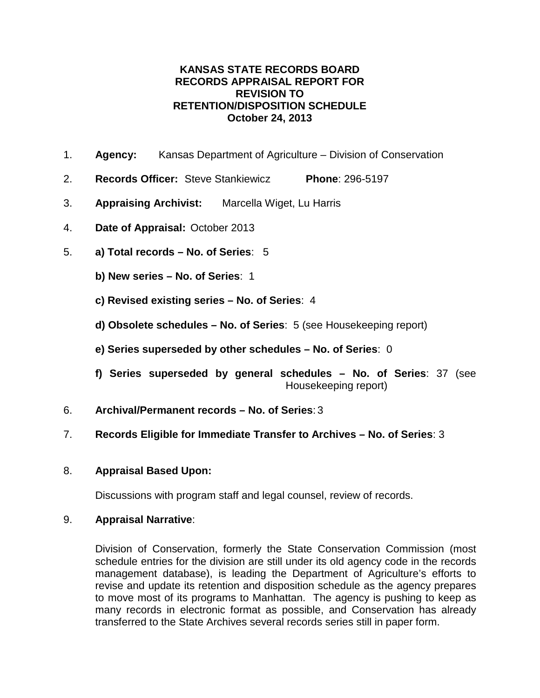- 1. **Agency:** Kansas Department of Agriculture Division of Conservation
- 2. **Records Officer:** Steve Stankiewicz **Phone**: 296-5197
- 3. **Appraising Archivist:** Marcella Wiget, Lu Harris
- 4. **Date of Appraisal:** October 2013
- 5. **a) Total records – No. of Series**: 5
	- **b) New series – No. of Series**: 1
	- **c) Revised existing series – No. of Series**: 4
	- **d) Obsolete schedules – No. of Series**: 5 (see Housekeeping report)
	- **e) Series superseded by other schedules – No. of Series**: 0
	- **f) Series superseded by general schedules – No. of Series**: 37 (see Housekeeping report)
- 6. **Archival/Permanent records – No. of Series**: 3
- 7. **Records Eligible for Immediate Transfer to Archives – No. of Series**: 3
- 8. **Appraisal Based Upon:**

Discussions with program staff and legal counsel, review of records.

## 9. **Appraisal Narrative**:

Division of Conservation, formerly the State Conservation Commission (most schedule entries for the division are still under its old agency code in the records management database), is leading the Department of Agriculture's efforts to revise and update its retention and disposition schedule as the agency prepares to move most of its programs to Manhattan. The agency is pushing to keep as many records in electronic format as possible, and Conservation has already transferred to the State Archives several records series still in paper form.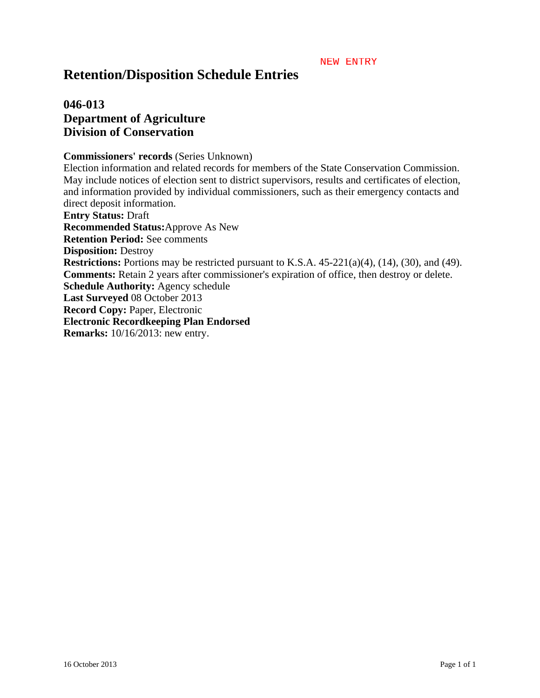#### NEW ENTRY

# **Retention/Disposition Schedule Entries**

# **046-013 Department of Agriculture Division of Conservation**

#### **Commissioners' records** (Series Unknown)

Election information and related records for members of the State Conservation Commission. May include notices of election sent to district supervisors, results and certificates of election, and information provided by individual commissioners, such as their emergency contacts and direct deposit information. **Entry Status:** Draft **Recommended Status:**Approve As New **Retention Period:** See comments **Disposition:** Destroy **Restrictions:** Portions may be restricted pursuant to K.S.A. 45-221(a)(4), (14), (30), and (49). **Comments:** Retain 2 years after commissioner's expiration of office, then destroy or delete. **Schedule Authority:** Agency schedule **Last Surveyed** 08 October 2013 **Record Copy:** Paper, Electronic **Electronic Recordkeeping Plan Endorsed Remarks:** 10/16/2013: new entry.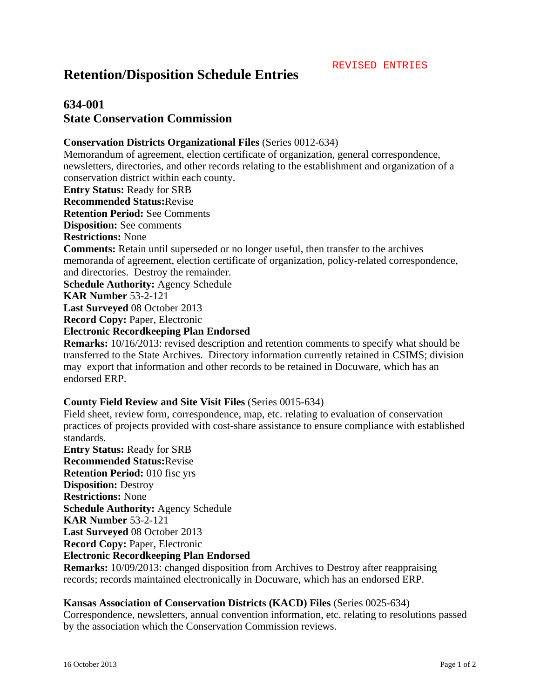# **634-001 State Conservation Commission**

### **Conservation Districts Organizational Files** (Series 0012-634)

Memorandum of agreement, election certificate of organization, general correspondence, newsletters, directories, and other records relating to the establishment and organization of a conservation district within each county. **Entry Status:** Ready for SRB **Recommended Status:**Revise **Retention Period:** See Comments **Disposition:** See comments **Restrictions:** None **Comments:** Retain until superseded or no longer useful, then transfer to the archives memoranda of agreement, election certificate of organization, policy-related correspondence, and directories. Destroy the remainder. **Schedule Authority:** Agency Schedule **KAR Number** 53-2-121 **Last Surveyed** 08 October 2013 **Record Copy:** Paper, Electronic **Electronic Recordkeeping Plan Endorsed**

**Remarks:** 10/16/2013: revised description and retention comments to specify what should be transferred to the State Archives. Directory information currently retained in CSIMS; division may export that information and other records to be retained in Docuware, which has an endorsed ERP.

### **County Field Review and Site Visit Files** (Series 0015-634)

Field sheet, review form, correspondence, map, etc. relating to evaluation of conservation practices of projects provided with cost-share assistance to ensure compliance with established standards.

**Entry Status:** Ready for SRB **Recommended Status:**Revise **Retention Period:** 010 fisc yrs **Disposition:** Destroy **Restrictions:** None **Schedule Authority:** Agency Schedule **KAR Number** 53-2-121 **Last Surveyed** 08 October 2013 **Record Copy:** Paper, Electronic **Electronic Recordkeeping Plan Endorsed**

**Remarks:** 10/09/2013: changed disposition from Archives to Destroy after reappraising records; records maintained electronically in Docuware, which has an endorsed ERP.

#### **Kansas Association of Conservation Districts (KACD) Files** (Series 0025-634)

Correspondence, newsletters, annual convention information, etc. relating to resolutions passed by the association which the Conservation Commission reviews.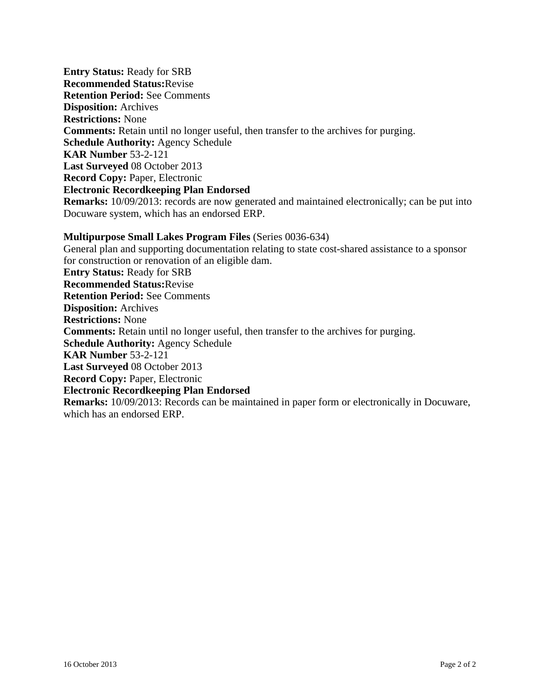**Entry Status:** Ready for SRB **Recommended Status:**Revise **Retention Period:** See Comments **Disposition:** Archives **Restrictions:** None **Comments:** Retain until no longer useful, then transfer to the archives for purging. **Schedule Authority:** Agency Schedule **KAR Number** 53-2-121 **Last Surveyed** 08 October 2013 **Record Copy:** Paper, Electronic **Electronic Recordkeeping Plan Endorsed Remarks:** 10/09/2013: records are now generated and maintained electronically; can be put into Docuware system, which has an endorsed ERP.

### **Multipurpose Small Lakes Program Files** (Series 0036-634)

General plan and supporting documentation relating to state cost-shared assistance to a sponsor for construction or renovation of an eligible dam. **Entry Status:** Ready for SRB **Recommended Status:**Revise **Retention Period:** See Comments **Disposition:** Archives **Restrictions:** None **Comments:** Retain until no longer useful, then transfer to the archives for purging. **Schedule Authority:** Agency Schedule **KAR Number** 53-2-121 **Last Surveyed** 08 October 2013 **Record Copy:** Paper, Electronic **Electronic Recordkeeping Plan Endorsed Remarks:** 10/09/2013: Records can be maintained in paper form or electronically in Docuware, which has an endorsed ERP.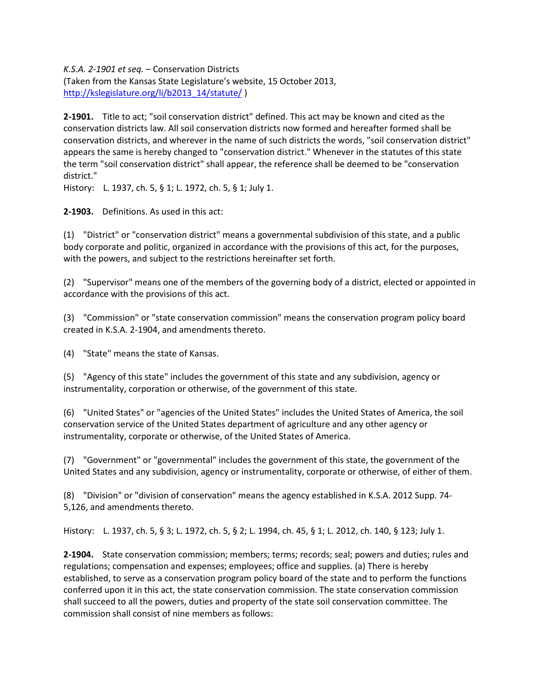*K.S.A. 2-1901 et seq.* – Conservation Districts

(Taken from the Kansas State Legislature's website, 15 October 2013, [http://kslegislature.org/li/b2013\\_14/statute/](http://kslegislature.org/li/b2013_14/statute/) )

**2-1901.** Title to act; "soil conservation district" defined. This act may be known and cited as the conservation districts law. All soil conservation districts now formed and hereafter formed shall be conservation districts, and wherever in the name of such districts the words, "soil conservation district" appears the same is hereby changed to "conservation district." Whenever in the statutes of this state the term "soil conservation district" shall appear, the reference shall be deemed to be "conservation district."

History: L. 1937, ch. 5, § 1; L. 1972, ch. 5, § 1; July 1.

**2-1903.** Definitions. As used in this act:

(1) "District" or "conservation district" means a governmental subdivision of this state, and a public body corporate and politic, organized in accordance with the provisions of this act, for the purposes, with the powers, and subject to the restrictions hereinafter set forth.

(2) "Supervisor" means one of the members of the governing body of a district, elected or appointed in accordance with the provisions of this act.

(3) "Commission" or "state conservation commission" means the conservation program policy board created in K.S.A. 2-1904, and amendments thereto.

(4) "State" means the state of Kansas.

(5) "Agency of this state" includes the government of this state and any subdivision, agency or instrumentality, corporation or otherwise, of the government of this state.

(6) "United States" or "agencies of the United States" includes the United States of America, the soil conservation service of the United States department of agriculture and any other agency or instrumentality, corporate or otherwise, of the United States of America.

(7) "Government" or "governmental" includes the government of this state, the government of the United States and any subdivision, agency or instrumentality, corporate or otherwise, of either of them.

(8) "Division" or "division of conservation" means the agency established in K.S.A. 2012 Supp. 74- 5,126, and amendments thereto.

History: L. 1937, ch. 5, § 3; L. 1972, ch. 5, § 2; L. 1994, ch. 45, § 1; L. 2012, ch. 140, § 123; July 1.

**2-1904.** State conservation commission; members; terms; records; seal; powers and duties; rules and regulations; compensation and expenses; employees; office and supplies. (a) There is hereby established, to serve as a conservation program policy board of the state and to perform the functions conferred upon it in this act, the state conservation commission. The state conservation commission shall succeed to all the powers, duties and property of the state soil conservation committee. The commission shall consist of nine members as follows: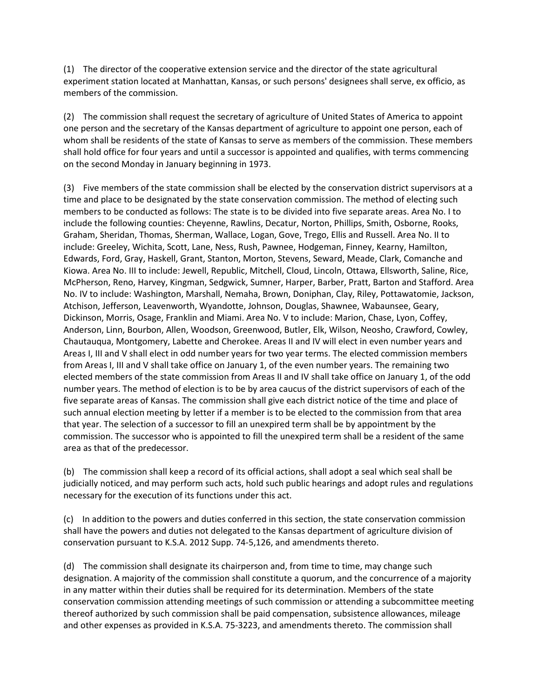(1) The director of the cooperative extension service and the director of the state agricultural experiment station located at Manhattan, Kansas, or such persons' designees shall serve, ex officio, as members of the commission.

(2) The commission shall request the secretary of agriculture of United States of America to appoint one person and the secretary of the Kansas department of agriculture to appoint one person, each of whom shall be residents of the state of Kansas to serve as members of the commission. These members shall hold office for four years and until a successor is appointed and qualifies, with terms commencing on the second Monday in January beginning in 1973.

(3) Five members of the state commission shall be elected by the conservation district supervisors at a time and place to be designated by the state conservation commission. The method of electing such members to be conducted as follows: The state is to be divided into five separate areas. Area No. I to include the following counties: Cheyenne, Rawlins, Decatur, Norton, Phillips, Smith, Osborne, Rooks, Graham, Sheridan, Thomas, Sherman, Wallace, Logan, Gove, Trego, Ellis and Russell. Area No. II to include: Greeley, Wichita, Scott, Lane, Ness, Rush, Pawnee, Hodgeman, Finney, Kearny, Hamilton, Edwards, Ford, Gray, Haskell, Grant, Stanton, Morton, Stevens, Seward, Meade, Clark, Comanche and Kiowa. Area No. III to include: Jewell, Republic, Mitchell, Cloud, Lincoln, Ottawa, Ellsworth, Saline, Rice, McPherson, Reno, Harvey, Kingman, Sedgwick, Sumner, Harper, Barber, Pratt, Barton and Stafford. Area No. IV to include: Washington, Marshall, Nemaha, Brown, Doniphan, Clay, Riley, Pottawatomie, Jackson, Atchison, Jefferson, Leavenworth, Wyandotte, Johnson, Douglas, Shawnee, Wabaunsee, Geary, Dickinson, Morris, Osage, Franklin and Miami. Area No. V to include: Marion, Chase, Lyon, Coffey, Anderson, Linn, Bourbon, Allen, Woodson, Greenwood, Butler, Elk, Wilson, Neosho, Crawford, Cowley, Chautauqua, Montgomery, Labette and Cherokee. Areas II and IV will elect in even number years and Areas I, III and V shall elect in odd number years for two year terms. The elected commission members from Areas I, III and V shall take office on January 1, of the even number years. The remaining two elected members of the state commission from Areas II and IV shall take office on January 1, of the odd number years. The method of election is to be by area caucus of the district supervisors of each of the five separate areas of Kansas. The commission shall give each district notice of the time and place of such annual election meeting by letter if a member is to be elected to the commission from that area that year. The selection of a successor to fill an unexpired term shall be by appointment by the commission. The successor who is appointed to fill the unexpired term shall be a resident of the same area as that of the predecessor.

(b) The commission shall keep a record of its official actions, shall adopt a seal which seal shall be judicially noticed, and may perform such acts, hold such public hearings and adopt rules and regulations necessary for the execution of its functions under this act.

(c) In addition to the powers and duties conferred in this section, the state conservation commission shall have the powers and duties not delegated to the Kansas department of agriculture division of conservation pursuant to K.S.A. 2012 Supp. 74-5,126, and amendments thereto.

(d) The commission shall designate its chairperson and, from time to time, may change such designation. A majority of the commission shall constitute a quorum, and the concurrence of a majority in any matter within their duties shall be required for its determination. Members of the state conservation commission attending meetings of such commission or attending a subcommittee meeting thereof authorized by such commission shall be paid compensation, subsistence allowances, mileage and other expenses as provided in K.S.A. 75-3223, and amendments thereto. The commission shall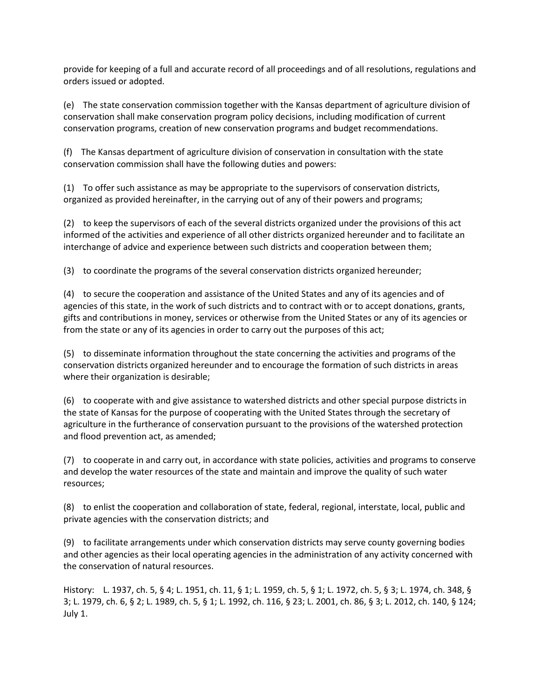provide for keeping of a full and accurate record of all proceedings and of all resolutions, regulations and orders issued or adopted.

(e) The state conservation commission together with the Kansas department of agriculture division of conservation shall make conservation program policy decisions, including modification of current conservation programs, creation of new conservation programs and budget recommendations.

(f) The Kansas department of agriculture division of conservation in consultation with the state conservation commission shall have the following duties and powers:

(1) To offer such assistance as may be appropriate to the supervisors of conservation districts, organized as provided hereinafter, in the carrying out of any of their powers and programs;

(2) to keep the supervisors of each of the several districts organized under the provisions of this act informed of the activities and experience of all other districts organized hereunder and to facilitate an interchange of advice and experience between such districts and cooperation between them;

(3) to coordinate the programs of the several conservation districts organized hereunder;

(4) to secure the cooperation and assistance of the United States and any of its agencies and of agencies of this state, in the work of such districts and to contract with or to accept donations, grants, gifts and contributions in money, services or otherwise from the United States or any of its agencies or from the state or any of its agencies in order to carry out the purposes of this act;

(5) to disseminate information throughout the state concerning the activities and programs of the conservation districts organized hereunder and to encourage the formation of such districts in areas where their organization is desirable;

(6) to cooperate with and give assistance to watershed districts and other special purpose districts in the state of Kansas for the purpose of cooperating with the United States through the secretary of agriculture in the furtherance of conservation pursuant to the provisions of the watershed protection and flood prevention act, as amended;

(7) to cooperate in and carry out, in accordance with state policies, activities and programs to conserve and develop the water resources of the state and maintain and improve the quality of such water resources;

(8) to enlist the cooperation and collaboration of state, federal, regional, interstate, local, public and private agencies with the conservation districts; and

(9) to facilitate arrangements under which conservation districts may serve county governing bodies and other agencies as their local operating agencies in the administration of any activity concerned with the conservation of natural resources.

History: L. 1937, ch. 5, § 4; L. 1951, ch. 11, § 1; L. 1959, ch. 5, § 1; L. 1972, ch. 5, § 3; L. 1974, ch. 348, § 3; L. 1979, ch. 6, § 2; L. 1989, ch. 5, § 1; L. 1992, ch. 116, § 23; L. 2001, ch. 86, § 3; L. 2012, ch. 140, § 124; July 1.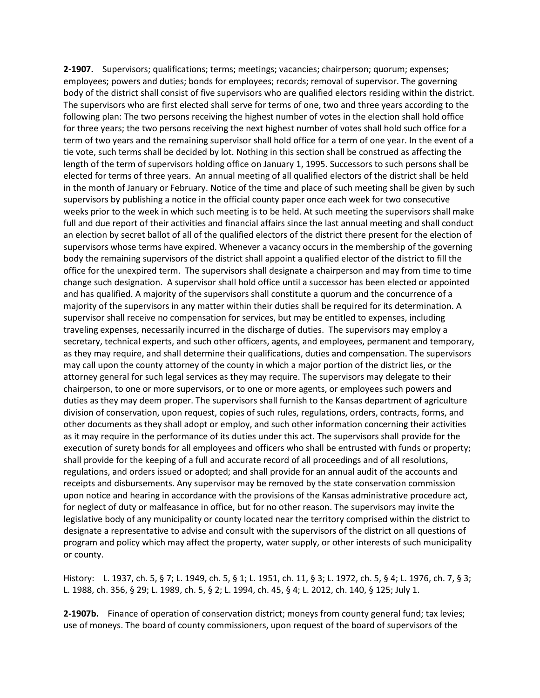**2-1907.** Supervisors; qualifications; terms; meetings; vacancies; chairperson; quorum; expenses; employees; powers and duties; bonds for employees; records; removal of supervisor. The governing body of the district shall consist of five supervisors who are qualified electors residing within the district. The supervisors who are first elected shall serve for terms of one, two and three years according to the following plan: The two persons receiving the highest number of votes in the election shall hold office for three years; the two persons receiving the next highest number of votes shall hold such office for a term of two years and the remaining supervisor shall hold office for a term of one year. In the event of a tie vote, such terms shall be decided by lot. Nothing in this section shall be construed as affecting the length of the term of supervisors holding office on January 1, 1995. Successors to such persons shall be elected for terms of three years. An annual meeting of all qualified electors of the district shall be held in the month of January or February. Notice of the time and place of such meeting shall be given by such supervisors by publishing a notice in the official county paper once each week for two consecutive weeks prior to the week in which such meeting is to be held. At such meeting the supervisors shall make full and due report of their activities and financial affairs since the last annual meeting and shall conduct an election by secret ballot of all of the qualified electors of the district there present for the election of supervisors whose terms have expired. Whenever a vacancy occurs in the membership of the governing body the remaining supervisors of the district shall appoint a qualified elector of the district to fill the office for the unexpired term. The supervisors shall designate a chairperson and may from time to time change such designation. A supervisor shall hold office until a successor has been elected or appointed and has qualified. A majority of the supervisors shall constitute a quorum and the concurrence of a majority of the supervisors in any matter within their duties shall be required for its determination. A supervisor shall receive no compensation for services, but may be entitled to expenses, including traveling expenses, necessarily incurred in the discharge of duties. The supervisors may employ a secretary, technical experts, and such other officers, agents, and employees, permanent and temporary, as they may require, and shall determine their qualifications, duties and compensation. The supervisors may call upon the county attorney of the county in which a major portion of the district lies, or the attorney general for such legal services as they may require. The supervisors may delegate to their chairperson, to one or more supervisors, or to one or more agents, or employees such powers and duties as they may deem proper. The supervisors shall furnish to the Kansas department of agriculture division of conservation, upon request, copies of such rules, regulations, orders, contracts, forms, and other documents as they shall adopt or employ, and such other information concerning their activities as it may require in the performance of its duties under this act. The supervisors shall provide for the execution of surety bonds for all employees and officers who shall be entrusted with funds or property; shall provide for the keeping of a full and accurate record of all proceedings and of all resolutions, regulations, and orders issued or adopted; and shall provide for an annual audit of the accounts and receipts and disbursements. Any supervisor may be removed by the state conservation commission upon notice and hearing in accordance with the provisions of the Kansas administrative procedure act, for neglect of duty or malfeasance in office, but for no other reason. The supervisors may invite the legislative body of any municipality or county located near the territory comprised within the district to designate a representative to advise and consult with the supervisors of the district on all questions of program and policy which may affect the property, water supply, or other interests of such municipality or county.

History: L. 1937, ch. 5, § 7; L. 1949, ch. 5, § 1; L. 1951, ch. 11, § 3; L. 1972, ch. 5, § 4; L. 1976, ch. 7, § 3; L. 1988, ch. 356, § 29; L. 1989, ch. 5, § 2; L. 1994, ch. 45, § 4; L. 2012, ch. 140, § 125; July 1.

**2-1907b.** Finance of operation of conservation district; moneys from county general fund; tax levies; use of moneys. The board of county commissioners, upon request of the board of supervisors of the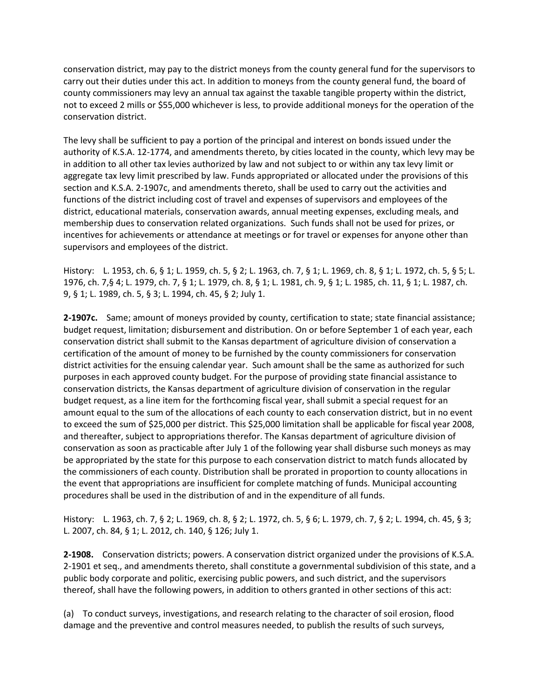conservation district, may pay to the district moneys from the county general fund for the supervisors to carry out their duties under this act. In addition to moneys from the county general fund, the board of county commissioners may levy an annual tax against the taxable tangible property within the district, not to exceed 2 mills or \$55,000 whichever is less, to provide additional moneys for the operation of the conservation district.

The levy shall be sufficient to pay a portion of the principal and interest on bonds issued under the authority of K.S.A. 12-1774, and amendments thereto, by cities located in the county, which levy may be in addition to all other tax levies authorized by law and not subject to or within any tax levy limit or aggregate tax levy limit prescribed by law. Funds appropriated or allocated under the provisions of this section and K.S.A. 2-1907c, and amendments thereto, shall be used to carry out the activities and functions of the district including cost of travel and expenses of supervisors and employees of the district, educational materials, conservation awards, annual meeting expenses, excluding meals, and membership dues to conservation related organizations. Such funds shall not be used for prizes, or incentives for achievements or attendance at meetings or for travel or expenses for anyone other than supervisors and employees of the district.

History: L. 1953, ch. 6, § 1; L. 1959, ch. 5, § 2; L. 1963, ch. 7, § 1; L. 1969, ch. 8, § 1; L. 1972, ch. 5, § 5; L. 1976, ch. 7,§ 4; L. 1979, ch. 7, § 1; L. 1979, ch. 8, § 1; L. 1981, ch. 9, § 1; L. 1985, ch. 11, § 1; L. 1987, ch. 9, § 1; L. 1989, ch. 5, § 3; L. 1994, ch. 45, § 2; July 1.

**2-1907c.** Same; amount of moneys provided by county, certification to state; state financial assistance; budget request, limitation; disbursement and distribution. On or before September 1 of each year, each conservation district shall submit to the Kansas department of agriculture division of conservation a certification of the amount of money to be furnished by the county commissioners for conservation district activities for the ensuing calendar year. Such amount shall be the same as authorized for such purposes in each approved county budget. For the purpose of providing state financial assistance to conservation districts, the Kansas department of agriculture division of conservation in the regular budget request, as a line item for the forthcoming fiscal year, shall submit a special request for an amount equal to the sum of the allocations of each county to each conservation district, but in no event to exceed the sum of \$25,000 per district. This \$25,000 limitation shall be applicable for fiscal year 2008, and thereafter, subject to appropriations therefor. The Kansas department of agriculture division of conservation as soon as practicable after July 1 of the following year shall disburse such moneys as may be appropriated by the state for this purpose to each conservation district to match funds allocated by the commissioners of each county. Distribution shall be prorated in proportion to county allocations in the event that appropriations are insufficient for complete matching of funds. Municipal accounting procedures shall be used in the distribution of and in the expenditure of all funds.

History: L. 1963, ch. 7, § 2; L. 1969, ch. 8, § 2; L. 1972, ch. 5, § 6; L. 1979, ch. 7, § 2; L. 1994, ch. 45, § 3; L. 2007, ch. 84, § 1; L. 2012, ch. 140, § 126; July 1.

**2-1908.** Conservation districts; powers. A conservation district organized under the provisions of K.S.A. 2-1901 et seq., and amendments thereto, shall constitute a governmental subdivision of this state, and a public body corporate and politic, exercising public powers, and such district, and the supervisors thereof, shall have the following powers, in addition to others granted in other sections of this act:

(a) To conduct surveys, investigations, and research relating to the character of soil erosion, flood damage and the preventive and control measures needed, to publish the results of such surveys,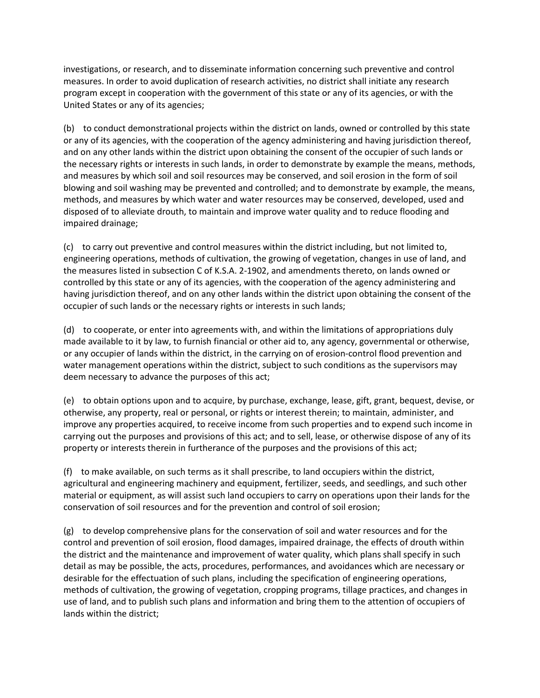investigations, or research, and to disseminate information concerning such preventive and control measures. In order to avoid duplication of research activities, no district shall initiate any research program except in cooperation with the government of this state or any of its agencies, or with the United States or any of its agencies;

(b) to conduct demonstrational projects within the district on lands, owned or controlled by this state or any of its agencies, with the cooperation of the agency administering and having jurisdiction thereof, and on any other lands within the district upon obtaining the consent of the occupier of such lands or the necessary rights or interests in such lands, in order to demonstrate by example the means, methods, and measures by which soil and soil resources may be conserved, and soil erosion in the form of soil blowing and soil washing may be prevented and controlled; and to demonstrate by example, the means, methods, and measures by which water and water resources may be conserved, developed, used and disposed of to alleviate drouth, to maintain and improve water quality and to reduce flooding and impaired drainage;

(c) to carry out preventive and control measures within the district including, but not limited to, engineering operations, methods of cultivation, the growing of vegetation, changes in use of land, and the measures listed in subsection C of K.S.A. 2-1902, and amendments thereto, on lands owned or controlled by this state or any of its agencies, with the cooperation of the agency administering and having jurisdiction thereof, and on any other lands within the district upon obtaining the consent of the occupier of such lands or the necessary rights or interests in such lands;

(d) to cooperate, or enter into agreements with, and within the limitations of appropriations duly made available to it by law, to furnish financial or other aid to, any agency, governmental or otherwise, or any occupier of lands within the district, in the carrying on of erosion-control flood prevention and water management operations within the district, subject to such conditions as the supervisors may deem necessary to advance the purposes of this act;

(e) to obtain options upon and to acquire, by purchase, exchange, lease, gift, grant, bequest, devise, or otherwise, any property, real or personal, or rights or interest therein; to maintain, administer, and improve any properties acquired, to receive income from such properties and to expend such income in carrying out the purposes and provisions of this act; and to sell, lease, or otherwise dispose of any of its property or interests therein in furtherance of the purposes and the provisions of this act;

(f) to make available, on such terms as it shall prescribe, to land occupiers within the district, agricultural and engineering machinery and equipment, fertilizer, seeds, and seedlings, and such other material or equipment, as will assist such land occupiers to carry on operations upon their lands for the conservation of soil resources and for the prevention and control of soil erosion;

(g) to develop comprehensive plans for the conservation of soil and water resources and for the control and prevention of soil erosion, flood damages, impaired drainage, the effects of drouth within the district and the maintenance and improvement of water quality, which plans shall specify in such detail as may be possible, the acts, procedures, performances, and avoidances which are necessary or desirable for the effectuation of such plans, including the specification of engineering operations, methods of cultivation, the growing of vegetation, cropping programs, tillage practices, and changes in use of land, and to publish such plans and information and bring them to the attention of occupiers of lands within the district;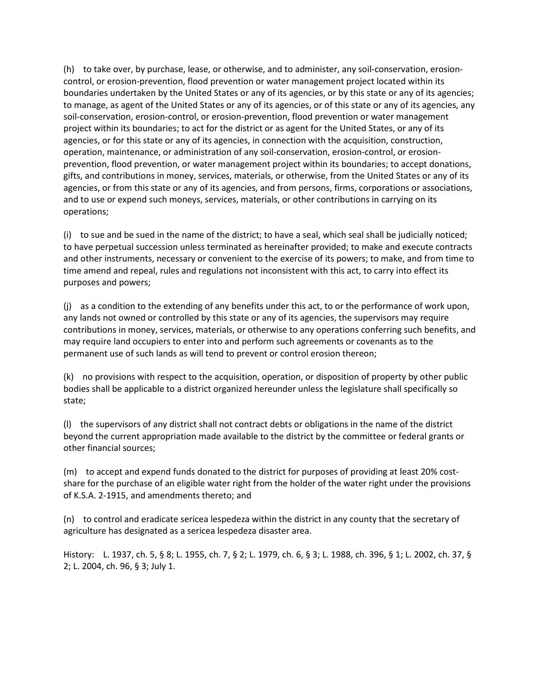(h) to take over, by purchase, lease, or otherwise, and to administer, any soil-conservation, erosioncontrol, or erosion-prevention, flood prevention or water management project located within its boundaries undertaken by the United States or any of its agencies, or by this state or any of its agencies; to manage, as agent of the United States or any of its agencies, or of this state or any of its agencies, any soil-conservation, erosion-control, or erosion-prevention, flood prevention or water management project within its boundaries; to act for the district or as agent for the United States, or any of its agencies, or for this state or any of its agencies, in connection with the acquisition, construction, operation, maintenance, or administration of any soil-conservation, erosion-control, or erosionprevention, flood prevention, or water management project within its boundaries; to accept donations, gifts, and contributions in money, services, materials, or otherwise, from the United States or any of its agencies, or from this state or any of its agencies, and from persons, firms, corporations or associations, and to use or expend such moneys, services, materials, or other contributions in carrying on its operations;

(i) to sue and be sued in the name of the district; to have a seal, which seal shall be judicially noticed; to have perpetual succession unless terminated as hereinafter provided; to make and execute contracts and other instruments, necessary or convenient to the exercise of its powers; to make, and from time to time amend and repeal, rules and regulations not inconsistent with this act, to carry into effect its purposes and powers;

(j) as a condition to the extending of any benefits under this act, to or the performance of work upon, any lands not owned or controlled by this state or any of its agencies, the supervisors may require contributions in money, services, materials, or otherwise to any operations conferring such benefits, and may require land occupiers to enter into and perform such agreements or covenants as to the permanent use of such lands as will tend to prevent or control erosion thereon;

(k) no provisions with respect to the acquisition, operation, or disposition of property by other public bodies shall be applicable to a district organized hereunder unless the legislature shall specifically so state;

(l) the supervisors of any district shall not contract debts or obligations in the name of the district beyond the current appropriation made available to the district by the committee or federal grants or other financial sources;

(m) to accept and expend funds donated to the district for purposes of providing at least 20% costshare for the purchase of an eligible water right from the holder of the water right under the provisions of K.S.A. 2-1915, and amendments thereto; and

(n) to control and eradicate sericea lespedeza within the district in any county that the secretary of agriculture has designated as a sericea lespedeza disaster area.

History: L. 1937, ch. 5, § 8; L. 1955, ch. 7, § 2; L. 1979, ch. 6, § 3; L. 1988, ch. 396, § 1; L. 2002, ch. 37, § 2; L. 2004, ch. 96, § 3; July 1.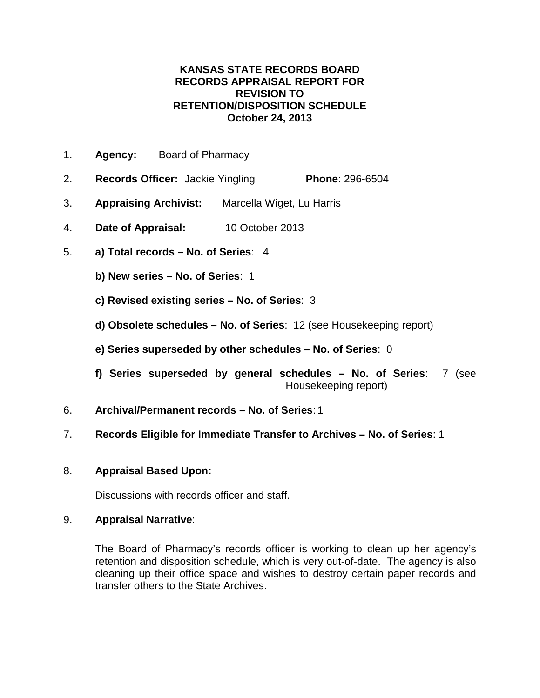- 1. **Agency:** Board of Pharmacy
- 2. **Records Officer:** Jackie Yingling **Phone**: 296-6504
- 3. **Appraising Archivist:** Marcella Wiget, Lu Harris
- 4. **Date of Appraisal:** 10 October 2013
- 5. **a) Total records – No. of Series**: 4
	- **b) New series – No. of Series**: 1
	- **c) Revised existing series – No. of Series**: 3
	- **d) Obsolete schedules – No. of Series**: 12 (see Housekeeping report)
	- **e) Series superseded by other schedules – No. of Series**: 0
	- **f) Series superseded by general schedules – No. of Series**: 7 (see Housekeeping report)
- 6. **Archival/Permanent records – No. of Series**: 1
- 7. **Records Eligible for Immediate Transfer to Archives – No. of Series**: 1
- 8. **Appraisal Based Upon:**

Discussions with records officer and staff.

### 9. **Appraisal Narrative**:

The Board of Pharmacy's records officer is working to clean up her agency's retention and disposition schedule, which is very out-of-date. The agency is also cleaning up their office space and wishes to destroy certain paper records and transfer others to the State Archives.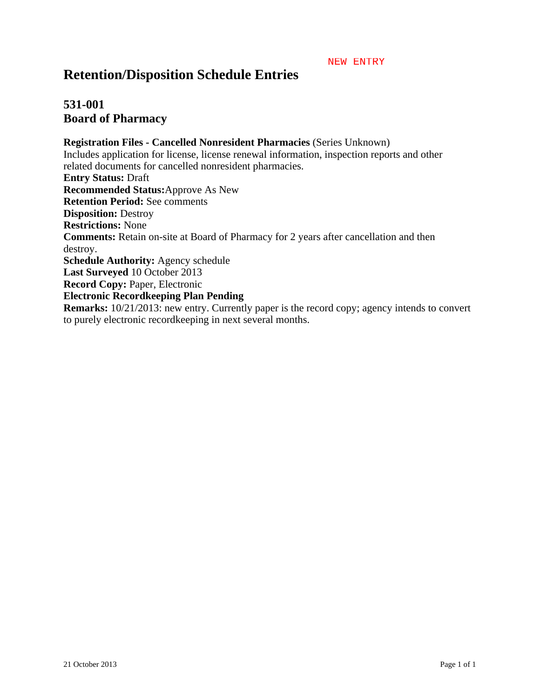#### NEW ENTRY

# **Retention/Disposition Schedule Entries**

# **531-001 Board of Pharmacy**

**Registration Files - Cancelled Nonresident Pharmacies** (Series Unknown) Includes application for license, license renewal information, inspection reports and other related documents for cancelled nonresident pharmacies. **Entry Status:** Draft **Recommended Status:**Approve As New **Retention Period:** See comments **Disposition:** Destroy **Restrictions:** None **Comments:** Retain on-site at Board of Pharmacy for 2 years after cancellation and then destroy. **Schedule Authority:** Agency schedule **Last Surveyed** 10 October 2013 **Record Copy:** Paper, Electronic **Electronic Recordkeeping Plan Pending Remarks:**  $10/21/2013$ : new entry. Currently paper is the record copy; agency intends to convert to purely electronic recordkeeping in next several months.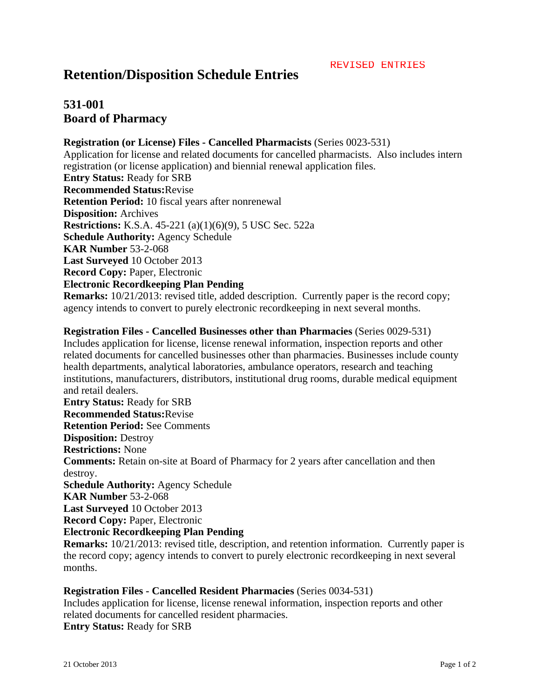# **531-001 Board of Pharmacy**

### **Registration (or License) Files - Cancelled Pharmacists** (Series 0023-531)

Application for license and related documents for cancelled pharmacists. Also includes intern registration (or license application) and biennial renewal application files. **Entry Status:** Ready for SRB **Recommended Status:**Revise **Retention Period:** 10 fiscal years after nonrenewal **Disposition:** Archives **Restrictions:** K.S.A. 45-221 (a)(1)(6)(9), 5 USC Sec. 522a **Schedule Authority:** Agency Schedule **KAR Number** 53-2-068 **Last Surveyed** 10 October 2013 **Record Copy:** Paper, Electronic **Electronic Recordkeeping Plan Pending Remarks:**  $10/21/2013$ : revised title, added description. Currently paper is the record copy;

agency intends to convert to purely electronic recordkeeping in next several months.

**Registration Files - Cancelled Businesses other than Pharmacies** (Series 0029-531) Includes application for license, license renewal information, inspection reports and other related documents for cancelled businesses other than pharmacies. Businesses include county health departments, analytical laboratories, ambulance operators, research and teaching institutions, manufacturers, distributors, institutional drug rooms, durable medical equipment and retail dealers. **Entry Status:** Ready for SRB **Recommended Status:**Revise **Retention Period:** See Comments **Disposition:** Destroy **Restrictions:** None **Comments:** Retain on-site at Board of Pharmacy for 2 years after cancellation and then destroy. **Schedule Authority:** Agency Schedule **KAR Number** 53-2-068 **Last Surveyed** 10 October 2013 **Record Copy:** Paper, Electronic **Electronic Recordkeeping Plan Pending Remarks:** 10/21/2013: revised title, description, and retention information. Currently paper is

the record copy; agency intends to convert to purely electronic recordkeeping in next several months.

#### **Registration Files - Cancelled Resident Pharmacies** (Series 0034-531)

Includes application for license, license renewal information, inspection reports and other related documents for cancelled resident pharmacies. **Entry Status:** Ready for SRB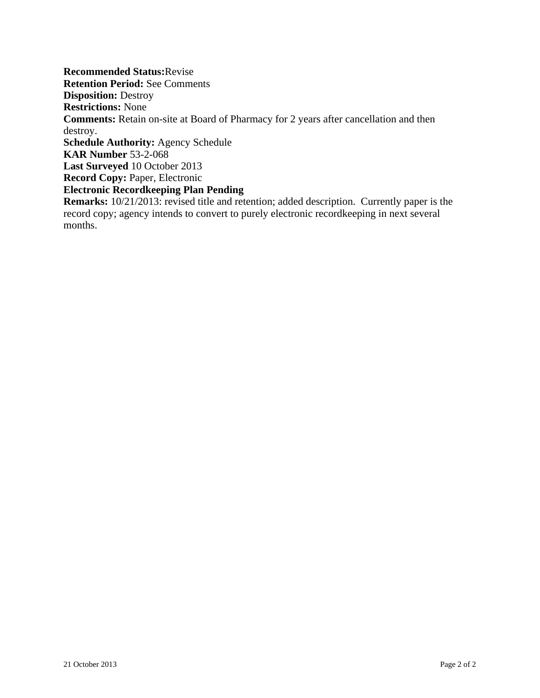**Recommended Status:**Revise **Retention Period:** See Comments **Disposition:** Destroy **Restrictions:** None **Comments:** Retain on-site at Board of Pharmacy for 2 years after cancellation and then destroy. **Schedule Authority:** Agency Schedule **KAR Number** 53-2-068 **Last Surveyed** 10 October 2013 **Record Copy:** Paper, Electronic **Electronic Recordkeeping Plan Pending Remarks:** 10/21/2013: revised title and retention; added description. Currently paper is the record copy; agency intends to convert to purely electronic recordkeeping in next several months.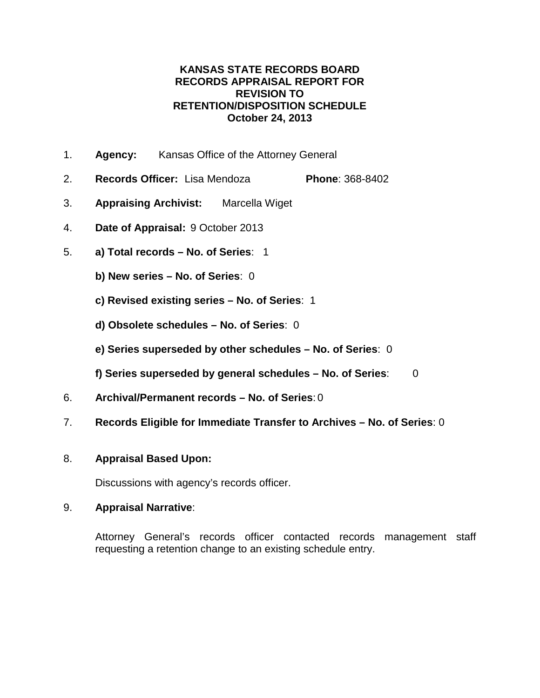- 1. **Agency:** Kansas Office of the Attorney General
- 2. **Records Officer:** Lisa Mendoza **Phone**: 368-8402
- 3. **Appraising Archivist:** Marcella Wiget
- 4. **Date of Appraisal:** 9 October 2013
- 5. **a) Total records – No. of Series**: 1
	- **b) New series – No. of Series**: 0
	- **c) Revised existing series – No. of Series**: 1
	- **d) Obsolete schedules – No. of Series**: 0
	- **e) Series superseded by other schedules – No. of Series**: 0
	- **f) Series superseded by general schedules – No. of Series**: 0
- 6. **Archival/Permanent records – No. of Series**: 0
- 7. **Records Eligible for Immediate Transfer to Archives – No. of Series**: 0

## 8. **Appraisal Based Upon:**

Discussions with agency's records officer.

## 9. **Appraisal Narrative**:

Attorney General's records officer contacted records management staff requesting a retention change to an existing schedule entry.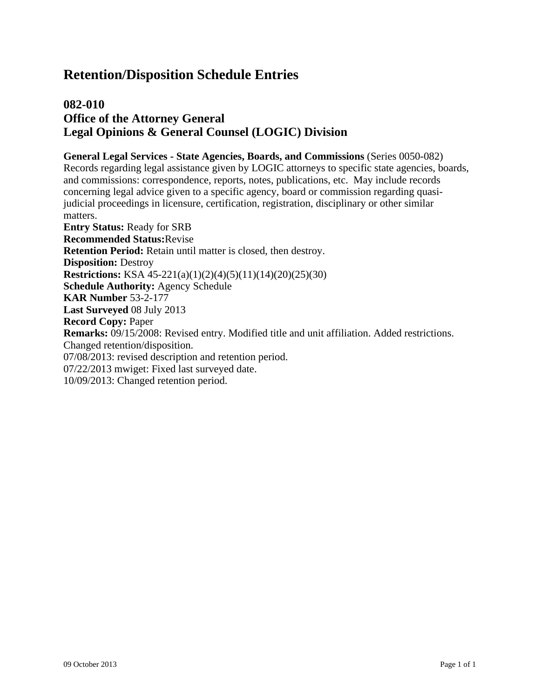# **082-010 Office of the Attorney General Legal Opinions & General Counsel (LOGIC) Division**

### **General Legal Services - State Agencies, Boards, and Commissions** (Series 0050-082) Records regarding legal assistance given by LOGIC attorneys to specific state agencies, boards, and commissions: correspondence, reports, notes, publications, etc. May include records concerning legal advice given to a specific agency, board or commission regarding quasijudicial proceedings in licensure, certification, registration, disciplinary or other similar matters. **Entry Status:** Ready for SRB **Recommended Status:**Revise **Retention Period:** Retain until matter is closed, then destroy. **Disposition:** Destroy **Restrictions:** KSA 45-221(a)(1)(2)(4)(5)(11)(14)(20)(25)(30) **Schedule Authority:** Agency Schedule **KAR Number** 53-2-177 **Last Surveyed** 08 July 2013 **Record Copy:** Paper **Remarks:** 09/15/2008: Revised entry. Modified title and unit affiliation. Added restrictions. Changed retention/disposition. 07/08/2013: revised description and retention period. 07/22/2013 mwiget: Fixed last surveyed date. 10/09/2013: Changed retention period.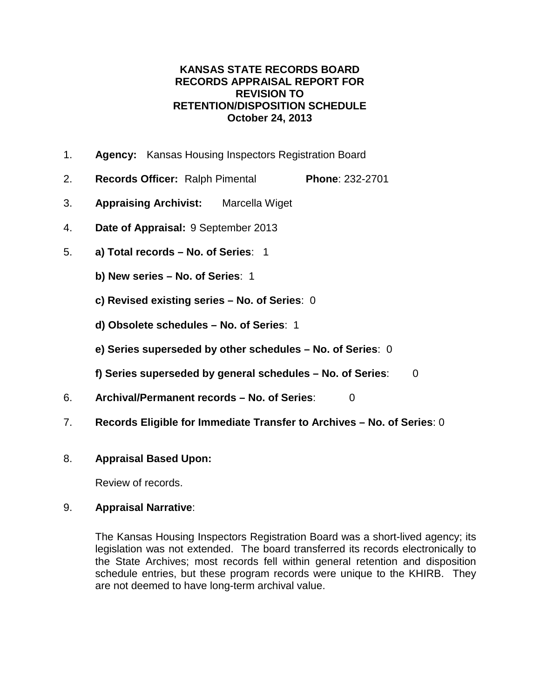- 1. **Agency:** Kansas Housing Inspectors Registration Board
- 2. **Records Officer:** Ralph Pimental **Phone**: 232-2701
- 3. **Appraising Archivist:** Marcella Wiget
- 4. **Date of Appraisal:** 9 September 2013
- 5. **a) Total records – No. of Series**: 1
	- **b) New series – No. of Series**: 1
	- **c) Revised existing series – No. of Series**: 0
	- **d) Obsolete schedules – No. of Series**: 1
	- **e) Series superseded by other schedules – No. of Series**: 0
	- **f) Series superseded by general schedules – No. of Series**: 0
- 6. **Archival/Permanent records – No. of Series**: 0
- 7. **Records Eligible for Immediate Transfer to Archives – No. of Series**: 0

## 8. **Appraisal Based Upon:**

Review of records.

## 9. **Appraisal Narrative**:

The Kansas Housing Inspectors Registration Board was a short-lived agency; its legislation was not extended. The board transferred its records electronically to the State Archives; most records fell within general retention and disposition schedule entries, but these program records were unique to the KHIRB. They are not deemed to have long-term archival value.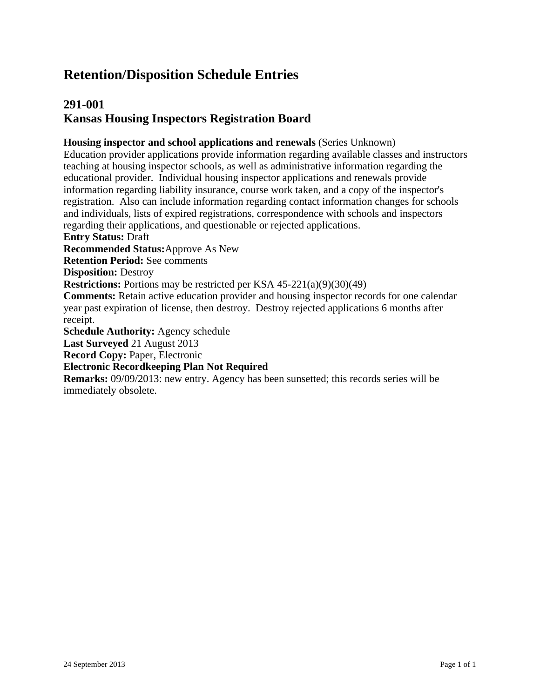# **291-001 Kansas Housing Inspectors Registration Board**

**Housing inspector and school applications and renewals** (Series Unknown)

Education provider applications provide information regarding available classes and instructors teaching at housing inspector schools, as well as administrative information regarding the educational provider. Individual housing inspector applications and renewals provide information regarding liability insurance, course work taken, and a copy of the inspector's registration. Also can include information regarding contact information changes for schools and individuals, lists of expired registrations, correspondence with schools and inspectors regarding their applications, and questionable or rejected applications.

**Entry Status:** Draft

**Recommended Status:**Approve As New

**Retention Period:** See comments

**Disposition:** Destroy

**Restrictions:** Portions may be restricted per KSA 45-221(a)(9)(30)(49)

**Comments:** Retain active education provider and housing inspector records for one calendar year past expiration of license, then destroy. Destroy rejected applications 6 months after receipt.

**Schedule Authority:** Agency schedule

**Last Surveyed** 21 August 2013

**Record Copy:** Paper, Electronic

#### **Electronic Recordkeeping Plan Not Required**

**Remarks:** 09/09/2013: new entry. Agency has been sunsetted; this records series will be immediately obsolete.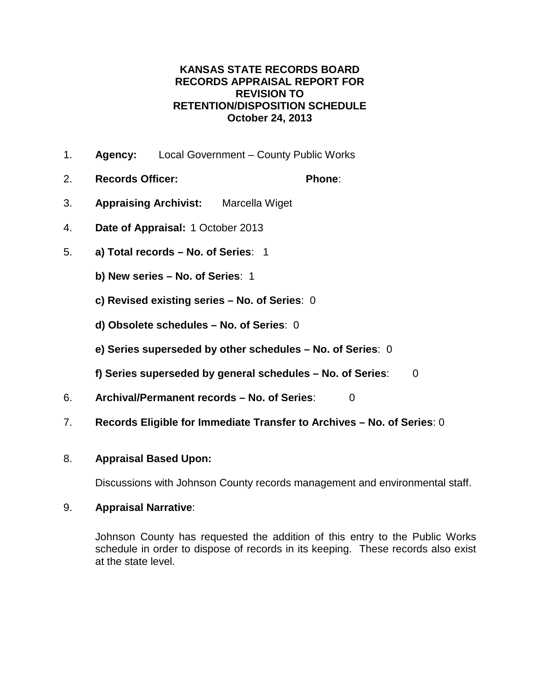- 1. **Agency:** Local Government County Public Works
- 2. **Records Officer: Phone**:
- 3. **Appraising Archivist:** Marcella Wiget
- 4. **Date of Appraisal:** 1 October 2013
- 5. **a) Total records – No. of Series**: 1
	- **b) New series – No. of Series**: 1
	- **c) Revised existing series – No. of Series**: 0
	- **d) Obsolete schedules – No. of Series**: 0
	- **e) Series superseded by other schedules – No. of Series**: 0
	- **f) Series superseded by general schedules – No. of Series**: 0
- 6. **Archival/Permanent records – No. of Series**: 0
- 7. **Records Eligible for Immediate Transfer to Archives – No. of Series**: 0

## 8. **Appraisal Based Upon:**

Discussions with Johnson County records management and environmental staff.

## 9. **Appraisal Narrative**:

Johnson County has requested the addition of this entry to the Public Works schedule in order to dispose of records in its keeping. These records also exist at the state level.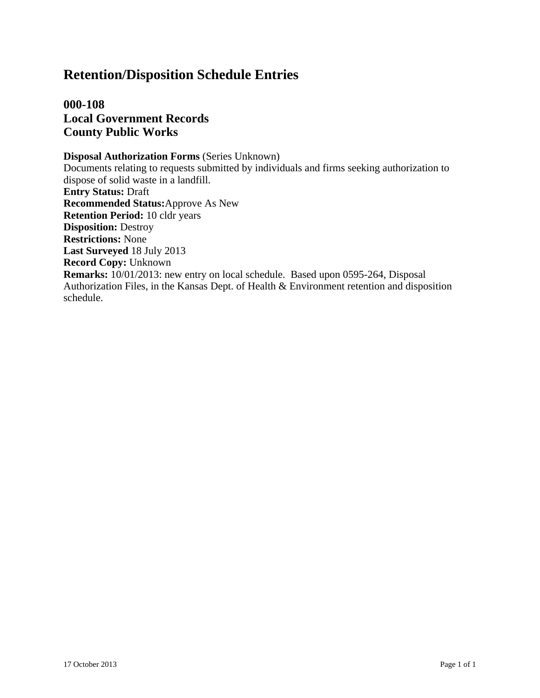**000-108 Local Government Records County Public Works**

**Disposal Authorization Forms** (Series Unknown) Documents relating to requests submitted by individuals and firms seeking authorization to dispose of solid waste in a landfill. **Entry Status:** Draft **Recommended Status:**Approve As New **Retention Period:** 10 cldr years **Disposition:** Destroy **Restrictions:** None **Last Surveyed** 18 July 2013 **Record Copy:** Unknown **Remarks:** 10/01/2013: new entry on local schedule. Based upon 0595-264, Disposal Authorization Files, in the Kansas Dept. of Health & Environment retention and disposition schedule.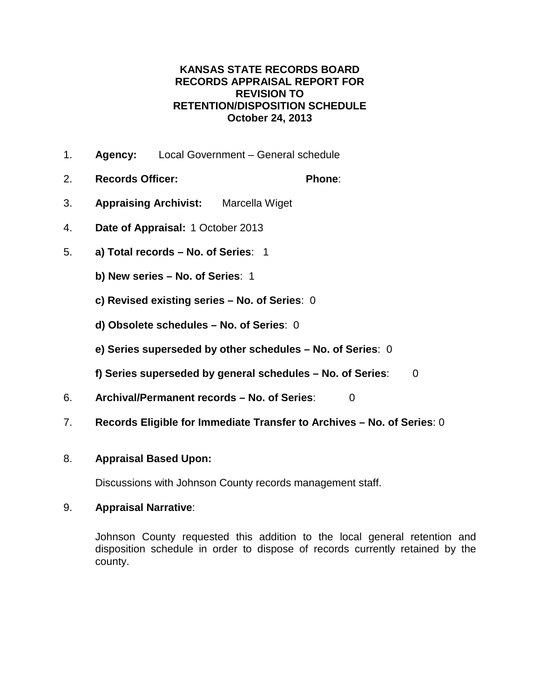#### **KANSAS STATE RECORDS BOARD RECORDS APPRAISAL REPORT FOR REVISION TO RETENTION/DISPOSITION SCHEDULE October 24, 2013**

- 1. **Agency:** Local Government General schedule
- 2. **Records Officer: Phone**:
- 3. **Appraising Archivist:** Marcella Wiget
- 4. **Date of Appraisal:** 1 October 2013
- 5. **a) Total records – No. of Series**: 1
	- **b) New series – No. of Series**: 1
	- **c) Revised existing series – No. of Series**: 0
	- **d) Obsolete schedules – No. of Series**: 0
	- **e) Series superseded by other schedules – No. of Series**: 0
	- **f) Series superseded by general schedules – No. of Series**: 0
- 6. **Archival/Permanent records – No. of Series**: 0
- 7. **Records Eligible for Immediate Transfer to Archives – No. of Series**: 0

#### 8. **Appraisal Based Upon:**

Discussions with Johnson County records management staff.

#### 9. **Appraisal Narrative**:

Johnson County requested this addition to the local general retention and disposition schedule in order to dispose of records currently retained by the county.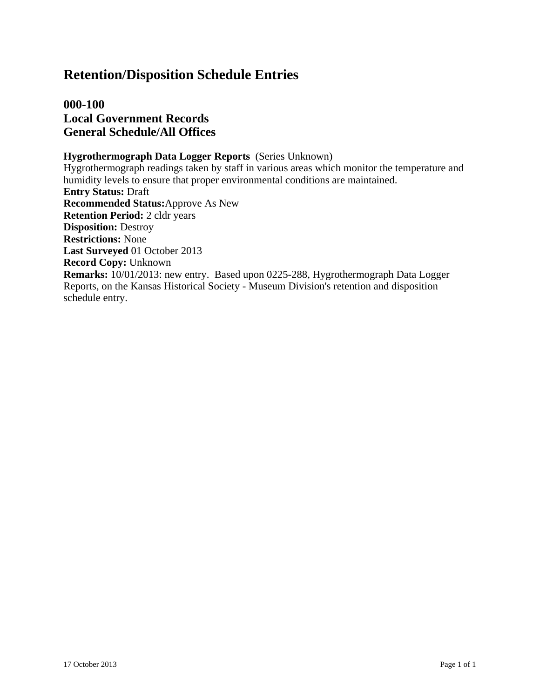## **Retention/Disposition Schedule Entries**

**000-100 Local Government Records General Schedule/All Offices**

#### **Hygrothermograph Data Logger Reports** (Series Unknown)

Hygrothermograph readings taken by staff in various areas which monitor the temperature and humidity levels to ensure that proper environmental conditions are maintained. **Entry Status:** Draft **Recommended Status:**Approve As New **Retention Period:** 2 cldr years **Disposition:** Destroy **Restrictions:** None **Last Surveyed** 01 October 2013 **Record Copy:** Unknown **Remarks:** 10/01/2013: new entry. Based upon 0225-288, Hygrothermograph Data Logger Reports, on the Kansas Historical Society - Museum Division's retention and disposition schedule entry.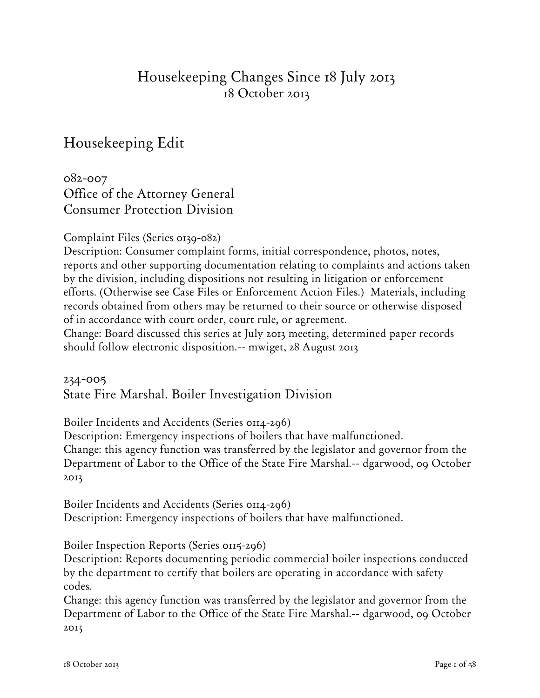# Housekeeping Changes Since 18 July 2013 18 October 2013

# Housekeeping Edit

082-007 Office of the Attorney General Consumer Protection Division

Complaint Files (Series 0139-082)

Description: Consumer complaint forms, initial correspondence, photos, notes, reports and other supporting documentation relating to complaints and actions taken by the division, including dispositions not resulting in litigation or enforcement efforts. (Otherwise see Case Files or Enforcement Action Files.) Materials, including records obtained from others may be returned to their source or otherwise disposed of in accordance with court order, court rule, or agreement.

Change: Board discussed this series at July 2013 meeting, determined paper records should follow electronic disposition.-- mwiget, 28 August 2013

### 234-005 State Fire Marshal. Boiler Investigation Division

Boiler Incidents and Accidents (Series 0114-296)

Description: Emergency inspections of boilers that have malfunctioned.

Change: this agency function was transferred by the legislator and governor from the Department of Labor to the Office of the State Fire Marshal.-- dgarwood, 09 October 2013

Boiler Incidents and Accidents (Series 0114-296) Description: Emergency inspections of boilers that have malfunctioned.

#### Boiler Inspection Reports (Series 0115-296)

Description: Reports documenting periodic commercial boiler inspections conducted by the department to certify that boilers are operating in accordance with safety codes.

Change: this agency function was transferred by the legislator and governor from the Department of Labor to the Office of the State Fire Marshal.-- dgarwood, 09 October 2013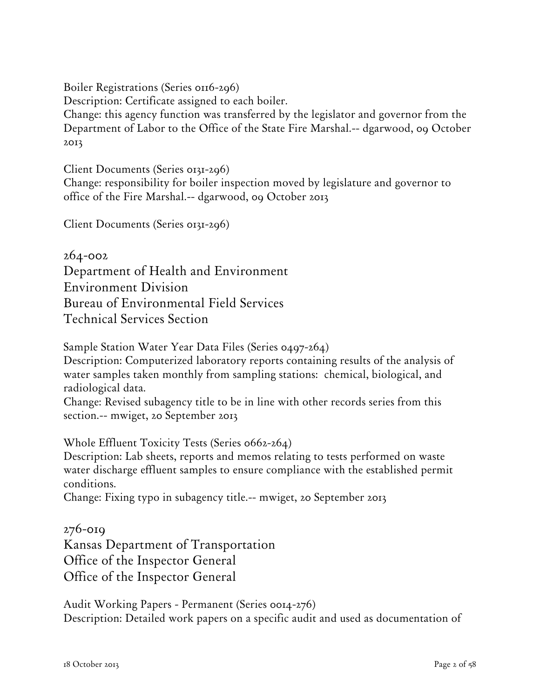Boiler Registrations (Series 0116-296)

Description: Certificate assigned to each boiler.

Change: this agency function was transferred by the legislator and governor from the Department of Labor to the Office of the State Fire Marshal.-- dgarwood, 09 October 2013

Client Documents (Series 0131-296)

Change: responsibility for boiler inspection moved by legislature and governor to office of the Fire Marshal.-- dgarwood, 09 October 2013

Client Documents (Series 0131-296)

264-002 Department of Health and Environment Environment Division Bureau of Environmental Field Services Technical Services Section

Sample Station Water Year Data Files (Series 0497-264)

Description: Computerized laboratory reports containing results of the analysis of water samples taken monthly from sampling stations: chemical, biological, and radiological data.

Change: Revised subagency title to be in line with other records series from this section.-- mwiget, 20 September 2013

Whole Effluent Toxicity Tests (Series 0662-264)

Description: Lab sheets, reports and memos relating to tests performed on waste water discharge effluent samples to ensure compliance with the established permit conditions.

Change: Fixing typo in subagency title.-- mwiget, 20 September 2013

276-019 Kansas Department of Transportation Office of the Inspector General Office of the Inspector General

Audit Working Papers - Permanent (Series 0014-276) Description: Detailed work papers on a specific audit and used as documentation of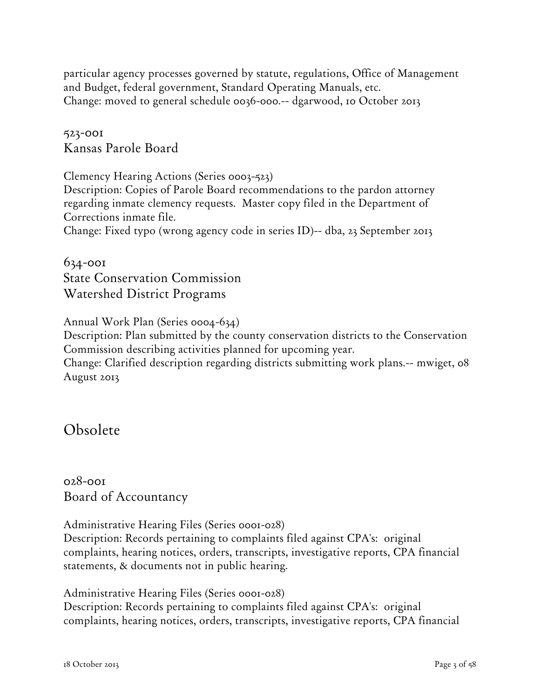particular agency processes governed by statute, regulations, Office of Management and Budget, federal government, Standard Operating Manuals, etc. Change: moved to general schedule 0036-000.-- dgarwood, 10 October 2013

523-001 Kansas Parole Board

Clemency Hearing Actions (Series 0003-523) Description: Copies of Parole Board recommendations to the pardon attorney regarding inmate clemency requests. Master copy filed in the Department of Corrections inmate file. Change: Fixed typo (wrong agency code in series ID)-- dba, 23 September 2013

634-001 State Conservation Commission Watershed District Programs

Annual Work Plan (Series 0004-634)

Description: Plan submitted by the county conservation districts to the Conservation Commission describing activities planned for upcoming year.

Change: Clarified description regarding districts submitting work plans.-- mwiget, 08 August 2013

Obsolete

028-001 Board of Accountancy

Administrative Hearing Files (Series 0001-028)

Description: Records pertaining to complaints filed against CPA's: original complaints, hearing notices, orders, transcripts, investigative reports, CPA financial statements, & documents not in public hearing.

Administrative Hearing Files (Series 0001-028) Description: Records pertaining to complaints filed against CPA's: original complaints, hearing notices, orders, transcripts, investigative reports, CPA financial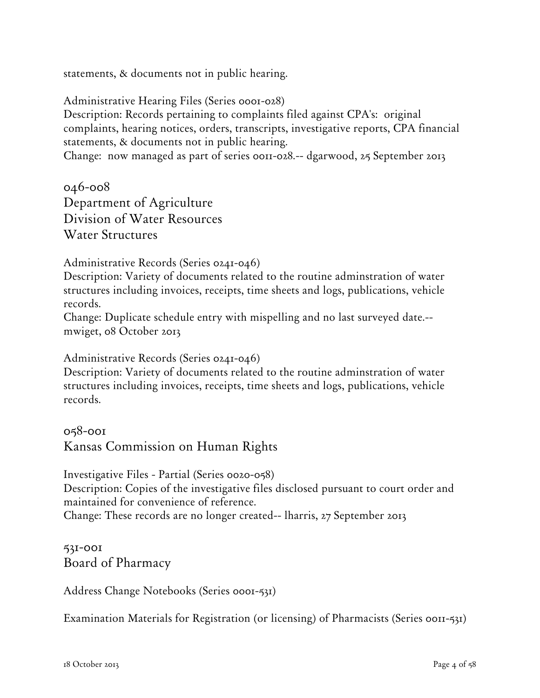statements, & documents not in public hearing.

Administrative Hearing Files (Series 0001-028) Description: Records pertaining to complaints filed against CPA's: original complaints, hearing notices, orders, transcripts, investigative reports, CPA financial statements, & documents not in public hearing.

Change: now managed as part of series 0011-028.-- dgarwood, 25 September 2013

046-008 Department of Agriculture Division of Water Resources Water Structures

Administrative Records (Series 0241-046)

Description: Variety of documents related to the routine adminstration of water structures including invoices, receipts, time sheets and logs, publications, vehicle records.

Change: Duplicate schedule entry with mispelling and no last surveyed date.- mwiget, 08 October 2013

Administrative Records (Series 0241-046)

Description: Variety of documents related to the routine adminstration of water structures including invoices, receipts, time sheets and logs, publications, vehicle records.

058-001 Kansas Commission on Human Rights

Investigative Files - Partial (Series 0020-058) Description: Copies of the investigative files disclosed pursuant to court order and maintained for convenience of reference. Change: These records are no longer created-- lharris, 27 September 2013

531-001 Board of Pharmacy

Address Change Notebooks (Series 0001-531)

Examination Materials for Registration (or licensing) of Pharmacists (Series 0011-531)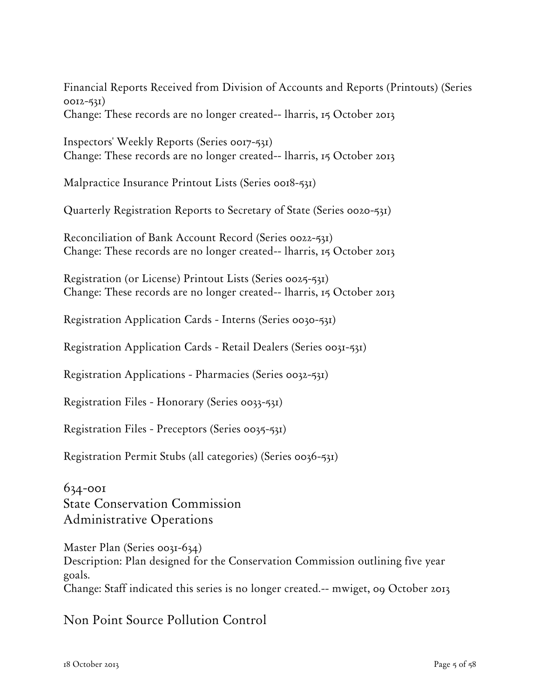Financial Reports Received from Division of Accounts and Reports (Printouts) (Series 0012-531)

Change: These records are no longer created-- lharris, 15 October 2013

Inspectors' Weekly Reports (Series 0017-531) Change: These records are no longer created-- lharris, 15 October 2013

Malpractice Insurance Printout Lists (Series 0018-531)

Quarterly Registration Reports to Secretary of State (Series 0020-531)

Reconciliation of Bank Account Record (Series 0022-531) Change: These records are no longer created-- lharris, 15 October 2013

Registration (or License) Printout Lists (Series 0025-531) Change: These records are no longer created-- lharris, 15 October 2013

Registration Application Cards - Interns (Series 0030-531)

Registration Application Cards - Retail Dealers (Series 0031-531)

Registration Applications - Pharmacies (Series 0032-531)

Registration Files - Honorary (Series 0033-531)

Registration Files - Preceptors (Series 0035-531)

Registration Permit Stubs (all categories) (Series 0036-531)

634-001 State Conservation Commission Administrative Operations

Master Plan (Series 0031-634) Description: Plan designed for the Conservation Commission outlining five year goals. Change: Staff indicated this series is no longer created.-- mwiget, 09 October 2013

Non Point Source Pollution Control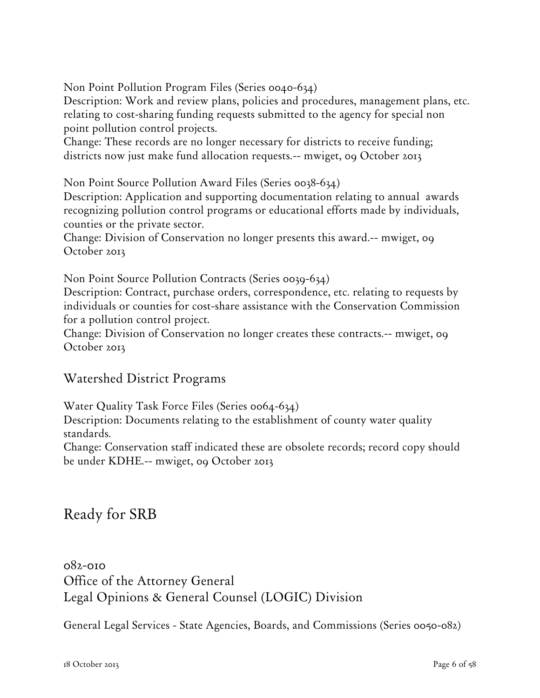Non Point Pollution Program Files (Series 0040-634)

Description: Work and review plans, policies and procedures, management plans, etc. relating to cost-sharing funding requests submitted to the agency for special non point pollution control projects.

Change: These records are no longer necessary for districts to receive funding; districts now just make fund allocation requests.-- mwiget, 09 October 2013

Non Point Source Pollution Award Files (Series 0038-634)

Description: Application and supporting documentation relating to annual awards recognizing pollution control programs or educational efforts made by individuals, counties or the private sector.

Change: Division of Conservation no longer presents this award.-- mwiget, 09 October 2013

Non Point Source Pollution Contracts (Series 0039-634)

Description: Contract, purchase orders, correspondence, etc. relating to requests by individuals or counties for cost-share assistance with the Conservation Commission for a pollution control project.

Change: Division of Conservation no longer creates these contracts.-- mwiget, 09 October 2013

### Watershed District Programs

Water Quality Task Force Files (Series 0064-634)

Description: Documents relating to the establishment of county water quality standards.

Change: Conservation staff indicated these are obsolete records; record copy should be under KDHE.-- mwiget, 09 October 2013

# Ready for SRB

082-010 Office of the Attorney General Legal Opinions & General Counsel (LOGIC) Division

General Legal Services - State Agencies, Boards, and Commissions (Series 0050-082)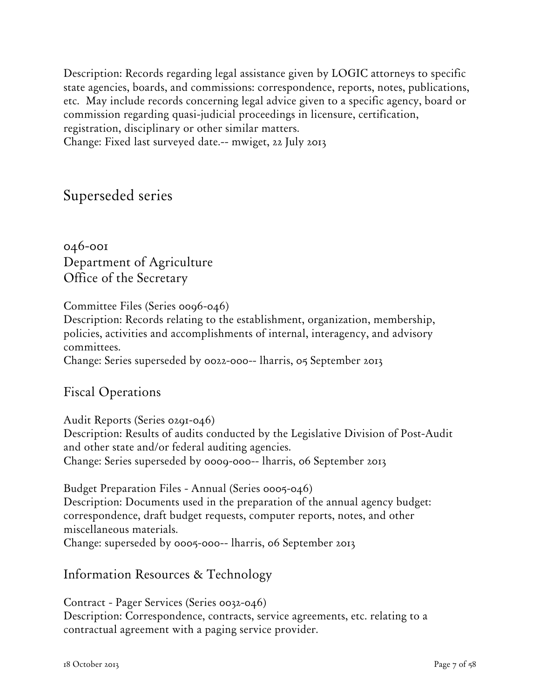Description: Records regarding legal assistance given by LOGIC attorneys to specific state agencies, boards, and commissions: correspondence, reports, notes, publications, etc. May include records concerning legal advice given to a specific agency, board or commission regarding quasi-judicial proceedings in licensure, certification, registration, disciplinary or other similar matters. Change: Fixed last surveyed date.-- mwiget, 22 July 2013

Superseded series

046-001 Department of Agriculture Office of the Secretary

Committee Files (Series 0096-046)

Description: Records relating to the establishment, organization, membership, policies, activities and accomplishments of internal, interagency, and advisory committees.

Change: Series superseded by 0022-000-- lharris, 05 September 2013

### Fiscal Operations

Audit Reports (Series 0291-046)

Description: Results of audits conducted by the Legislative Division of Post-Audit and other state and/or federal auditing agencies. Change: Series superseded by 0009-000-- lharris, 06 September 2013

Budget Preparation Files - Annual (Series 0005-046) Description: Documents used in the preparation of the annual agency budget: correspondence, draft budget requests, computer reports, notes, and other miscellaneous materials. Change: superseded by 0005-000-- lharris, 06 September 2013

Information Resources & Technology

Contract - Pager Services (Series 0032-046) Description: Correspondence, contracts, service agreements, etc. relating to a contractual agreement with a paging service provider.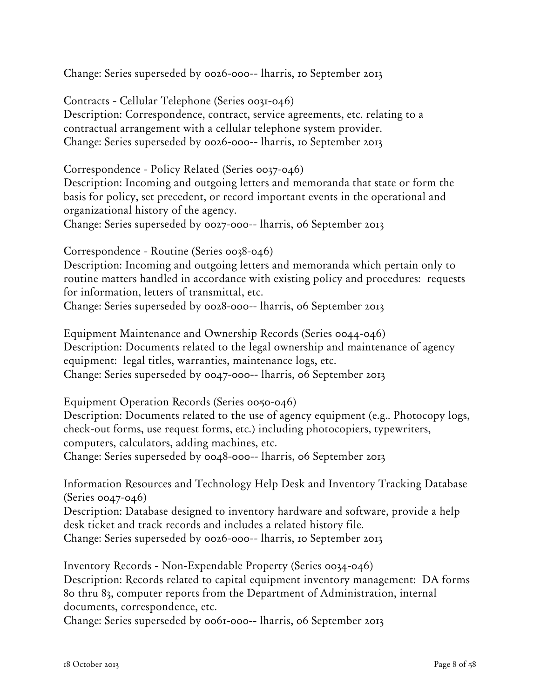Change: Series superseded by 0026-000-- lharris, 10 September 2013

Contracts - Cellular Telephone (Series 0031-046) Description: Correspondence, contract, service agreements, etc. relating to a contractual arrangement with a cellular telephone system provider. Change: Series superseded by 0026-000-- lharris, 10 September 2013

Correspondence - Policy Related (Series 0037-046) Description: Incoming and outgoing letters and memoranda that state or form the basis for policy, set precedent, or record important events in the operational and organizational history of the agency. Change: Series superseded by 0027-000-- lharris, 06 September 2013

Correspondence - Routine (Series 0038-046) Description: Incoming and outgoing letters and memoranda which pertain only to routine matters handled in accordance with existing policy and procedures: requests for information, letters of transmittal, etc. Change: Series superseded by 0028-000-- lharris, 06 September 2013

Equipment Maintenance and Ownership Records (Series 0044-046) Description: Documents related to the legal ownership and maintenance of agency equipment: legal titles, warranties, maintenance logs, etc. Change: Series superseded by 0047-000-- lharris, 06 September 2013

Equipment Operation Records (Series 0050-046)

Description: Documents related to the use of agency equipment (e.g.. Photocopy logs, check-out forms, use request forms, etc.) including photocopiers, typewriters, computers, calculators, adding machines, etc.

Change: Series superseded by 0048-000-- lharris, 06 September 2013

Information Resources and Technology Help Desk and Inventory Tracking Database (Series 0047-046)

Description: Database designed to inventory hardware and software, provide a help desk ticket and track records and includes a related history file.

Change: Series superseded by 0026-000-- lharris, 10 September 2013

Inventory Records - Non-Expendable Property (Series 0034-046) Description: Records related to capital equipment inventory management: DA forms 80 thru 83, computer reports from the Department of Administration, internal documents, correspondence, etc.

Change: Series superseded by 0061-000-- lharris, 06 September 2013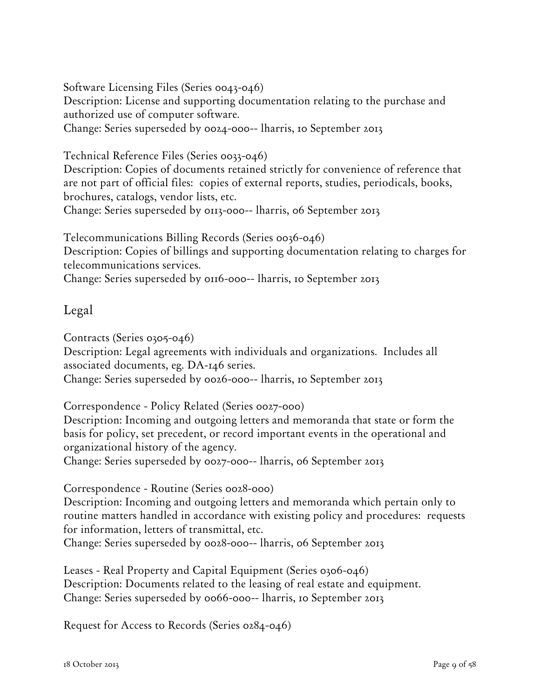Software Licensing Files (Series 0043-046) Description: License and supporting documentation relating to the purchase and authorized use of computer software. Change: Series superseded by 0024-000-- lharris, 10 September 2013

Technical Reference Files (Series 0033-046)

Description: Copies of documents retained strictly for convenience of reference that are not part of official files: copies of external reports, studies, periodicals, books, brochures, catalogs, vendor lists, etc. Change: Series superseded by 0113-000-- lharris, 06 September 2013

Telecommunications Billing Records (Series 0036-046) Description: Copies of billings and supporting documentation relating to charges for telecommunications services. Change: Series superseded by 0116-000-- lharris, 10 September 2013

### Legal

Contracts (Series 0305-046)

Description: Legal agreements with individuals and organizations. Includes all associated documents, eg. DA-146 series.

Change: Series superseded by 0026-000-- lharris, 10 September 2013

Correspondence - Policy Related (Series 0027-000)

Description: Incoming and outgoing letters and memoranda that state or form the basis for policy, set precedent, or record important events in the operational and organizational history of the agency.

Change: Series superseded by 0027-000-- lharris, 06 September 2013

Correspondence - Routine (Series 0028-000)

Description: Incoming and outgoing letters and memoranda which pertain only to routine matters handled in accordance with existing policy and procedures: requests for information, letters of transmittal, etc.

Change: Series superseded by 0028-000-- lharris, 06 September 2013

Leases - Real Property and Capital Equipment (Series 0306-046) Description: Documents related to the leasing of real estate and equipment. Change: Series superseded by 0066-000-- lharris, 10 September 2013

Request for Access to Records (Series 0284-046)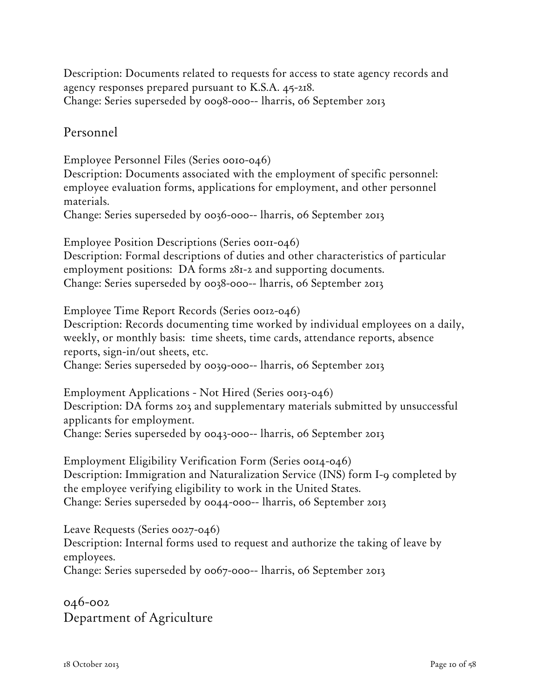Description: Documents related to requests for access to state agency records and agency responses prepared pursuant to K.S.A. 45-218. Change: Series superseded by 0098-000-- lharris, 06 September 2013

Personnel

Employee Personnel Files (Series 0010-046) Description: Documents associated with the employment of specific personnel: employee evaluation forms, applications for employment, and other personnel materials. Change: Series superseded by 0036-000-- lharris, 06 September 2013 Employee Position Descriptions (Series 0011-046) Description: Formal descriptions of duties and other characteristics of particular employment positions: DA forms 281-2 and supporting documents. Change: Series superseded by 0038-000-- lharris, 06 September 2013

Employee Time Report Records (Series 0012-046)

Description: Records documenting time worked by individual employees on a daily, weekly, or monthly basis: time sheets, time cards, attendance reports, absence reports, sign-in/out sheets, etc.

Change: Series superseded by 0039-000-- lharris, 06 September 2013

Employment Applications - Not Hired (Series 0013-046) Description: DA forms 203 and supplementary materials submitted by unsuccessful applicants for employment. Change: Series superseded by 0043-000-- lharris, 06 September 2013

Employment Eligibility Verification Form (Series 0014-046) Description: Immigration and Naturalization Service (INS) form I-9 completed by the employee verifying eligibility to work in the United States. Change: Series superseded by 0044-000-- lharris, 06 September 2013

Leave Requests (Series 0027-046) Description: Internal forms used to request and authorize the taking of leave by employees.

Change: Series superseded by 0067-000-- lharris, 06 September 2013

046-002 Department of Agriculture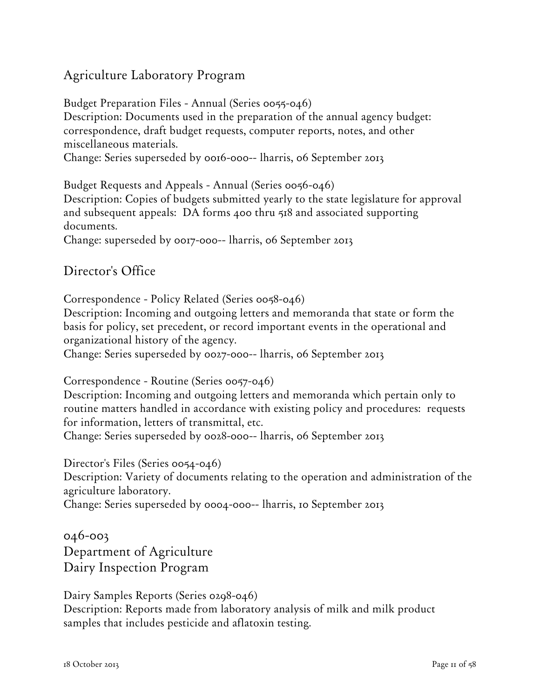## Agriculture Laboratory Program

Budget Preparation Files - Annual (Series 0055-046) Description: Documents used in the preparation of the annual agency budget: correspondence, draft budget requests, computer reports, notes, and other miscellaneous materials. Change: Series superseded by 0016-000-- lharris, 06 September 2013

Budget Requests and Appeals - Annual (Series 0056-046) Description: Copies of budgets submitted yearly to the state legislature for approval and subsequent appeals: DA forms 400 thru 518 and associated supporting documents.

Change: superseded by 0017-000-- lharris, 06 September 2013

## Director's Office

Correspondence - Policy Related (Series 0058-046)

Description: Incoming and outgoing letters and memoranda that state or form the basis for policy, set precedent, or record important events in the operational and organizational history of the agency.

Change: Series superseded by 0027-000-- lharris, 06 September 2013

Correspondence - Routine (Series 0057-046)

Description: Incoming and outgoing letters and memoranda which pertain only to routine matters handled in accordance with existing policy and procedures: requests for information, letters of transmittal, etc.

Change: Series superseded by 0028-000-- lharris, 06 September 2013

Director's Files (Series 0054-046)

Description: Variety of documents relating to the operation and administration of the agriculture laboratory.

Change: Series superseded by 0004-000-- lharris, 10 September 2013

046-003 Department of Agriculture Dairy Inspection Program

Dairy Samples Reports (Series 0298-046) Description: Reports made from laboratory analysis of milk and milk product samples that includes pesticide and aflatoxin testing.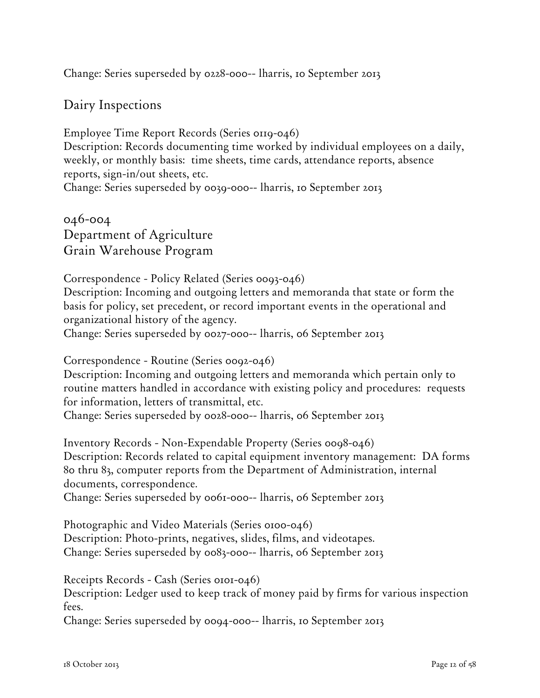Change: Series superseded by 0228-000-- lharris, 10 September 2013

Dairy Inspections

Employee Time Report Records (Series 0119-046) Description: Records documenting time worked by individual employees on a daily, weekly, or monthly basis: time sheets, time cards, attendance reports, absence reports, sign-in/out sheets, etc. Change: Series superseded by 0039-000-- lharris, 10 September 2013

046-004 Department of Agriculture Grain Warehouse Program

Correspondence - Policy Related (Series 0093-046) Description: Incoming and outgoing letters and memoranda that state or form the basis for policy, set precedent, or record important events in the operational and organizational history of the agency. Change: Series superseded by 0027-000-- lharris, 06 September 2013

Correspondence - Routine (Series 0092-046)

Description: Incoming and outgoing letters and memoranda which pertain only to routine matters handled in accordance with existing policy and procedures: requests for information, letters of transmittal, etc.

Change: Series superseded by 0028-000-- lharris, 06 September 2013

Inventory Records - Non-Expendable Property (Series 0098-046) Description: Records related to capital equipment inventory management: DA forms 80 thru 83, computer reports from the Department of Administration, internal documents, correspondence. Change: Series superseded by 0061-000-- lharris, 06 September 2013

Photographic and Video Materials (Series 0100-046) Description: Photo-prints, negatives, slides, films, and videotapes. Change: Series superseded by 0083-000-- lharris, 06 September 2013

Receipts Records - Cash (Series 0101-046)

Description: Ledger used to keep track of money paid by firms for various inspection fees.

Change: Series superseded by 0094-000-- lharris, 10 September 2013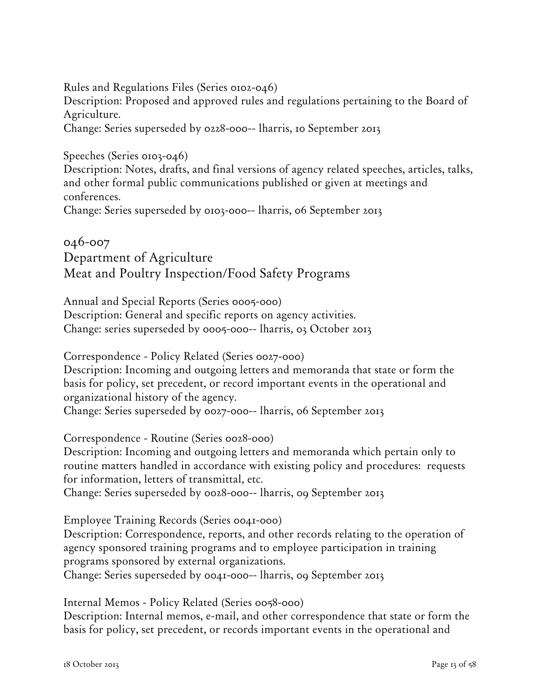Rules and Regulations Files (Series 0102-046) Description: Proposed and approved rules and regulations pertaining to the Board of Agriculture. Change: Series superseded by 0228-000-- lharris, 10 September 2013

Speeches (Series 0103-046)

Description: Notes, drafts, and final versions of agency related speeches, articles, talks, and other formal public communications published or given at meetings and conferences.

Change: Series superseded by 0103-000-- lharris, 06 September 2013

## 046-007 Department of Agriculture Meat and Poultry Inspection/Food Safety Programs

Annual and Special Reports (Series 0005-000) Description: General and specific reports on agency activities. Change: series superseded by 0005-000-- lharris, 03 October 2013

Correspondence - Policy Related (Series 0027-000) Description: Incoming and outgoing letters and memoranda that state or form the basis for policy, set precedent, or record important events in the operational and organizational history of the agency. Change: Series superseded by 0027-000-- lharris, 06 September 2013

Correspondence - Routine (Series 0028-000)

Description: Incoming and outgoing letters and memoranda which pertain only to routine matters handled in accordance with existing policy and procedures: requests for information, letters of transmittal, etc.

Change: Series superseded by 0028-000-- lharris, 09 September 2013

Employee Training Records (Series 0041-000)

Description: Correspondence, reports, and other records relating to the operation of agency sponsored training programs and to employee participation in training programs sponsored by external organizations.

Change: Series superseded by 0041-000-- lharris, 09 September 2013

Internal Memos - Policy Related (Series 0058-000)

Description: Internal memos, e-mail, and other correspondence that state or form the basis for policy, set precedent, or records important events in the operational and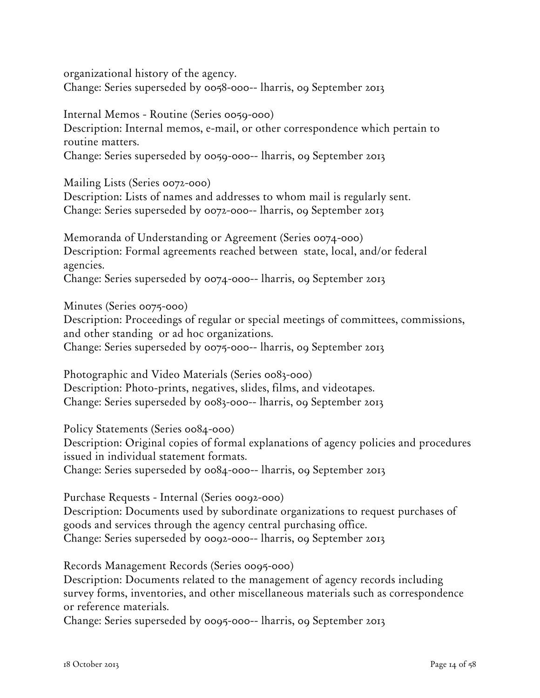organizational history of the agency. Change: Series superseded by 0058-000-- lharris, 09 September 2013

Internal Memos - Routine (Series 0059-000) Description: Internal memos, e-mail, or other correspondence which pertain to routine matters. Change: Series superseded by 0059-000-- lharris, 09 September 2013

Mailing Lists (Series 0072-000)

Description: Lists of names and addresses to whom mail is regularly sent. Change: Series superseded by 0072-000-- lharris, 09 September 2013

Memoranda of Understanding or Agreement (Series 0074-000) Description: Formal agreements reached between state, local, and/or federal agencies.

Change: Series superseded by 0074-000-- lharris, 09 September 2013

Minutes (Series 0075-000) Description: Proceedings of regular or special meetings of committees, commissions, and other standing or ad hoc organizations. Change: Series superseded by 0075-000-- lharris, 09 September 2013

Photographic and Video Materials (Series 0083-000) Description: Photo-prints, negatives, slides, films, and videotapes. Change: Series superseded by 0083-000-- lharris, 09 September 2013

Policy Statements (Series 0084-000) Description: Original copies of formal explanations of agency policies and procedures issued in individual statement formats.

Change: Series superseded by 0084-000-- lharris, 09 September 2013

Purchase Requests - Internal (Series 0092-000) Description: Documents used by subordinate organizations to request purchases of goods and services through the agency central purchasing office. Change: Series superseded by 0092-000-- lharris, 09 September 2013

Records Management Records (Series 0095-000)

Description: Documents related to the management of agency records including survey forms, inventories, and other miscellaneous materials such as correspondence or reference materials.

Change: Series superseded by 0095-000-- lharris, 09 September 2013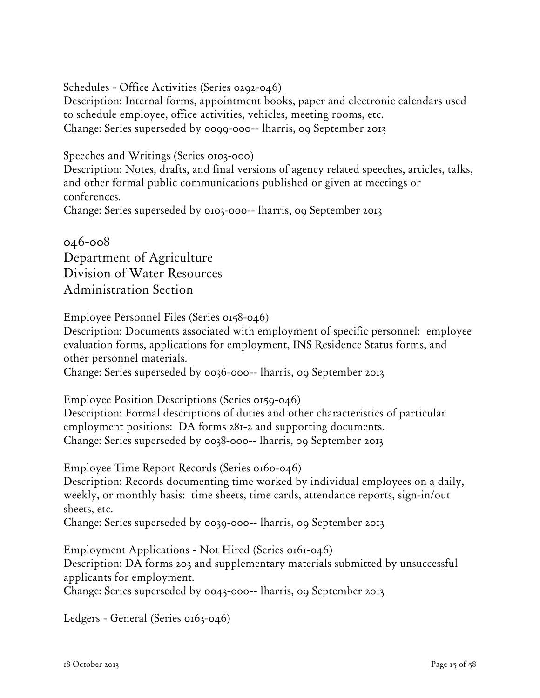Schedules - Office Activities (Series 0292-046)

Description: Internal forms, appointment books, paper and electronic calendars used to schedule employee, office activities, vehicles, meeting rooms, etc. Change: Series superseded by 0099-000-- lharris, 09 September 2013

Speeches and Writings (Series 0103-000)

Description: Notes, drafts, and final versions of agency related speeches, articles, talks, and other formal public communications published or given at meetings or conferences.

Change: Series superseded by 0103-000-- lharris, 09 September 2013

046-008 Department of Agriculture Division of Water Resources Administration Section

Employee Personnel Files (Series 0158-046)

Description: Documents associated with employment of specific personnel: employee evaluation forms, applications for employment, INS Residence Status forms, and other personnel materials.

Change: Series superseded by 0036-000-- lharris, 09 September 2013

Employee Position Descriptions (Series 0159-046)

Description: Formal descriptions of duties and other characteristics of particular employment positions: DA forms 281-2 and supporting documents. Change: Series superseded by 0038-000-- lharris, 09 September 2013

Employee Time Report Records (Series 0160-046)

Description: Records documenting time worked by individual employees on a daily, weekly, or monthly basis: time sheets, time cards, attendance reports, sign-in/out sheets, etc.

Change: Series superseded by 0039-000-- lharris, 09 September 2013

Employment Applications - Not Hired (Series 0161-046) Description: DA forms 203 and supplementary materials submitted by unsuccessful applicants for employment.

Change: Series superseded by 0043-000-- lharris, 09 September 2013

Ledgers - General (Series 0163-046)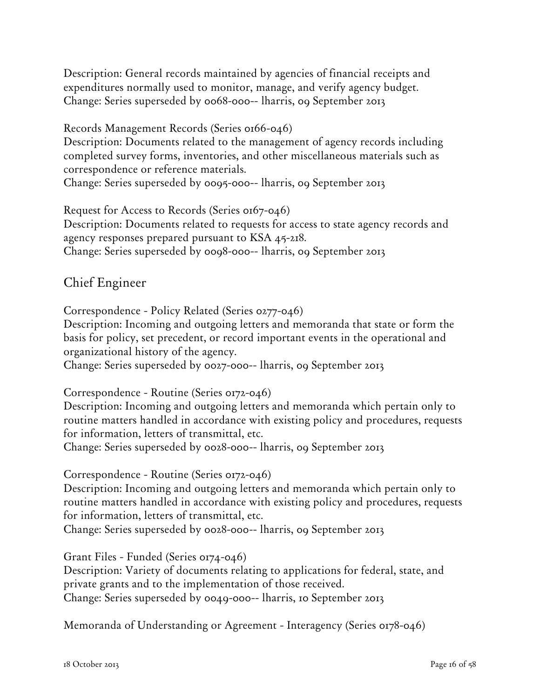Description: General records maintained by agencies of financial receipts and expenditures normally used to monitor, manage, and verify agency budget. Change: Series superseded by 0068-000-- lharris, 09 September 2013

Records Management Records (Series 0166-046) Description: Documents related to the management of agency records including completed survey forms, inventories, and other miscellaneous materials such as correspondence or reference materials.

Change: Series superseded by 0095-000-- lharris, 09 September 2013

Request for Access to Records (Series 0167-046) Description: Documents related to requests for access to state agency records and agency responses prepared pursuant to KSA 45-218. Change: Series superseded by 0098-000-- lharris, 09 September 2013

## Chief Engineer

Correspondence - Policy Related (Series 0277-046)

Description: Incoming and outgoing letters and memoranda that state or form the basis for policy, set precedent, or record important events in the operational and organizational history of the agency.

Change: Series superseded by 0027-000-- lharris, 09 September 2013

Correspondence - Routine (Series 0172-046)

Description: Incoming and outgoing letters and memoranda which pertain only to routine matters handled in accordance with existing policy and procedures, requests for information, letters of transmittal, etc.

Change: Series superseded by 0028-000-- lharris, 09 September 2013

Correspondence - Routine (Series 0172-046)

Description: Incoming and outgoing letters and memoranda which pertain only to routine matters handled in accordance with existing policy and procedures, requests for information, letters of transmittal, etc.

Change: Series superseded by 0028-000-- lharris, 09 September 2013

Grant Files - Funded (Series 0174-046)

Description: Variety of documents relating to applications for federal, state, and private grants and to the implementation of those received. Change: Series superseded by 0049-000-- lharris, 10 September 2013

Memoranda of Understanding or Agreement - Interagency (Series 0178-046)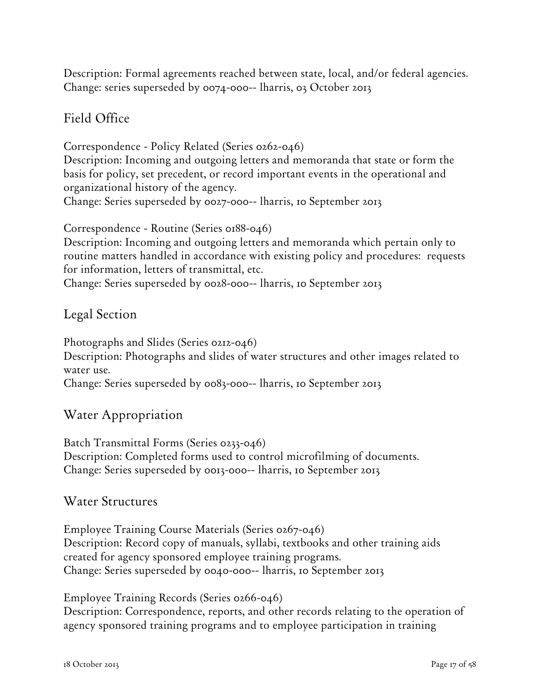Description: Formal agreements reached between state, local, and/or federal agencies. Change: series superseded by 0074-000-- lharris, 03 October 2013

## Field Office

Correspondence - Policy Related (Series 0262-046) Description: Incoming and outgoing letters and memoranda that state or form the basis for policy, set precedent, or record important events in the operational and organizational history of the agency. Change: Series superseded by 0027-000-- lharris, 10 September 2013

Correspondence - Routine (Series 0188-046)

Description: Incoming and outgoing letters and memoranda which pertain only to routine matters handled in accordance with existing policy and procedures: requests for information, letters of transmittal, etc.

Change: Series superseded by 0028-000-- lharris, 10 September 2013

### Legal Section

Photographs and Slides (Series 0212-046) Description: Photographs and slides of water structures and other images related to water use. Change: Series superseded by 0083-000-- lharris, 10 September 2013

### Water Appropriation

Batch Transmittal Forms (Series 0233-046) Description: Completed forms used to control microfilming of documents. Change: Series superseded by 0013-000-- lharris, 10 September 2013

#### Water Structures

Employee Training Course Materials (Series 0267-046) Description: Record copy of manuals, syllabi, textbooks and other training aids created for agency sponsored employee training programs. Change: Series superseded by 0040-000-- lharris, 10 September 2013

Employee Training Records (Series 0266-046) Description: Correspondence, reports, and other records relating to the operation of agency sponsored training programs and to employee participation in training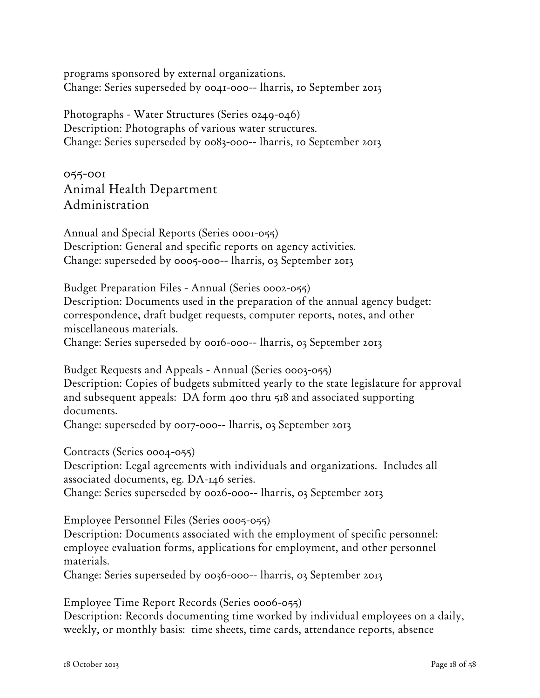programs sponsored by external organizations. Change: Series superseded by 0041-000-- lharris, 10 September 2013

Photographs - Water Structures (Series 0249-046) Description: Photographs of various water structures. Change: Series superseded by 0083-000-- lharris, 10 September 2013

055-001 Animal Health Department Administration

Annual and Special Reports (Series 0001-055) Description: General and specific reports on agency activities. Change: superseded by 0005-000-- lharris, 03 September 2013

Budget Preparation Files - Annual (Series 0002-055) Description: Documents used in the preparation of the annual agency budget: correspondence, draft budget requests, computer reports, notes, and other miscellaneous materials. Change: Series superseded by 0016-000-- lharris, 03 September 2013

Budget Requests and Appeals - Annual (Series 0003-055) Description: Copies of budgets submitted yearly to the state legislature for approval and subsequent appeals: DA form 400 thru 518 and associated supporting documents.

Change: superseded by 0017-000-- lharris, 03 September 2013

Contracts (Series 0004-055)

Description: Legal agreements with individuals and organizations. Includes all associated documents, eg. DA-146 series.

Change: Series superseded by 0026-000-- lharris, 03 September 2013

Employee Personnel Files (Series 0005-055)

Description: Documents associated with the employment of specific personnel: employee evaluation forms, applications for employment, and other personnel materials.

Change: Series superseded by 0036-000-- lharris, 03 September 2013

Employee Time Report Records (Series 0006-055)

Description: Records documenting time worked by individual employees on a daily, weekly, or monthly basis: time sheets, time cards, attendance reports, absence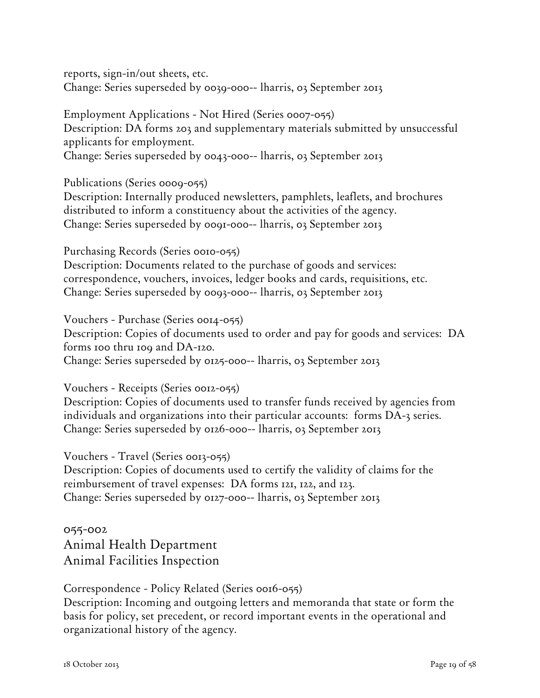reports, sign-in/out sheets, etc. Change: Series superseded by 0039-000-- lharris, 03 September 2013

Employment Applications - Not Hired (Series 0007-055) Description: DA forms 203 and supplementary materials submitted by unsuccessful applicants for employment. Change: Series superseded by 0043-000-- lharris, 03 September 2013

Publications (Series 0009-055)

Description: Internally produced newsletters, pamphlets, leaflets, and brochures distributed to inform a constituency about the activities of the agency. Change: Series superseded by 0091-000-- lharris, 03 September 2013

Purchasing Records (Series 0010-055) Description: Documents related to the purchase of goods and services: correspondence, vouchers, invoices, ledger books and cards, requisitions, etc. Change: Series superseded by 0093-000-- lharris, 03 September 2013

Vouchers - Purchase (Series 0014-055) Description: Copies of documents used to order and pay for goods and services: DA forms 100 thru 109 and DA-120. Change: Series superseded by 0125-000-- lharris, 03 September 2013

Vouchers - Receipts (Series 0012-055)

Description: Copies of documents used to transfer funds received by agencies from individuals and organizations into their particular accounts: forms DA-3 series. Change: Series superseded by 0126-000-- lharris, 03 September 2013

Vouchers - Travel (Series 0013-055)

Description: Copies of documents used to certify the validity of claims for the reimbursement of travel expenses: DA forms 121, 122, and 123. Change: Series superseded by 0127-000-- lharris, 03 September 2013

055-002 Animal Health Department Animal Facilities Inspection

Correspondence - Policy Related (Series 0016-055)

Description: Incoming and outgoing letters and memoranda that state or form the basis for policy, set precedent, or record important events in the operational and organizational history of the agency.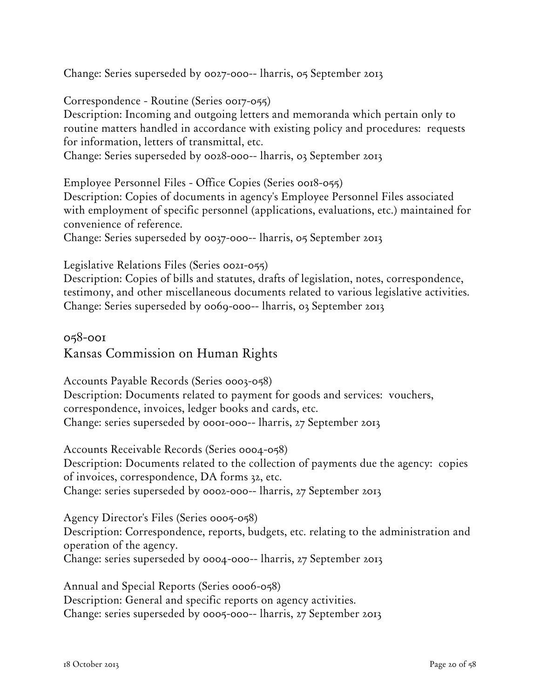Change: Series superseded by 0027-000-- lharris, 05 September 2013

Correspondence - Routine (Series 0017-055)

Description: Incoming and outgoing letters and memoranda which pertain only to routine matters handled in accordance with existing policy and procedures: requests for information, letters of transmittal, etc.

Change: Series superseded by 0028-000-- lharris, 03 September 2013

Employee Personnel Files - Office Copies (Series 0018-055) Description: Copies of documents in agency's Employee Personnel Files associated with employment of specific personnel (applications, evaluations, etc.) maintained for convenience of reference.

Change: Series superseded by 0037-000-- lharris, 05 September 2013

Legislative Relations Files (Series 0021-055)

Description: Copies of bills and statutes, drafts of legislation, notes, correspondence, testimony, and other miscellaneous documents related to various legislative activities. Change: Series superseded by 0069-000-- lharris, 03 September 2013

058-001 Kansas Commission on Human Rights

Accounts Payable Records (Series 0003-058) Description: Documents related to payment for goods and services: vouchers, correspondence, invoices, ledger books and cards, etc. Change: series superseded by 0001-000-- lharris, 27 September 2013

Accounts Receivable Records (Series 0004-058) Description: Documents related to the collection of payments due the agency: copies of invoices, correspondence, DA forms 32, etc. Change: series superseded by 0002-000-- lharris, 27 September 2013

Agency Director's Files (Series 0005-058) Description: Correspondence, reports, budgets, etc. relating to the administration and operation of the agency. Change: series superseded by 0004-000-- lharris, 27 September 2013

Annual and Special Reports (Series 0006-058) Description: General and specific reports on agency activities. Change: series superseded by 0005-000-- lharris, 27 September 2013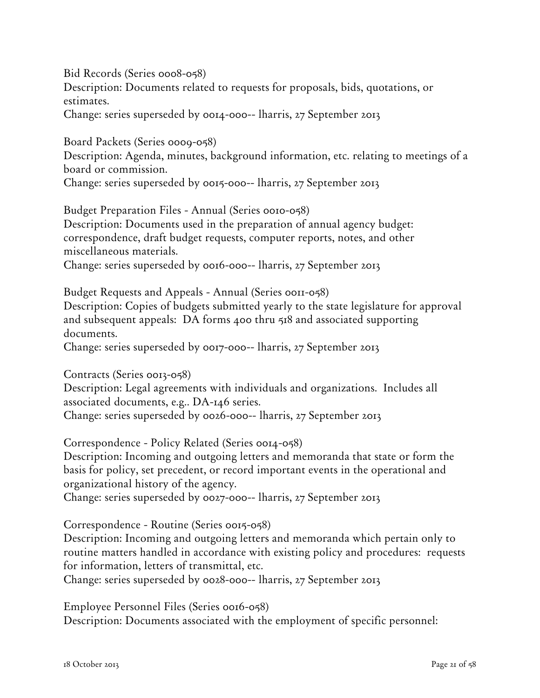Bid Records (Series 0008-058) Description: Documents related to requests for proposals, bids, quotations, or estimates.

Change: series superseded by 0014-000-- lharris, 27 September 2013

Board Packets (Series 0009-058) Description: Agenda, minutes, background information, etc. relating to meetings of a board or commission.

Change: series superseded by 0015-000-- lharris, 27 September 2013

Budget Preparation Files - Annual (Series 0010-058) Description: Documents used in the preparation of annual agency budget: correspondence, draft budget requests, computer reports, notes, and other miscellaneous materials. Change: series superseded by 0016-000-- lharris, 27 September 2013

Budget Requests and Appeals - Annual (Series 0011-058) Description: Copies of budgets submitted yearly to the state legislature for approval and subsequent appeals: DA forms 400 thru 518 and associated supporting documents.

Change: series superseded by 0017-000-- lharris, 27 September 2013

Contracts (Series 0013-058) Description: Legal agreements with individuals and organizations. Includes all associated documents, e.g.. DA-146 series. Change: series superseded by 0026-000-- lharris, 27 September 2013

Correspondence - Policy Related (Series 0014-058)

Description: Incoming and outgoing letters and memoranda that state or form the basis for policy, set precedent, or record important events in the operational and organizational history of the agency.

Change: series superseded by 0027-000-- lharris, 27 September 2013

Correspondence - Routine (Series 0015-058)

Description: Incoming and outgoing letters and memoranda which pertain only to routine matters handled in accordance with existing policy and procedures: requests for information, letters of transmittal, etc.

Change: series superseded by 0028-000-- lharris, 27 September 2013

Employee Personnel Files (Series 0016-058) Description: Documents associated with the employment of specific personnel: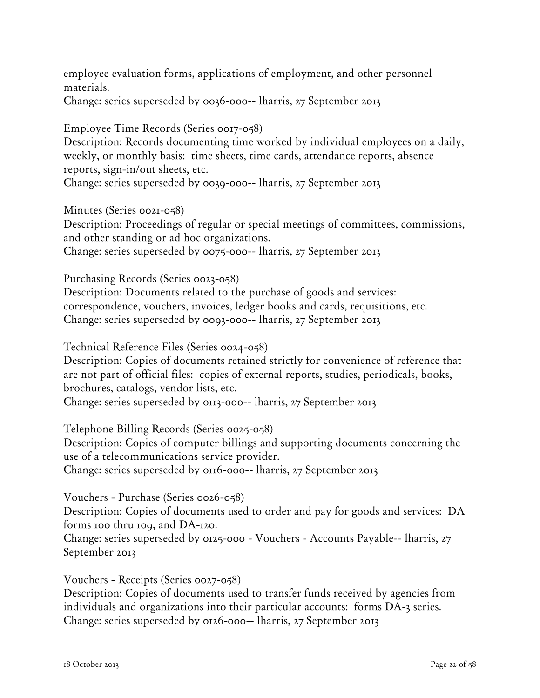employee evaluation forms, applications of employment, and other personnel materials.

Change: series superseded by 0036-000-- lharris, 27 September 2013

Employee Time Records (Series 0017-058)

Description: Records documenting time worked by individual employees on a daily, weekly, or monthly basis: time sheets, time cards, attendance reports, absence reports, sign-in/out sheets, etc. Change: series superseded by 0039-000-- lharris, 27 September 2013

Minutes (Series 0021-058)

Description: Proceedings of regular or special meetings of committees, commissions, and other standing or ad hoc organizations. Change: series superseded by 0075-000-- lharris, 27 September 2013

Purchasing Records (Series 0023-058)

Description: Documents related to the purchase of goods and services: correspondence, vouchers, invoices, ledger books and cards, requisitions, etc. Change: series superseded by 0093-000-- lharris, 27 September 2013

Technical Reference Files (Series 0024-058)

Description: Copies of documents retained strictly for convenience of reference that are not part of official files: copies of external reports, studies, periodicals, books, brochures, catalogs, vendor lists, etc.

Change: series superseded by 0113-000-- lharris, 27 September 2013

Telephone Billing Records (Series 0025-058)

Description: Copies of computer billings and supporting documents concerning the use of a telecommunications service provider.

Change: series superseded by 0116-000-- lharris, 27 September 2013

Vouchers - Purchase (Series 0026-058)

Description: Copies of documents used to order and pay for goods and services: DA forms 100 thru 109, and DA-120.

Change: series superseded by 0125-000 - Vouchers - Accounts Payable-- lharris, 27 September 2013

Vouchers - Receipts (Series 0027-058)

Description: Copies of documents used to transfer funds received by agencies from individuals and organizations into their particular accounts: forms DA-3 series. Change: series superseded by 0126-000-- lharris, 27 September 2013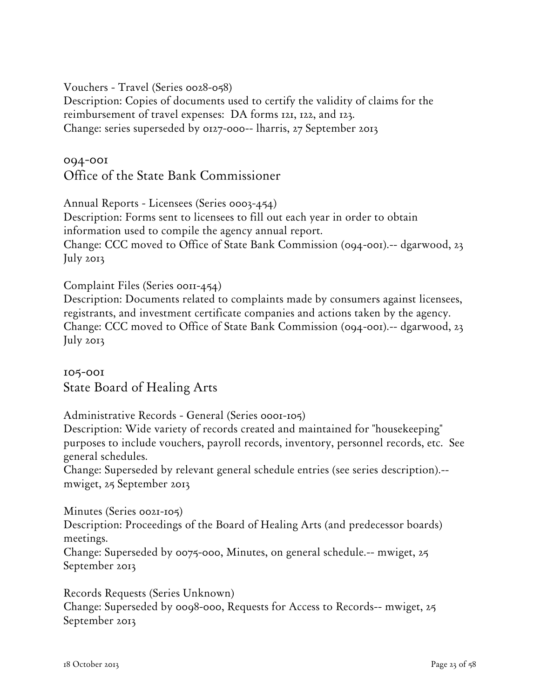Vouchers - Travel (Series 0028-058)

Description: Copies of documents used to certify the validity of claims for the reimbursement of travel expenses: DA forms 121, 122, and 123. Change: series superseded by 0127-000-- lharris, 27 September 2013

094-001 Office of the State Bank Commissioner

Annual Reports - Licensees (Series 0003-454) Description: Forms sent to licensees to fill out each year in order to obtain information used to compile the agency annual report. Change: CCC moved to Office of State Bank Commission (094-001).-- dgarwood, 23 July 2013

Complaint Files (Series 0011-454)

Description: Documents related to complaints made by consumers against licensees, registrants, and investment certificate companies and actions taken by the agency. Change: CCC moved to Office of State Bank Commission (094-001).-- dgarwood, 23 July 2013

105-001 State Board of Healing Arts

Administrative Records - General (Series 0001-105)

Description: Wide variety of records created and maintained for "housekeeping" purposes to include vouchers, payroll records, inventory, personnel records, etc. See general schedules.

Change: Superseded by relevant general schedule entries (see series description).- mwiget, 25 September 2013

Minutes (Series 0021-105) Description: Proceedings of the Board of Healing Arts (and predecessor boards) meetings.

Change: Superseded by 0075-000, Minutes, on general schedule.-- mwiget, 25 September 2013

Records Requests (Series Unknown) Change: Superseded by 0098-000, Requests for Access to Records-- mwiget, 25 September 2013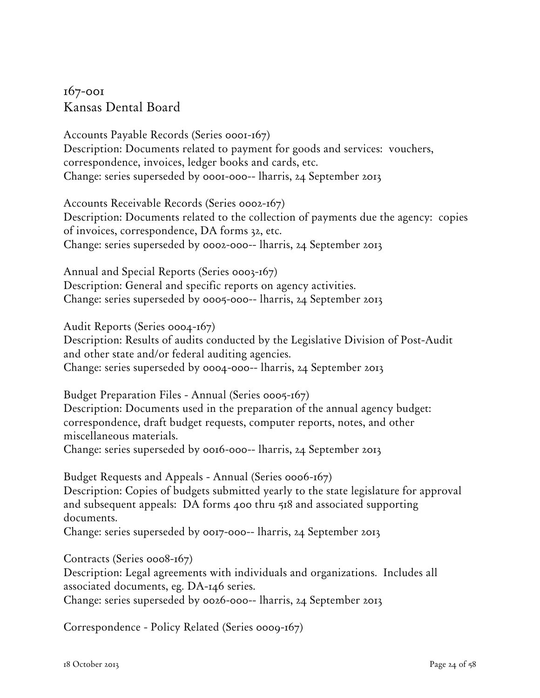## 167-001 Kansas Dental Board

Accounts Payable Records (Series 0001-167) Description: Documents related to payment for goods and services: vouchers, correspondence, invoices, ledger books and cards, etc. Change: series superseded by 0001-000-- lharris, 24 September 2013

Accounts Receivable Records (Series 0002-167) Description: Documents related to the collection of payments due the agency: copies of invoices, correspondence, DA forms 32, etc. Change: series superseded by 0002-000-- lharris, 24 September 2013

Annual and Special Reports (Series 0003-167) Description: General and specific reports on agency activities. Change: series superseded by 0005-000-- lharris, 24 September 2013

Audit Reports (Series 0004-167)

Description: Results of audits conducted by the Legislative Division of Post-Audit and other state and/or federal auditing agencies. Change: series superseded by 0004-000-- lharris, 24 September 2013

Budget Preparation Files - Annual (Series 0005-167) Description: Documents used in the preparation of the annual agency budget: correspondence, draft budget requests, computer reports, notes, and other miscellaneous materials.

Change: series superseded by 0016-000-- lharris, 24 September 2013

Budget Requests and Appeals - Annual (Series 0006-167) Description: Copies of budgets submitted yearly to the state legislature for approval and subsequent appeals: DA forms 400 thru 518 and associated supporting documents.

Change: series superseded by 0017-000-- lharris, 24 September 2013

Contracts (Series 0008-167)

Description: Legal agreements with individuals and organizations. Includes all associated documents, eg. DA-146 series.

Change: series superseded by 0026-000-- lharris, 24 September 2013

Correspondence - Policy Related (Series 0009-167)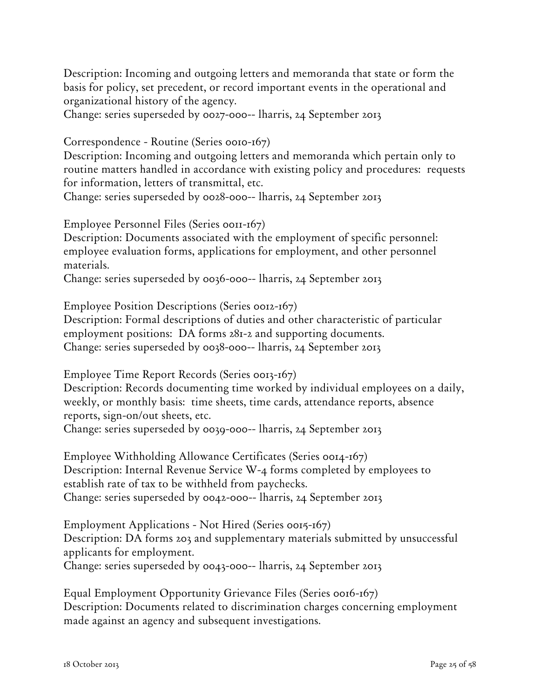Description: Incoming and outgoing letters and memoranda that state or form the basis for policy, set precedent, or record important events in the operational and organizational history of the agency.

Change: series superseded by 0027-000-- lharris, 24 September 2013

Correspondence - Routine (Series 0010-167)

Description: Incoming and outgoing letters and memoranda which pertain only to routine matters handled in accordance with existing policy and procedures: requests for information, letters of transmittal, etc.

Change: series superseded by 0028-000-- lharris, 24 September 2013

Employee Personnel Files (Series 0011-167)

Description: Documents associated with the employment of specific personnel: employee evaluation forms, applications for employment, and other personnel materials.

Change: series superseded by 0036-000-- lharris, 24 September 2013

Employee Position Descriptions (Series 0012-167)

Description: Formal descriptions of duties and other characteristic of particular employment positions: DA forms 281-2 and supporting documents. Change: series superseded by 0038-000-- lharris, 24 September 2013

Employee Time Report Records (Series 0013-167)

Description: Records documenting time worked by individual employees on a daily, weekly, or monthly basis: time sheets, time cards, attendance reports, absence reports, sign-on/out sheets, etc. Change: series superseded by 0039-000-- lharris, 24 September 2013

Employee Withholding Allowance Certificates (Series 0014-167) Description: Internal Revenue Service W-4 forms completed by employees to establish rate of tax to be withheld from paychecks. Change: series superseded by 0042-000-- lharris, 24 September 2013

Employment Applications - Not Hired (Series 0015-167) Description: DA forms 203 and supplementary materials submitted by unsuccessful applicants for employment. Change: series superseded by 0043-000-- lharris, 24 September 2013

Equal Employment Opportunity Grievance Files (Series 0016-167) Description: Documents related to discrimination charges concerning employment made against an agency and subsequent investigations.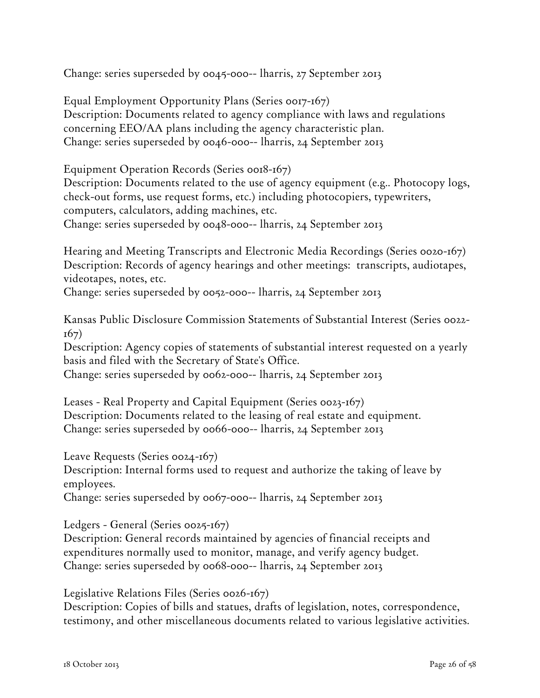Change: series superseded by 0045-000-- lharris, 27 September 2013

Equal Employment Opportunity Plans (Series 0017-167) Description: Documents related to agency compliance with laws and regulations concerning EEO/AA plans including the agency characteristic plan. Change: series superseded by 0046-000-- lharris, 24 September 2013

Equipment Operation Records (Series 0018-167)

Description: Documents related to the use of agency equipment (e.g.. Photocopy logs, check-out forms, use request forms, etc.) including photocopiers, typewriters, computers, calculators, adding machines, etc.

Change: series superseded by 0048-000-- lharris, 24 September 2013

Hearing and Meeting Transcripts and Electronic Media Recordings (Series 0020-167) Description: Records of agency hearings and other meetings: transcripts, audiotapes, videotapes, notes, etc.

Change: series superseded by 0052-000-- lharris, 24 September 2013

Kansas Public Disclosure Commission Statements of Substantial Interest (Series 0022- 167)

Description: Agency copies of statements of substantial interest requested on a yearly basis and filed with the Secretary of State's Office.

Change: series superseded by 0062-000-- lharris, 24 September 2013

Leases - Real Property and Capital Equipment (Series 0023-167) Description: Documents related to the leasing of real estate and equipment. Change: series superseded by 0066-000-- lharris, 24 September 2013

Leave Requests (Series 0024-167) Description: Internal forms used to request and authorize the taking of leave by employees.

Change: series superseded by 0067-000-- lharris, 24 September 2013

Ledgers - General (Series 0025-167)

Description: General records maintained by agencies of financial receipts and expenditures normally used to monitor, manage, and verify agency budget. Change: series superseded by 0068-000-- lharris, 24 September 2013

Legislative Relations Files (Series 0026-167)

Description: Copies of bills and statues, drafts of legislation, notes, correspondence, testimony, and other miscellaneous documents related to various legislative activities.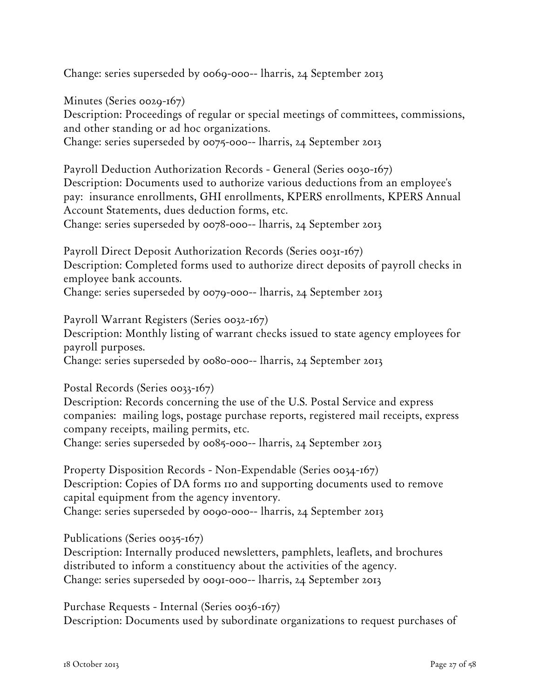Change: series superseded by 0069-000-- lharris, 24 September 2013

Minutes (Series 0029-167) Description: Proceedings of regular or special meetings of committees, commissions, and other standing or ad hoc organizations. Change: series superseded by 0075-000-- lharris, 24 September 2013

Payroll Deduction Authorization Records - General (Series 0030-167) Description: Documents used to authorize various deductions from an employee's pay: insurance enrollments, GHI enrollments, KPERS enrollments, KPERS Annual Account Statements, dues deduction forms, etc. Change: series superseded by 0078-000-- lharris, 24 September 2013

Payroll Direct Deposit Authorization Records (Series 0031-167) Description: Completed forms used to authorize direct deposits of payroll checks in employee bank accounts.

Change: series superseded by 0079-000-- lharris, 24 September 2013

Payroll Warrant Registers (Series 0032-167)

Description: Monthly listing of warrant checks issued to state agency employees for payroll purposes.

Change: series superseded by 0080-000-- lharris, 24 September 2013

Postal Records (Series 0033-167)

Description: Records concerning the use of the U.S. Postal Service and express companies: mailing logs, postage purchase reports, registered mail receipts, express company receipts, mailing permits, etc.

Change: series superseded by 0085-000-- lharris, 24 September 2013

Property Disposition Records - Non-Expendable (Series 0034-167) Description: Copies of DA forms 110 and supporting documents used to remove capital equipment from the agency inventory. Change: series superseded by 0090-000-- lharris, 24 September 2013

Publications (Series 0035-167)

Description: Internally produced newsletters, pamphlets, leaflets, and brochures distributed to inform a constituency about the activities of the agency. Change: series superseded by 0091-000-- lharris, 24 September 2013

Purchase Requests - Internal (Series 0036-167) Description: Documents used by subordinate organizations to request purchases of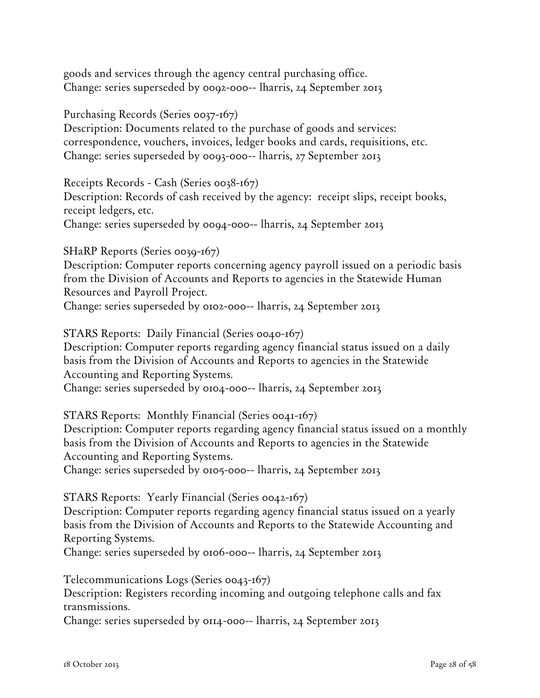goods and services through the agency central purchasing office. Change: series superseded by 0092-000-- lharris, 24 September 2013

Purchasing Records (Series 0037-167)

Description: Documents related to the purchase of goods and services: correspondence, vouchers, invoices, ledger books and cards, requisitions, etc. Change: series superseded by 0093-000-- lharris, 27 September 2013

Receipts Records - Cash (Series 0038-167)

Description: Records of cash received by the agency: receipt slips, receipt books, receipt ledgers, etc.

Change: series superseded by 0094-000-- lharris, 24 September 2013

SHaRP Reports (Series 0039-167)

Description: Computer reports concerning agency payroll issued on a periodic basis from the Division of Accounts and Reports to agencies in the Statewide Human Resources and Payroll Project. Change: series superseded by 0102-000-- lharris, 24 September 2013

STARS Reports: Daily Financial (Series 0040-167)

Description: Computer reports regarding agency financial status issued on a daily basis from the Division of Accounts and Reports to agencies in the Statewide Accounting and Reporting Systems.

Change: series superseded by 0104-000-- lharris, 24 September 2013

STARS Reports: Monthly Financial (Series 0041-167)

Description: Computer reports regarding agency financial status issued on a monthly basis from the Division of Accounts and Reports to agencies in the Statewide Accounting and Reporting Systems.

Change: series superseded by 0105-000-- lharris, 24 September 2013

STARS Reports: Yearly Financial (Series 0042-167)

Description: Computer reports regarding agency financial status issued on a yearly basis from the Division of Accounts and Reports to the Statewide Accounting and Reporting Systems.

Change: series superseded by 0106-000-- lharris, 24 September 2013

Telecommunications Logs (Series 0043-167)

Description: Registers recording incoming and outgoing telephone calls and fax transmissions.

Change: series superseded by 0114-000-- lharris, 24 September 2013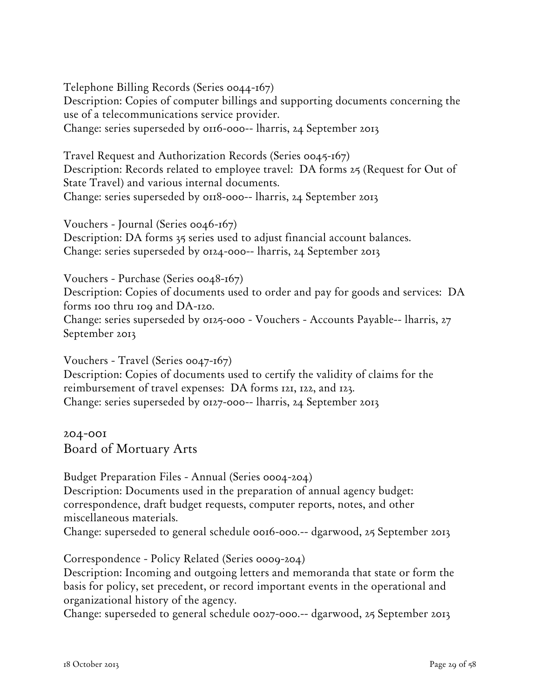Telephone Billing Records (Series 0044-167) Description: Copies of computer billings and supporting documents concerning the use of a telecommunications service provider. Change: series superseded by 0116-000-- lharris, 24 September 2013

Travel Request and Authorization Records (Series 0045-167) Description: Records related to employee travel: DA forms 25 (Request for Out of State Travel) and various internal documents. Change: series superseded by 0118-000-- lharris, 24 September 2013

Vouchers - Journal (Series 0046-167) Description: DA forms 35 series used to adjust financial account balances. Change: series superseded by 0124-000-- lharris, 24 September 2013

Vouchers - Purchase (Series 0048-167) Description: Copies of documents used to order and pay for goods and services: DA forms 100 thru 109 and DA-120. Change: series superseded by 0125-000 - Vouchers - Accounts Payable-- lharris, 27 September 2013

Vouchers - Travel (Series 0047-167) Description: Copies of documents used to certify the validity of claims for the reimbursement of travel expenses: DA forms 121, 122, and 123. Change: series superseded by 0127-000-- lharris, 24 September 2013

204-001 Board of Mortuary Arts

Budget Preparation Files - Annual (Series 0004-204) Description: Documents used in the preparation of annual agency budget: correspondence, draft budget requests, computer reports, notes, and other miscellaneous materials.

Change: superseded to general schedule 0016-000.-- dgarwood, 25 September 2013

Correspondence - Policy Related (Series 0009-204)

Description: Incoming and outgoing letters and memoranda that state or form the basis for policy, set precedent, or record important events in the operational and organizational history of the agency.

Change: superseded to general schedule 0027-000.-- dgarwood, 25 September 2013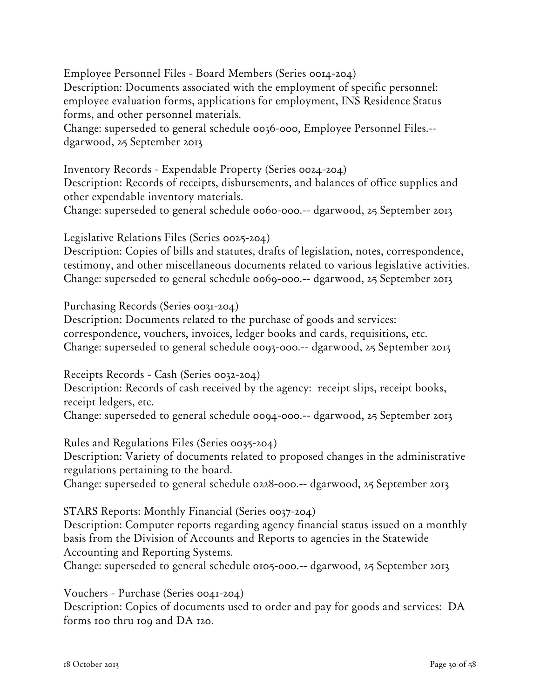Employee Personnel Files - Board Members (Series 0014-204) Description: Documents associated with the employment of specific personnel: employee evaluation forms, applications for employment, INS Residence Status forms, and other personnel materials.

Change: superseded to general schedule 0036-000, Employee Personnel Files.- dgarwood, 25 September 2013

Inventory Records - Expendable Property (Series 0024-204) Description: Records of receipts, disbursements, and balances of office supplies and other expendable inventory materials.

Change: superseded to general schedule 0060-000.-- dgarwood, 25 September 2013

Legislative Relations Files (Series 0025-204)

Description: Copies of bills and statutes, drafts of legislation, notes, correspondence, testimony, and other miscellaneous documents related to various legislative activities. Change: superseded to general schedule 0069-000.-- dgarwood, 25 September 2013

Purchasing Records (Series 0031-204)

Description: Documents related to the purchase of goods and services: correspondence, vouchers, invoices, ledger books and cards, requisitions, etc. Change: superseded to general schedule 0093-000.-- dgarwood, 25 September 2013

Receipts Records - Cash (Series 0032-204)

Description: Records of cash received by the agency: receipt slips, receipt books, receipt ledgers, etc.

Change: superseded to general schedule 0094-000.-- dgarwood, 25 September 2013

Rules and Regulations Files (Series 0035-204) Description: Variety of documents related to proposed changes in the administrative regulations pertaining to the board. Change: superseded to general schedule 0228-000.-- dgarwood, 25 September 2013

STARS Reports: Monthly Financial (Series 0037-204)

Description: Computer reports regarding agency financial status issued on a monthly basis from the Division of Accounts and Reports to agencies in the Statewide Accounting and Reporting Systems.

Change: superseded to general schedule 0105-000.-- dgarwood, 25 September 2013

Vouchers - Purchase (Series 0041-204)

Description: Copies of documents used to order and pay for goods and services: DA forms 100 thru 109 and DA 120.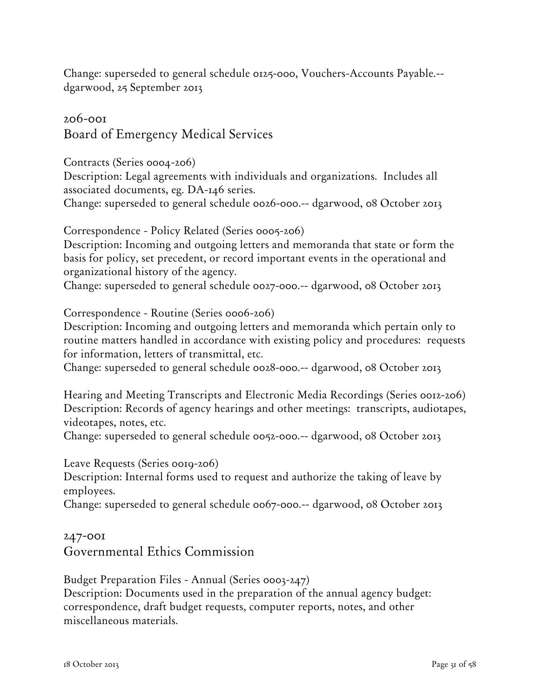Change: superseded to general schedule 0125-000, Vouchers-Accounts Payable.- dgarwood, 25 September 2013

206-001 Board of Emergency Medical Services

Contracts (Series 0004-206)

Description: Legal agreements with individuals and organizations. Includes all associated documents, eg. DA-146 series.

Change: superseded to general schedule 0026-000.-- dgarwood, 08 October 2013

Correspondence - Policy Related (Series 0005-206)

Description: Incoming and outgoing letters and memoranda that state or form the basis for policy, set precedent, or record important events in the operational and organizational history of the agency.

Change: superseded to general schedule 0027-000.-- dgarwood, 08 October 2013

Correspondence - Routine (Series 0006-206)

Description: Incoming and outgoing letters and memoranda which pertain only to routine matters handled in accordance with existing policy and procedures: requests for information, letters of transmittal, etc.

Change: superseded to general schedule 0028-000.-- dgarwood, 08 October 2013

Hearing and Meeting Transcripts and Electronic Media Recordings (Series 0012-206) Description: Records of agency hearings and other meetings: transcripts, audiotapes, videotapes, notes, etc.

Change: superseded to general schedule 0052-000.-- dgarwood, 08 October 2013

Leave Requests (Series 0019-206)

Description: Internal forms used to request and authorize the taking of leave by employees.

Change: superseded to general schedule 0067-000.-- dgarwood, 08 October 2013

#### 247-001 Governmental Ethics Commission

Budget Preparation Files - Annual (Series 0003-247)

Description: Documents used in the preparation of the annual agency budget: correspondence, draft budget requests, computer reports, notes, and other miscellaneous materials.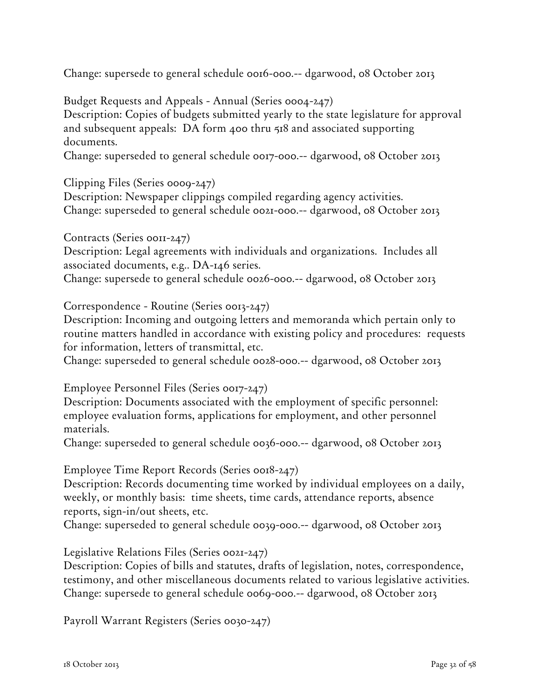Change: supersede to general schedule 0016-000.-- dgarwood, 08 October 2013

Budget Requests and Appeals - Annual (Series 0004-247) Description: Copies of budgets submitted yearly to the state legislature for approval and subsequent appeals: DA form 400 thru 518 and associated supporting documents.

Change: superseded to general schedule 0017-000.-- dgarwood, 08 October 2013

Clipping Files (Series 0009-247)

Description: Newspaper clippings compiled regarding agency activities. Change: superseded to general schedule 0021-000.-- dgarwood, 08 October 2013

Contracts (Series 0011-247)

Description: Legal agreements with individuals and organizations. Includes all associated documents, e.g.. DA-146 series.

Change: supersede to general schedule 0026-000.-- dgarwood, 08 October 2013

Correspondence - Routine (Series 0013-247)

Description: Incoming and outgoing letters and memoranda which pertain only to routine matters handled in accordance with existing policy and procedures: requests for information, letters of transmittal, etc.

Change: superseded to general schedule 0028-000.-- dgarwood, 08 October 2013

Employee Personnel Files (Series 0017-247)

Description: Documents associated with the employment of specific personnel: employee evaluation forms, applications for employment, and other personnel materials.

Change: superseded to general schedule 0036-000.-- dgarwood, 08 October 2013

Employee Time Report Records (Series 0018-247)

Description: Records documenting time worked by individual employees on a daily, weekly, or monthly basis: time sheets, time cards, attendance reports, absence reports, sign-in/out sheets, etc.

Change: superseded to general schedule 0039-000.-- dgarwood, 08 October 2013

Legislative Relations Files (Series 0021-247)

Description: Copies of bills and statutes, drafts of legislation, notes, correspondence, testimony, and other miscellaneous documents related to various legislative activities. Change: supersede to general schedule 0069-000.-- dgarwood, 08 October 2013

Payroll Warrant Registers (Series 0030-247)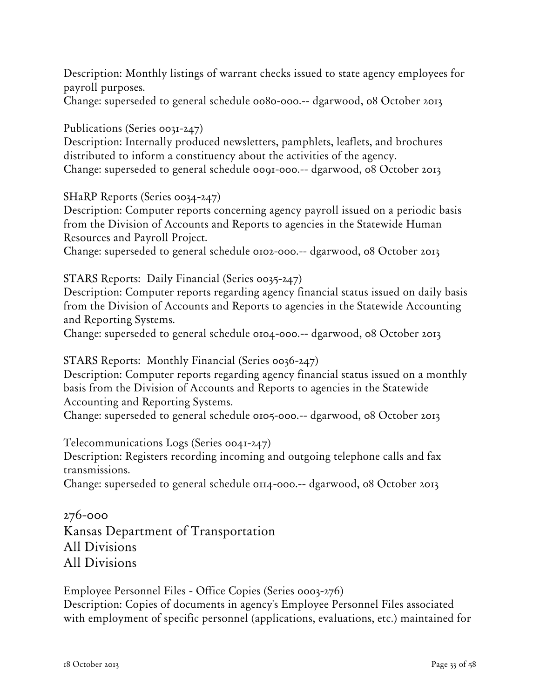Description: Monthly listings of warrant checks issued to state agency employees for payroll purposes.

Change: superseded to general schedule 0080-000.-- dgarwood, 08 October 2013

Publications (Series 0031-247)

Description: Internally produced newsletters, pamphlets, leaflets, and brochures distributed to inform a constituency about the activities of the agency. Change: superseded to general schedule 0091-000.-- dgarwood, 08 October 2013

SHaRP Reports (Series 0034-247)

Description: Computer reports concerning agency payroll issued on a periodic basis from the Division of Accounts and Reports to agencies in the Statewide Human Resources and Payroll Project.

Change: superseded to general schedule 0102-000.-- dgarwood, 08 October 2013

STARS Reports: Daily Financial (Series 0035-247)

Description: Computer reports regarding agency financial status issued on daily basis from the Division of Accounts and Reports to agencies in the Statewide Accounting and Reporting Systems.

Change: superseded to general schedule 0104-000.-- dgarwood, 08 October 2013

STARS Reports: Monthly Financial (Series 0036-247)

Description: Computer reports regarding agency financial status issued on a monthly basis from the Division of Accounts and Reports to agencies in the Statewide Accounting and Reporting Systems.

Change: superseded to general schedule 0105-000.-- dgarwood, 08 October 2013

Telecommunications Logs (Series 0041-247)

Description: Registers recording incoming and outgoing telephone calls and fax transmissions.

Change: superseded to general schedule 0114-000.-- dgarwood, 08 October 2013

276-000 Kansas Department of Transportation All Divisions All Divisions

Employee Personnel Files - Office Copies (Series 0003-276) Description: Copies of documents in agency's Employee Personnel Files associated with employment of specific personnel (applications, evaluations, etc.) maintained for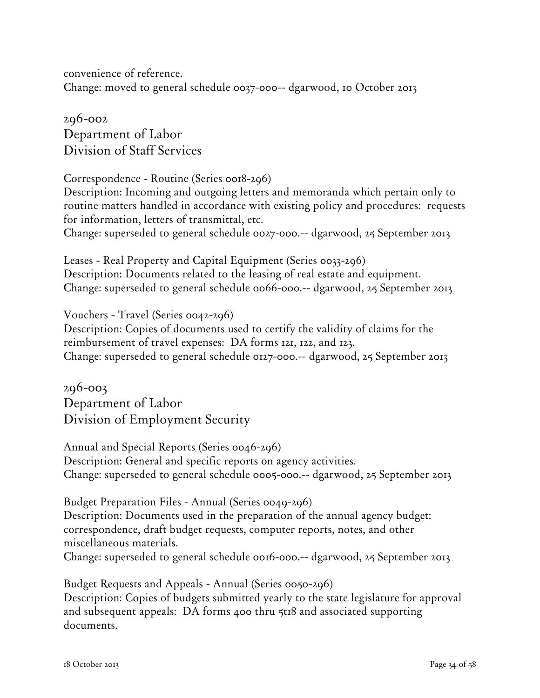convenience of reference. Change: moved to general schedule 0037-000-- dgarwood, 10 October 2013

296-002 Department of Labor Division of Staff Services

Correspondence - Routine (Series 0018-296) Description: Incoming and outgoing letters and memoranda which pertain only to routine matters handled in accordance with existing policy and procedures: requests for information, letters of transmittal, etc. Change: superseded to general schedule 0027-000.-- dgarwood, 25 September 2013

Leases - Real Property and Capital Equipment (Series 0033-296) Description: Documents related to the leasing of real estate and equipment. Change: superseded to general schedule 0066-000.-- dgarwood, 25 September 2013

Vouchers - Travel (Series 0042-296)

Description: Copies of documents used to certify the validity of claims for the reimbursement of travel expenses: DA forms 121, 122, and 123. Change: superseded to general schedule 0127-000.-- dgarwood, 25 September 2013

296-003 Department of Labor Division of Employment Security

Annual and Special Reports (Series 0046-296) Description: General and specific reports on agency activities. Change: superseded to general schedule 0005-000.-- dgarwood, 25 September 2013

Budget Preparation Files - Annual (Series 0049-296) Description: Documents used in the preparation of the annual agency budget: correspondence, draft budget requests, computer reports, notes, and other miscellaneous materials. Change: superseded to general schedule 0016-000.-- dgarwood, 25 September 2013

Budget Requests and Appeals - Annual (Series 0050-296) Description: Copies of budgets submitted yearly to the state legislature for approval and subsequent appeals: DA forms 400 thru 5t18 and associated supporting documents.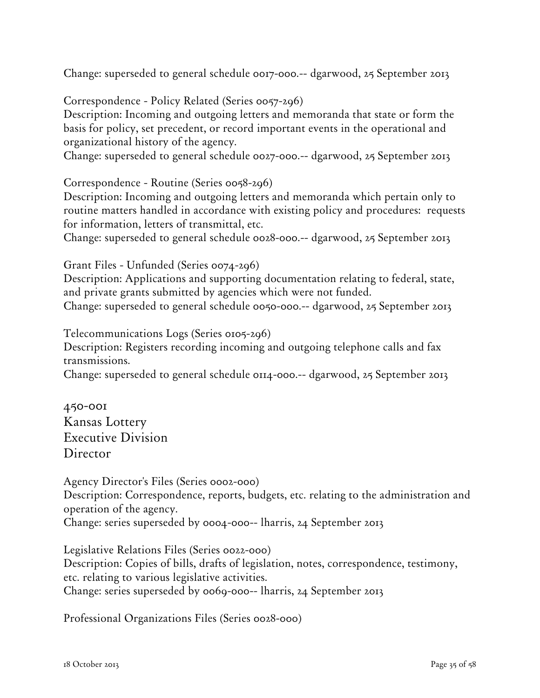Change: superseded to general schedule 0017-000.-- dgarwood, 25 September 2013

Correspondence - Policy Related (Series 0057-296) Description: Incoming and outgoing letters and memoranda that state or form the basis for policy, set precedent, or record important events in the operational and organizational history of the agency.

Change: superseded to general schedule 0027-000.-- dgarwood, 25 September 2013

Correspondence - Routine (Series 0058-296)

Description: Incoming and outgoing letters and memoranda which pertain only to routine matters handled in accordance with existing policy and procedures: requests for information, letters of transmittal, etc.

Change: superseded to general schedule 0028-000.-- dgarwood, 25 September 2013

Grant Files - Unfunded (Series 0074-296)

Description: Applications and supporting documentation relating to federal, state, and private grants submitted by agencies which were not funded. Change: superseded to general schedule 0050-000.-- dgarwood, 25 September 2013

Telecommunications Logs (Series 0105-296)

Description: Registers recording incoming and outgoing telephone calls and fax transmissions.

Change: superseded to general schedule 0114-000.-- dgarwood, 25 September 2013

450-001 Kansas Lottery Executive Division Director

Agency Director's Files (Series 0002-000) Description: Correspondence, reports, budgets, etc. relating to the administration and operation of the agency. Change: series superseded by 0004-000-- lharris, 24 September 2013

Legislative Relations Files (Series 0022-000) Description: Copies of bills, drafts of legislation, notes, correspondence, testimony, etc. relating to various legislative activities. Change: series superseded by 0069-000-- lharris, 24 September 2013

Professional Organizations Files (Series 0028-000)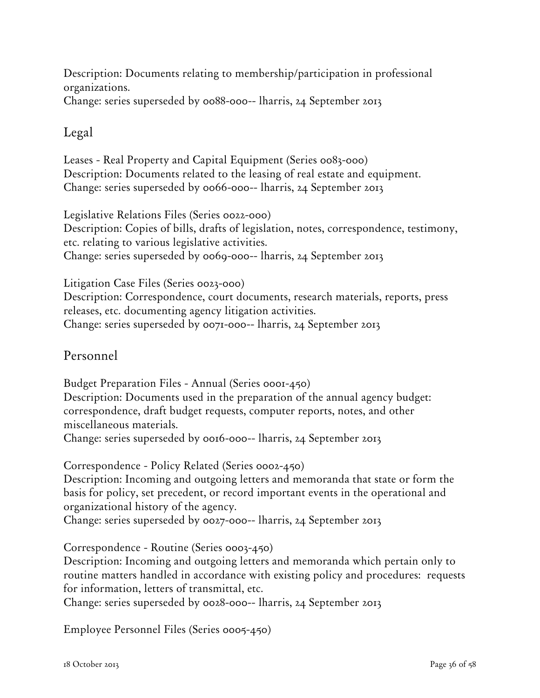Description: Documents relating to membership/participation in professional organizations. Change: series superseded by 0088-000-- lharris, 24 September 2013

### Legal

Leases - Real Property and Capital Equipment (Series 0083-000) Description: Documents related to the leasing of real estate and equipment. Change: series superseded by 0066-000-- lharris, 24 September 2013

Legislative Relations Files (Series 0022-000) Description: Copies of bills, drafts of legislation, notes, correspondence, testimony, etc. relating to various legislative activities. Change: series superseded by 0069-000-- lharris, 24 September 2013

Litigation Case Files (Series 0023-000) Description: Correspondence, court documents, research materials, reports, press releases, etc. documenting agency litigation activities. Change: series superseded by 0071-000-- lharris, 24 September 2013

## Personnel

Budget Preparation Files - Annual (Series 0001-450) Description: Documents used in the preparation of the annual agency budget: correspondence, draft budget requests, computer reports, notes, and other miscellaneous materials. Change: series superseded by 0016-000-- lharris, 24 September 2013

Correspondence - Policy Related (Series 0002-450)

Description: Incoming and outgoing letters and memoranda that state or form the basis for policy, set precedent, or record important events in the operational and organizational history of the agency.

Change: series superseded by 0027-000-- lharris, 24 September 2013

Correspondence - Routine (Series 0003-450)

Description: Incoming and outgoing letters and memoranda which pertain only to routine matters handled in accordance with existing policy and procedures: requests for information, letters of transmittal, etc.

Change: series superseded by 0028-000-- lharris, 24 September 2013

Employee Personnel Files (Series 0005-450)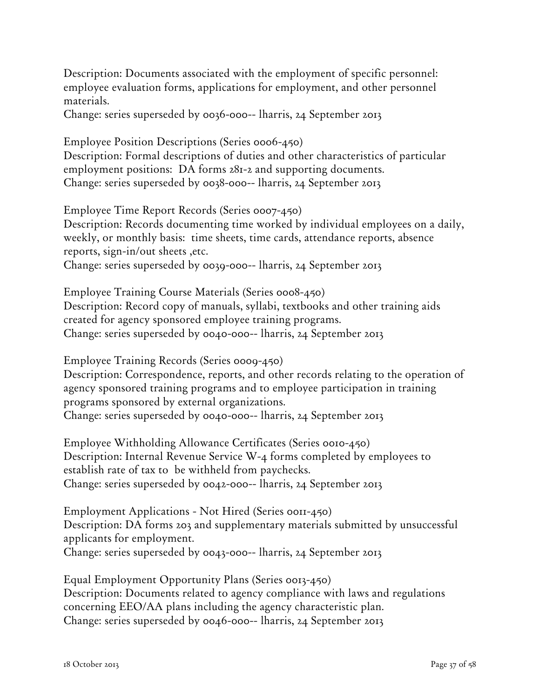Description: Documents associated with the employment of specific personnel: employee evaluation forms, applications for employment, and other personnel materials.

Change: series superseded by 0036-000-- lharris, 24 September 2013

Employee Position Descriptions (Series 0006-450) Description: Formal descriptions of duties and other characteristics of particular employment positions: DA forms 281-2 and supporting documents.

Change: series superseded by 0038-000-- lharris, 24 September 2013

Employee Time Report Records (Series 0007-450) Description: Records documenting time worked by individual employees on a daily, weekly, or monthly basis: time sheets, time cards, attendance reports, absence reports, sign-in/out sheets ,etc. Change: series superseded by 0039-000-- lharris, 24 September 2013

Employee Training Course Materials (Series 0008-450) Description: Record copy of manuals, syllabi, textbooks and other training aids created for agency sponsored employee training programs. Change: series superseded by 0040-000-- lharris, 24 September 2013

Employee Training Records (Series 0009-450)

Description: Correspondence, reports, and other records relating to the operation of agency sponsored training programs and to employee participation in training programs sponsored by external organizations. Change: series superseded by 0040-000-- lharris, 24 September 2013

Employee Withholding Allowance Certificates (Series 0010-450) Description: Internal Revenue Service W-4 forms completed by employees to establish rate of tax to be withheld from paychecks. Change: series superseded by 0042-000-- lharris, 24 September 2013

Employment Applications - Not Hired (Series 0011-450) Description: DA forms 203 and supplementary materials submitted by unsuccessful applicants for employment. Change: series superseded by 0043-000-- lharris, 24 September 2013

Equal Employment Opportunity Plans (Series 0013-450) Description: Documents related to agency compliance with laws and regulations concerning EEO/AA plans including the agency characteristic plan. Change: series superseded by 0046-000-- lharris, 24 September 2013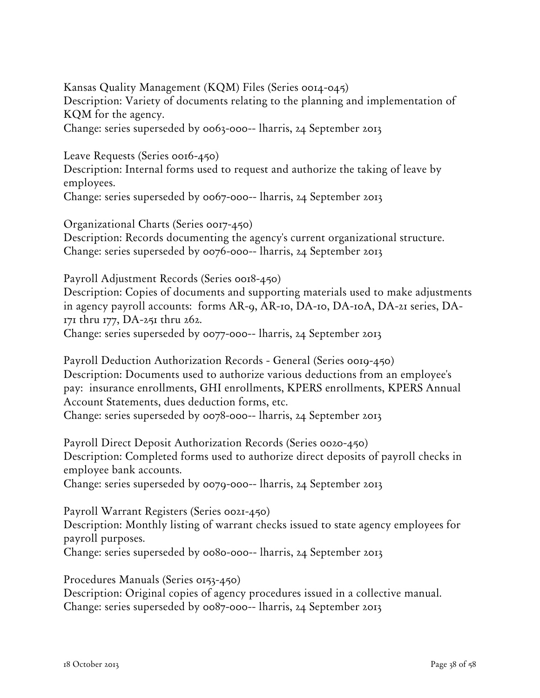Kansas Quality Management (KQM) Files (Series 0014-045) Description: Variety of documents relating to the planning and implementation of KQM for the agency. Change: series superseded by 0063-000-- lharris, 24 September 2013

Leave Requests (Series 0016-450)

Description: Internal forms used to request and authorize the taking of leave by employees.

Change: series superseded by 0067-000-- lharris, 24 September 2013

Organizational Charts (Series 0017-450) Description: Records documenting the agency's current organizational structure. Change: series superseded by 0076-000-- lharris, 24 September 2013

Payroll Adjustment Records (Series 0018-450)

Description: Copies of documents and supporting materials used to make adjustments in agency payroll accounts: forms AR-9, AR-10, DA-10, DA-10A, DA-21 series, DA-171 thru 177, DA-251 thru 262. Change: series superseded by 0077-000-- lharris, 24 September 2013

Payroll Deduction Authorization Records - General (Series 0019-450) Description: Documents used to authorize various deductions from an employee's pay: insurance enrollments, GHI enrollments, KPERS enrollments, KPERS Annual Account Statements, dues deduction forms, etc. Change: series superseded by 0078-000-- lharris, 24 September 2013

Payroll Direct Deposit Authorization Records (Series 0020-450) Description: Completed forms used to authorize direct deposits of payroll checks in employee bank accounts. Change: series superseded by 0079-000-- lharris, 24 September 2013

Payroll Warrant Registers (Series 0021-450) Description: Monthly listing of warrant checks issued to state agency employees for payroll purposes. Change: series superseded by 0080-000-- lharris, 24 September 2013

Procedures Manuals (Series 0153-450) Description: Original copies of agency procedures issued in a collective manual. Change: series superseded by 0087-000-- lharris, 24 September 2013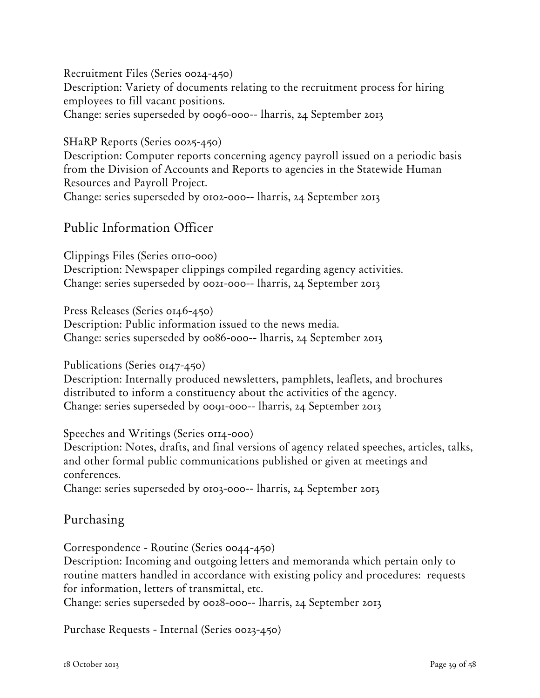Recruitment Files (Series 0024-450)

Description: Variety of documents relating to the recruitment process for hiring employees to fill vacant positions.

Change: series superseded by 0096-000-- lharris, 24 September 2013

#### SHaRP Reports (Series 0025-450)

Description: Computer reports concerning agency payroll issued on a periodic basis from the Division of Accounts and Reports to agencies in the Statewide Human Resources and Payroll Project. Change: series superseded by 0102-000-- lharris, 24 September 2013

## Public Information Officer

Clippings Files (Series 0110-000) Description: Newspaper clippings compiled regarding agency activities. Change: series superseded by 0021-000-- lharris, 24 September 2013

Press Releases (Series 0146-450)

Description: Public information issued to the news media. Change: series superseded by 0086-000-- lharris, 24 September 2013

Publications (Series 0147-450)

Description: Internally produced newsletters, pamphlets, leaflets, and brochures distributed to inform a constituency about the activities of the agency. Change: series superseded by 0091-000-- lharris, 24 September 2013

Speeches and Writings (Series 0114-000)

Description: Notes, drafts, and final versions of agency related speeches, articles, talks, and other formal public communications published or given at meetings and conferences.

Change: series superseded by 0103-000-- lharris, 24 September 2013

Purchasing

Correspondence - Routine (Series 0044-450)

Description: Incoming and outgoing letters and memoranda which pertain only to routine matters handled in accordance with existing policy and procedures: requests for information, letters of transmittal, etc.

Change: series superseded by 0028-000-- lharris, 24 September 2013

Purchase Requests - Internal (Series 0023-450)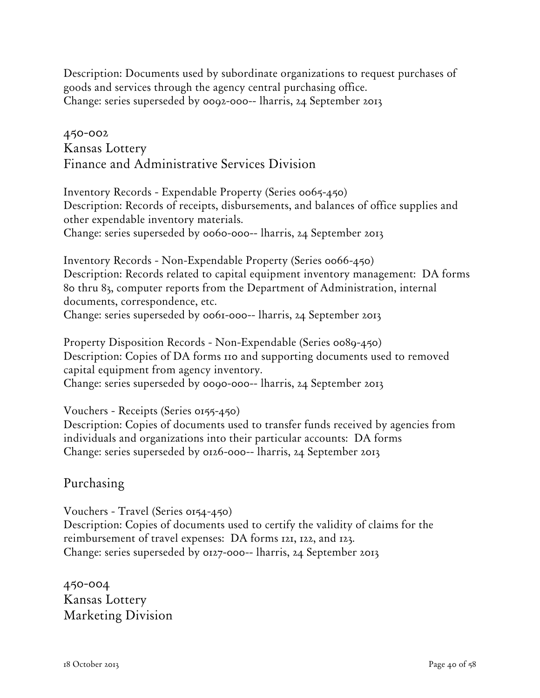Description: Documents used by subordinate organizations to request purchases of goods and services through the agency central purchasing office. Change: series superseded by 0092-000-- lharris, 24 September 2013

## 450-002 Kansas Lottery Finance and Administrative Services Division

Inventory Records - Expendable Property (Series 0065-450) Description: Records of receipts, disbursements, and balances of office supplies and other expendable inventory materials. Change: series superseded by 0060-000-- lharris, 24 September 2013

Inventory Records - Non-Expendable Property (Series 0066-450) Description: Records related to capital equipment inventory management: DA forms 80 thru 83, computer reports from the Department of Administration, internal documents, correspondence, etc. Change: series superseded by 0061-000-- lharris, 24 September 2013

Property Disposition Records - Non-Expendable (Series 0089-450) Description: Copies of DA forms 110 and supporting documents used to removed capital equipment from agency inventory. Change: series superseded by 0090-000-- lharris, 24 September 2013

Vouchers - Receipts (Series 0155-450) Description: Copies of documents used to transfer funds received by agencies from individuals and organizations into their particular accounts: DA forms Change: series superseded by 0126-000-- lharris, 24 September 2013

### Purchasing

Vouchers - Travel (Series 0154-450) Description: Copies of documents used to certify the validity of claims for the reimbursement of travel expenses: DA forms 121, 122, and 123. Change: series superseded by 0127-000-- lharris, 24 September 2013

450-004 Kansas Lottery Marketing Division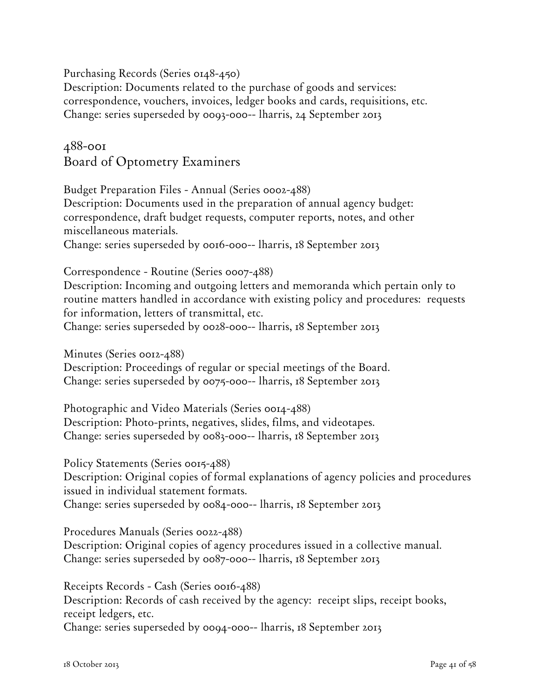Purchasing Records (Series 0148-450)

Description: Documents related to the purchase of goods and services: correspondence, vouchers, invoices, ledger books and cards, requisitions, etc. Change: series superseded by 0093-000-- lharris, 24 September 2013

488-001 Board of Optometry Examiners

Budget Preparation Files - Annual (Series 0002-488) Description: Documents used in the preparation of annual agency budget: correspondence, draft budget requests, computer reports, notes, and other miscellaneous materials. Change: series superseded by 0016-000-- lharris, 18 September 2013

Correspondence - Routine (Series 0007-488)

Description: Incoming and outgoing letters and memoranda which pertain only to routine matters handled in accordance with existing policy and procedures: requests for information, letters of transmittal, etc.

Change: series superseded by 0028-000-- lharris, 18 September 2013

Minutes (Series 0012-488) Description: Proceedings of regular or special meetings of the Board. Change: series superseded by 0075-000-- lharris, 18 September 2013

Photographic and Video Materials (Series 0014-488) Description: Photo-prints, negatives, slides, films, and videotapes. Change: series superseded by 0083-000-- lharris, 18 September 2013

Policy Statements (Series 0015-488) Description: Original copies of formal explanations of agency policies and procedures issued in individual statement formats. Change: series superseded by 0084-000-- lharris, 18 September 2013

Procedures Manuals (Series 0022-488) Description: Original copies of agency procedures issued in a collective manual. Change: series superseded by 0087-000-- lharris, 18 September 2013

Receipts Records - Cash (Series 0016-488) Description: Records of cash received by the agency: receipt slips, receipt books, receipt ledgers, etc. Change: series superseded by 0094-000-- lharris, 18 September 2013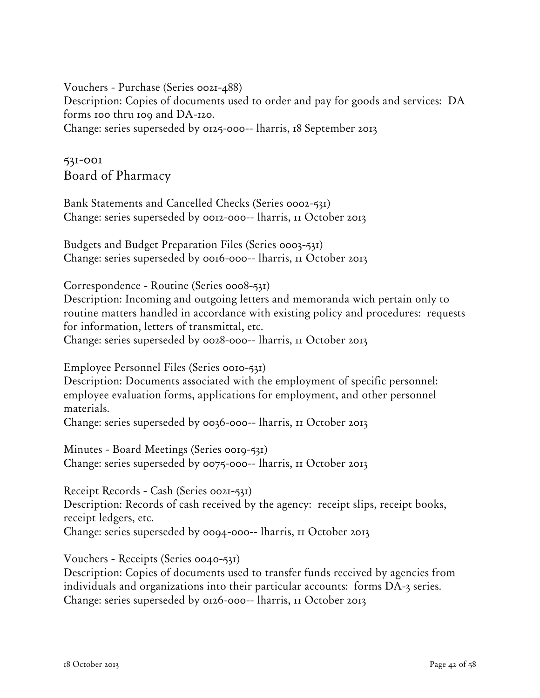Vouchers - Purchase (Series 0021-488) Description: Copies of documents used to order and pay for goods and services: DA forms 100 thru 109 and DA-120. Change: series superseded by 0125-000-- lharris, 18 September 2013

531-001 Board of Pharmacy

Bank Statements and Cancelled Checks (Series 0002-531) Change: series superseded by 0012-000-- lharris, 11 October 2013

Budgets and Budget Preparation Files (Series 0003-531) Change: series superseded by 0016-000-- lharris, 11 October 2013

Correspondence - Routine (Series 0008-531)

Description: Incoming and outgoing letters and memoranda wich pertain only to routine matters handled in accordance with existing policy and procedures: requests for information, letters of transmittal, etc.

Change: series superseded by 0028-000-- lharris, 11 October 2013

Employee Personnel Files (Series 0010-531)

Description: Documents associated with the employment of specific personnel: employee evaluation forms, applications for employment, and other personnel materials.

Change: series superseded by 0036-000-- lharris, 11 October 2013

Minutes - Board Meetings (Series 0019-531) Change: series superseded by 0075-000-- lharris, 11 October 2013

Receipt Records - Cash (Series 0021-531) Description: Records of cash received by the agency: receipt slips, receipt books, receipt ledgers, etc. Change: series superseded by 0094-000-- lharris, 11 October 2013

Vouchers - Receipts (Series 0040-531)

Description: Copies of documents used to transfer funds received by agencies from individuals and organizations into their particular accounts: forms DA-3 series. Change: series superseded by 0126-000-- lharris, 11 October 2013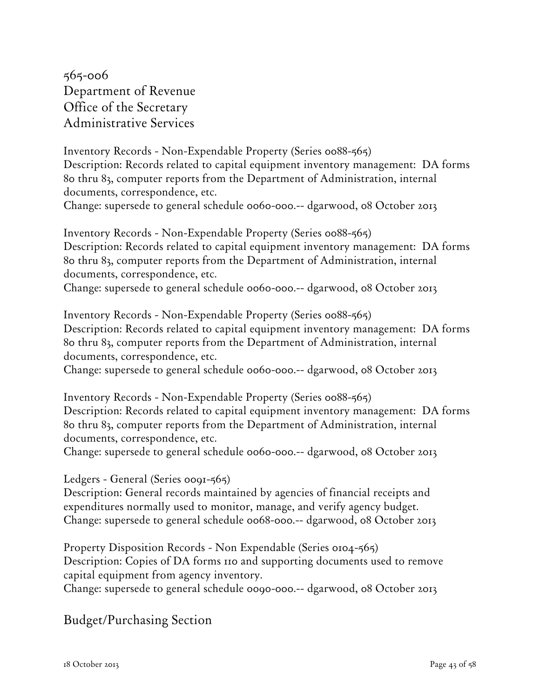565-006 Department of Revenue Office of the Secretary Administrative Services

Inventory Records - Non-Expendable Property (Series 0088-565) Description: Records related to capital equipment inventory management: DA forms 80 thru 83, computer reports from the Department of Administration, internal documents, correspondence, etc.

Change: supersede to general schedule 0060-000.-- dgarwood, 08 October 2013

Inventory Records - Non-Expendable Property (Series 0088-565) Description: Records related to capital equipment inventory management: DA forms 80 thru 83, computer reports from the Department of Administration, internal documents, correspondence, etc.

Change: supersede to general schedule 0060-000.-- dgarwood, 08 October 2013

Inventory Records - Non-Expendable Property (Series 0088-565) Description: Records related to capital equipment inventory management: DA forms 80 thru 83, computer reports from the Department of Administration, internal documents, correspondence, etc.

Change: supersede to general schedule 0060-000.-- dgarwood, 08 October 2013

Inventory Records - Non-Expendable Property (Series 0088-565) Description: Records related to capital equipment inventory management: DA forms 80 thru 83, computer reports from the Department of Administration, internal documents, correspondence, etc.

Change: supersede to general schedule 0060-000.-- dgarwood, 08 October 2013

Ledgers - General (Series 0091-565)

Description: General records maintained by agencies of financial receipts and expenditures normally used to monitor, manage, and verify agency budget. Change: supersede to general schedule 0068-000.-- dgarwood, 08 October 2013

Property Disposition Records - Non Expendable (Series 0104-565) Description: Copies of DA forms 110 and supporting documents used to remove capital equipment from agency inventory.

Change: supersede to general schedule 0090-000.-- dgarwood, 08 October 2013

### Budget/Purchasing Section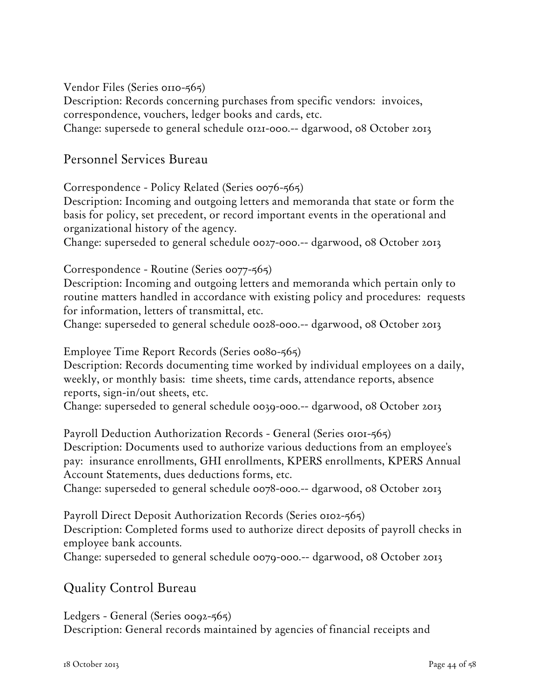Vendor Files (Series 0110-565)

Description: Records concerning purchases from specific vendors: invoices, correspondence, vouchers, ledger books and cards, etc.

Change: supersede to general schedule 0121-000.-- dgarwood, 08 October 2013

## Personnel Services Bureau

Correspondence - Policy Related (Series 0076-565)

Description: Incoming and outgoing letters and memoranda that state or form the basis for policy, set precedent, or record important events in the operational and organizational history of the agency.

Change: superseded to general schedule 0027-000.-- dgarwood, 08 October 2013

### Correspondence - Routine (Series 0077-565)

Description: Incoming and outgoing letters and memoranda which pertain only to routine matters handled in accordance with existing policy and procedures: requests for information, letters of transmittal, etc.

Change: superseded to general schedule 0028-000.-- dgarwood, 08 October 2013

Employee Time Report Records (Series 0080-565)

Description: Records documenting time worked by individual employees on a daily, weekly, or monthly basis: time sheets, time cards, attendance reports, absence reports, sign-in/out sheets, etc.

Change: superseded to general schedule 0039-000.-- dgarwood, 08 October 2013

Payroll Deduction Authorization Records - General (Series 0101-565) Description: Documents used to authorize various deductions from an employee's pay: insurance enrollments, GHI enrollments, KPERS enrollments, KPERS Annual Account Statements, dues deductions forms, etc.

Change: superseded to general schedule 0078-000.-- dgarwood, 08 October 2013

Payroll Direct Deposit Authorization Records (Series 0102-565) Description: Completed forms used to authorize direct deposits of payroll checks in employee bank accounts.

Change: superseded to general schedule 0079-000.-- dgarwood, 08 October 2013

# Quality Control Bureau

Ledgers - General (Series 0092-565) Description: General records maintained by agencies of financial receipts and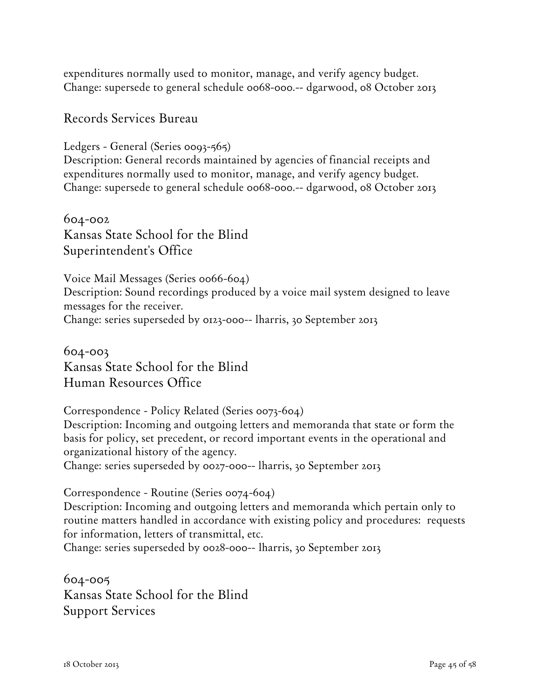expenditures normally used to monitor, manage, and verify agency budget. Change: supersede to general schedule 0068-000.-- dgarwood, 08 October 2013

### Records Services Bureau

Ledgers - General (Series 0093-565) Description: General records maintained by agencies of financial receipts and expenditures normally used to monitor, manage, and verify agency budget. Change: supersede to general schedule 0068-000.-- dgarwood, 08 October 2013

604-002 Kansas State School for the Blind Superintendent's Office

Voice Mail Messages (Series 0066-604) Description: Sound recordings produced by a voice mail system designed to leave messages for the receiver. Change: series superseded by 0123-000-- lharris, 30 September 2013

604-003 Kansas State School for the Blind Human Resources Office

Correspondence - Policy Related (Series 0073-604) Description: Incoming and outgoing letters and memoranda that state or form the basis for policy, set precedent, or record important events in the operational and organizational history of the agency. Change: series superseded by 0027-000-- lharris, 30 September 2013

Correspondence - Routine (Series 0074-604)

Description: Incoming and outgoing letters and memoranda which pertain only to routine matters handled in accordance with existing policy and procedures: requests for information, letters of transmittal, etc.

Change: series superseded by 0028-000-- lharris, 30 September 2013

604-005 Kansas State School for the Blind Support Services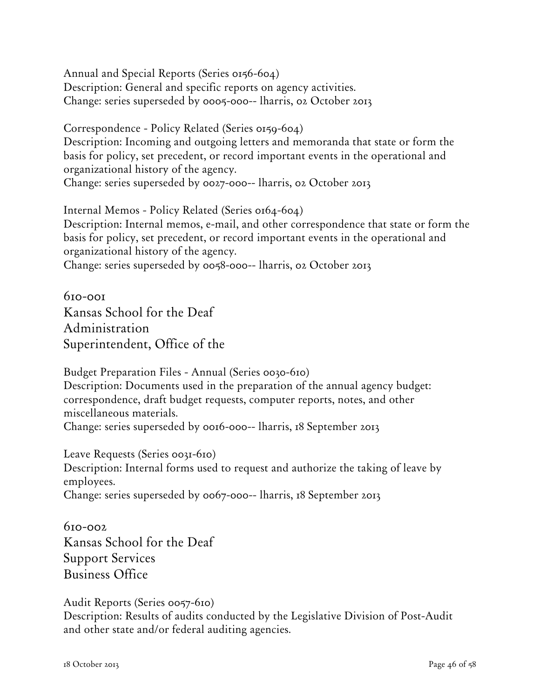Annual and Special Reports (Series 0156-604) Description: General and specific reports on agency activities. Change: series superseded by 0005-000-- lharris, 02 October 2013

Correspondence - Policy Related (Series 0159-604) Description: Incoming and outgoing letters and memoranda that state or form the basis for policy, set precedent, or record important events in the operational and organizational history of the agency. Change: series superseded by 0027-000-- lharris, 02 October 2013

Internal Memos - Policy Related (Series 0164-604) Description: Internal memos, e-mail, and other correspondence that state or form the basis for policy, set precedent, or record important events in the operational and organizational history of the agency. Change: series superseded by 0058-000-- lharris, 02 October 2013

610-001 Kansas School for the Deaf Administration Superintendent, Office of the

Budget Preparation Files - Annual (Series 0030-610) Description: Documents used in the preparation of the annual agency budget: correspondence, draft budget requests, computer reports, notes, and other miscellaneous materials. Change: series superseded by 0016-000-- lharris, 18 September 2013

Leave Requests (Series 0031-610) Description: Internal forms used to request and authorize the taking of leave by employees. Change: series superseded by 0067-000-- lharris, 18 September 2013

 $610 - 002$ Kansas School for the Deaf Support Services Business Office

Audit Reports (Series 0057-610)

Description: Results of audits conducted by the Legislative Division of Post-Audit and other state and/or federal auditing agencies.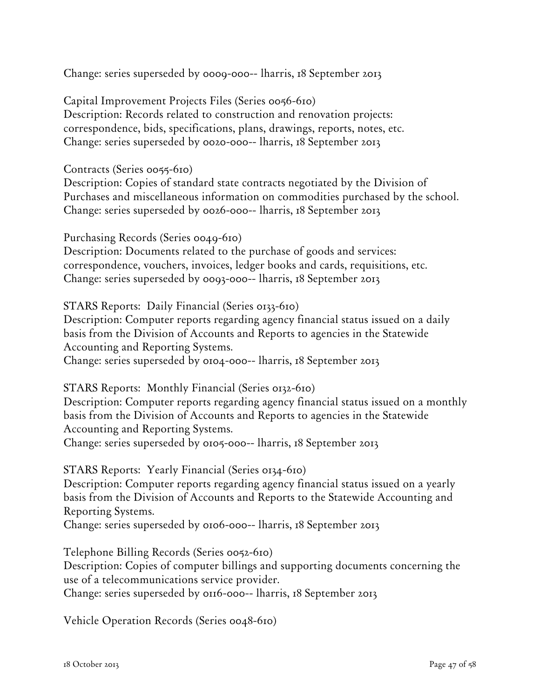Change: series superseded by 0009-000-- lharris, 18 September 2013

Capital Improvement Projects Files (Series 0056-610) Description: Records related to construction and renovation projects: correspondence, bids, specifications, plans, drawings, reports, notes, etc. Change: series superseded by 0020-000-- lharris, 18 September 2013

Contracts (Series 0055-610)

Description: Copies of standard state contracts negotiated by the Division of Purchases and miscellaneous information on commodities purchased by the school. Change: series superseded by 0026-000-- lharris, 18 September 2013

Purchasing Records (Series 0049-610)

Description: Documents related to the purchase of goods and services: correspondence, vouchers, invoices, ledger books and cards, requisitions, etc. Change: series superseded by 0093-000-- lharris, 18 September 2013

STARS Reports: Daily Financial (Series 0133-610) Description: Computer reports regarding agency financial status issued on a daily basis from the Division of Accounts and Reports to agencies in the Statewide Accounting and Reporting Systems. Change: series superseded by 0104-000-- lharris, 18 September 2013

STARS Reports: Monthly Financial (Series 0132-610)

Description: Computer reports regarding agency financial status issued on a monthly basis from the Division of Accounts and Reports to agencies in the Statewide Accounting and Reporting Systems. Change: series superseded by 0105-000-- lharris, 18 September 2013

STARS Reports: Yearly Financial (Series 0134-610) Description: Computer reports regarding agency financial status issued on a yearly basis from the Division of Accounts and Reports to the Statewide Accounting and Reporting Systems.

Change: series superseded by 0106-000-- lharris, 18 September 2013

Telephone Billing Records (Series 0052-610)

Description: Copies of computer billings and supporting documents concerning the use of a telecommunications service provider.

Change: series superseded by 0116-000-- lharris, 18 September 2013

Vehicle Operation Records (Series 0048-610)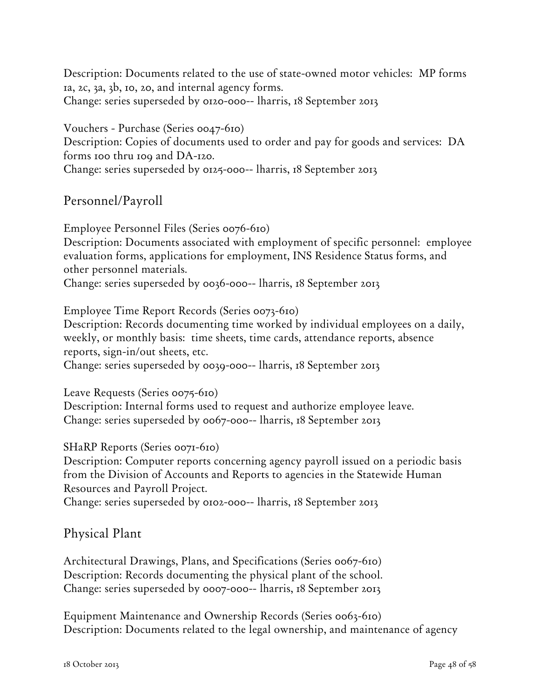Description: Documents related to the use of state-owned motor vehicles: MP forms 1a, 2c, 3a, 3b, 10, 20, and internal agency forms. Change: series superseded by 0120-000-- lharris, 18 September 2013

Vouchers - Purchase (Series 0047-610) Description: Copies of documents used to order and pay for goods and services: DA forms 100 thru 109 and DA-120. Change: series superseded by 0125-000-- lharris, 18 September 2013

## Personnel/Payroll

Employee Personnel Files (Series 0076-610)

Description: Documents associated with employment of specific personnel: employee evaluation forms, applications for employment, INS Residence Status forms, and other personnel materials.

Change: series superseded by 0036-000-- lharris, 18 September 2013

Employee Time Report Records (Series 0073-610)

Description: Records documenting time worked by individual employees on a daily, weekly, or monthly basis: time sheets, time cards, attendance reports, absence reports, sign-in/out sheets, etc.

Change: series superseded by 0039-000-- lharris, 18 September 2013

Leave Requests (Series 0075-610)

Description: Internal forms used to request and authorize employee leave. Change: series superseded by 0067-000-- lharris, 18 September 2013

SHaRP Reports (Series 0071-610)

Description: Computer reports concerning agency payroll issued on a periodic basis from the Division of Accounts and Reports to agencies in the Statewide Human Resources and Payroll Project.

Change: series superseded by 0102-000-- lharris, 18 September 2013

### Physical Plant

Architectural Drawings, Plans, and Specifications (Series 0067-610) Description: Records documenting the physical plant of the school. Change: series superseded by 0007-000-- lharris, 18 September 2013

Equipment Maintenance and Ownership Records (Series 0063-610) Description: Documents related to the legal ownership, and maintenance of agency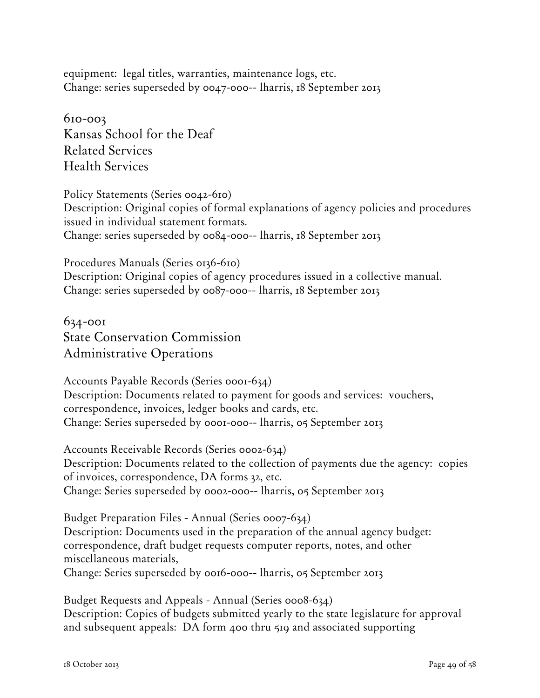equipment: legal titles, warranties, maintenance logs, etc. Change: series superseded by 0047-000-- lharris, 18 September 2013

610-003 Kansas School for the Deaf Related Services Health Services

Policy Statements (Series 0042-610) Description: Original copies of formal explanations of agency policies and procedures issued in individual statement formats. Change: series superseded by 0084-000-- lharris, 18 September 2013

Procedures Manuals (Series 0136-610) Description: Original copies of agency procedures issued in a collective manual. Change: series superseded by 0087-000-- lharris, 18 September 2013

634-001 State Conservation Commission Administrative Operations

Accounts Payable Records (Series 0001-634) Description: Documents related to payment for goods and services: vouchers, correspondence, invoices, ledger books and cards, etc. Change: Series superseded by 0001-000-- lharris, 05 September 2013

Accounts Receivable Records (Series 0002-634) Description: Documents related to the collection of payments due the agency: copies of invoices, correspondence, DA forms 32, etc. Change: Series superseded by 0002-000-- lharris, 05 September 2013

Budget Preparation Files - Annual (Series 0007-634) Description: Documents used in the preparation of the annual agency budget: correspondence, draft budget requests computer reports, notes, and other miscellaneous materials, Change: Series superseded by 0016-000-- lharris, 05 September 2013

Budget Requests and Appeals - Annual (Series 0008-634) Description: Copies of budgets submitted yearly to the state legislature for approval and subsequent appeals: DA form 400 thru 519 and associated supporting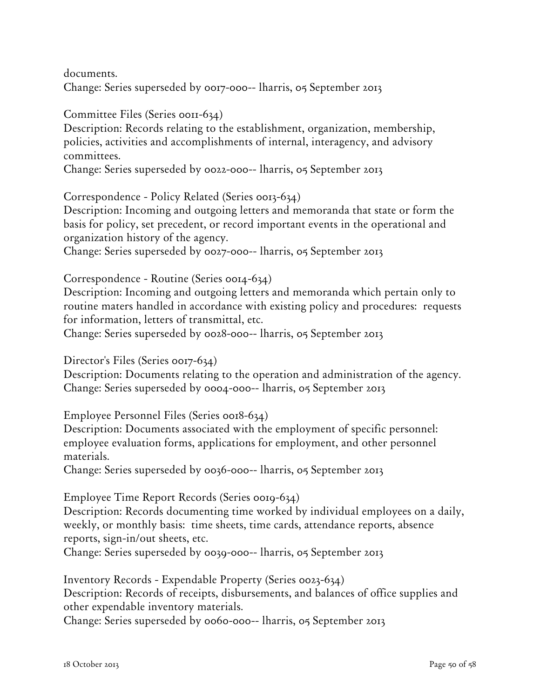documents. Change: Series superseded by 0017-000-- lharris, 05 September 2013

Committee Files (Series 0011-634)

Description: Records relating to the establishment, organization, membership, policies, activities and accomplishments of internal, interagency, and advisory committees.

Change: Series superseded by 0022-000-- lharris, 05 September 2013

Correspondence - Policy Related (Series 0013-634)

Description: Incoming and outgoing letters and memoranda that state or form the basis for policy, set precedent, or record important events in the operational and organization history of the agency.

Change: Series superseded by 0027-000-- lharris, 05 September 2013

Correspondence - Routine (Series 0014-634)

Description: Incoming and outgoing letters and memoranda which pertain only to routine maters handled in accordance with existing policy and procedures: requests for information, letters of transmittal, etc.

Change: Series superseded by 0028-000-- lharris, 05 September 2013

Director's Files (Series 0017-634)

Description: Documents relating to the operation and administration of the agency. Change: Series superseded by 0004-000-- lharris, 05 September 2013

Employee Personnel Files (Series 0018-634)

Description: Documents associated with the employment of specific personnel: employee evaluation forms, applications for employment, and other personnel materials.

Change: Series superseded by 0036-000-- lharris, 05 September 2013

Employee Time Report Records (Series 0019-634)

Description: Records documenting time worked by individual employees on a daily, weekly, or monthly basis: time sheets, time cards, attendance reports, absence reports, sign-in/out sheets, etc.

Change: Series superseded by 0039-000-- lharris, 05 September 2013

Inventory Records - Expendable Property (Series 0023-634) Description: Records of receipts, disbursements, and balances of office supplies and other expendable inventory materials.

Change: Series superseded by 0060-000-- lharris, 05 September 2013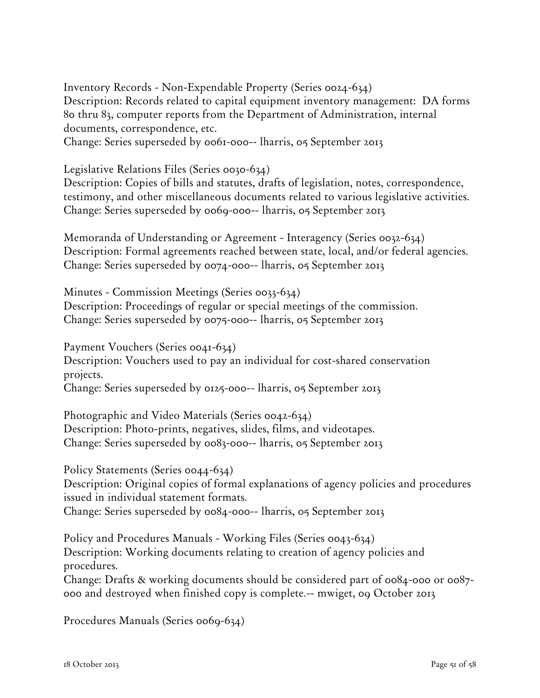Inventory Records - Non-Expendable Property (Series 0024-634) Description: Records related to capital equipment inventory management: DA forms 80 thru 83, computer reports from the Department of Administration, internal documents, correspondence, etc.

Change: Series superseded by 0061-000-- lharris, 05 September 2013

Legislative Relations Files (Series 0030-634)

Description: Copies of bills and statutes, drafts of legislation, notes, correspondence, testimony, and other miscellaneous documents related to various legislative activities. Change: Series superseded by 0069-000-- lharris, 05 September 2013

Memoranda of Understanding or Agreement - Interagency (Series 0032-634) Description: Formal agreements reached between state, local, and/or federal agencies. Change: Series superseded by 0074-000-- lharris, 05 September 2013

Minutes - Commission Meetings (Series 0033-634) Description: Proceedings of regular or special meetings of the commission. Change: Series superseded by 0075-000-- lharris, 05 September 2013

Payment Vouchers (Series 0041-634)

Description: Vouchers used to pay an individual for cost-shared conservation projects.

Change: Series superseded by 0125-000-- lharris, 05 September 2013

Photographic and Video Materials (Series 0042-634) Description: Photo-prints, negatives, slides, films, and videotapes. Change: Series superseded by 0083-000-- lharris, 05 September 2013

Policy Statements (Series 0044-634) Description: Original copies of formal explanations of agency policies and procedures issued in individual statement formats. Change: Series superseded by 0084-000-- lharris, 05 September 2013

Policy and Procedures Manuals - Working Files (Series 0043-634) Description: Working documents relating to creation of agency policies and procedures.

Change: Drafts & working documents should be considered part of 0084-000 or 0087- 000 and destroyed when finished copy is complete.-- mwiget, 09 October 2013

Procedures Manuals (Series 0069-634)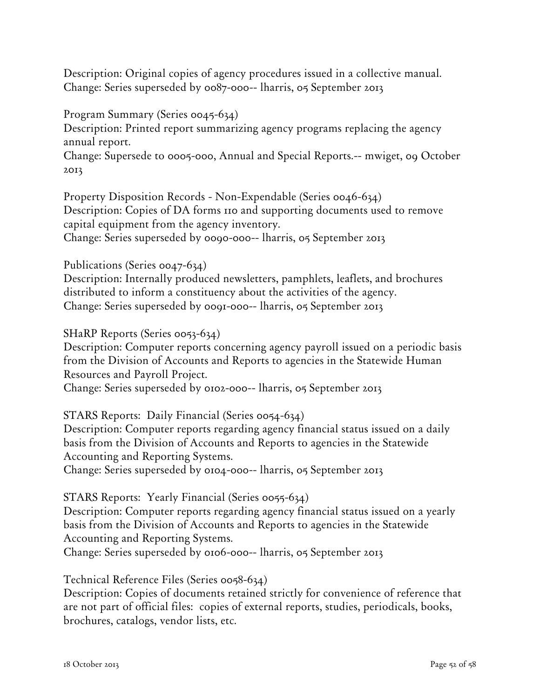Description: Original copies of agency procedures issued in a collective manual. Change: Series superseded by 0087-000-- lharris, 05 September 2013

#### Program Summary (Series 0045-634)

Description: Printed report summarizing agency programs replacing the agency annual report.

Change: Supersede to 0005-000, Annual and Special Reports.-- mwiget, 09 October 2013

Property Disposition Records - Non-Expendable (Series 0046-634) Description: Copies of DA forms 110 and supporting documents used to remove capital equipment from the agency inventory. Change: Series superseded by 0090-000-- lharris, 05 September 2013

#### Publications (Series 0047-634)

Description: Internally produced newsletters, pamphlets, leaflets, and brochures distributed to inform a constituency about the activities of the agency. Change: Series superseded by 0091-000-- lharris, 05 September 2013

#### SHaRP Reports (Series 0053-634)

Description: Computer reports concerning agency payroll issued on a periodic basis from the Division of Accounts and Reports to agencies in the Statewide Human Resources and Payroll Project.

Change: Series superseded by 0102-000-- lharris, 05 September 2013

#### STARS Reports: Daily Financial (Series 0054-634)

Description: Computer reports regarding agency financial status issued on a daily basis from the Division of Accounts and Reports to agencies in the Statewide Accounting and Reporting Systems.

Change: Series superseded by 0104-000-- lharris, 05 September 2013

#### STARS Reports: Yearly Financial (Series 0055-634)

Description: Computer reports regarding agency financial status issued on a yearly basis from the Division of Accounts and Reports to agencies in the Statewide Accounting and Reporting Systems.

Change: Series superseded by 0106-000-- lharris, 05 September 2013

#### Technical Reference Files (Series 0058-634)

Description: Copies of documents retained strictly for convenience of reference that are not part of official files: copies of external reports, studies, periodicals, books, brochures, catalogs, vendor lists, etc.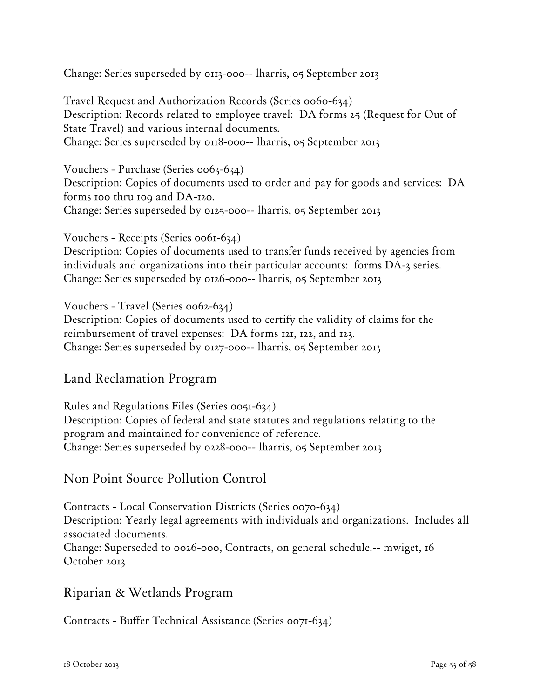Change: Series superseded by 0113-000-- lharris, 05 September 2013

Travel Request and Authorization Records (Series 0060-634) Description: Records related to employee travel: DA forms 25 (Request for Out of State Travel) and various internal documents. Change: Series superseded by 0118-000-- lharris, 05 September 2013

Vouchers - Purchase (Series 0063-634) Description: Copies of documents used to order and pay for goods and services: DA forms 100 thru 109 and DA-120. Change: Series superseded by 0125-000-- lharris, 05 September 2013

Vouchers - Receipts (Series 0061-634) Description: Copies of documents used to transfer funds received by agencies from individuals and organizations into their particular accounts: forms DA-3 series. Change: Series superseded by 0126-000-- lharris, 05 September 2013

Vouchers - Travel (Series 0062-634) Description: Copies of documents used to certify the validity of claims for the reimbursement of travel expenses: DA forms 121, 122, and 123. Change: Series superseded by 0127-000-- lharris, 05 September 2013

### Land Reclamation Program

Rules and Regulations Files (Series 0051-634) Description: Copies of federal and state statutes and regulations relating to the program and maintained for convenience of reference. Change: Series superseded by 0228-000-- lharris, 05 September 2013

### Non Point Source Pollution Control

Contracts - Local Conservation Districts (Series 0070-634) Description: Yearly legal agreements with individuals and organizations. Includes all associated documents. Change: Superseded to 0026-000, Contracts, on general schedule.-- mwiget, 16 October 2013

### Riparian & Wetlands Program

Contracts - Buffer Technical Assistance (Series 0071-634)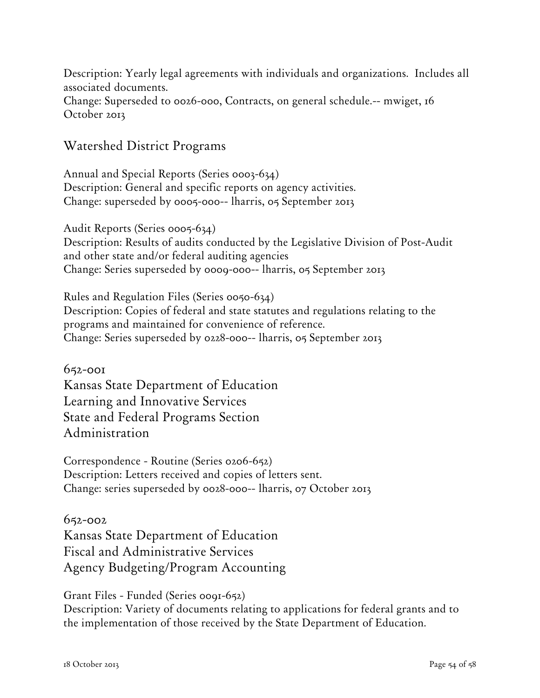Description: Yearly legal agreements with individuals and organizations. Includes all associated documents. Change: Superseded to 0026-000, Contracts, on general schedule.-- mwiget, 16 October 2013

### Watershed District Programs

Annual and Special Reports (Series 0003-634) Description: General and specific reports on agency activities. Change: superseded by 0005-000-- lharris, 05 September 2013

Audit Reports (Series 0005-634) Description: Results of audits conducted by the Legislative Division of Post-Audit and other state and/or federal auditing agencies Change: Series superseded by 0009-000-- lharris, 05 September 2013

Rules and Regulation Files (Series 0050-634) Description: Copies of federal and state statutes and regulations relating to the programs and maintained for convenience of reference. Change: Series superseded by 0228-000-- lharris, 05 September 2013

652-001 Kansas State Department of Education Learning and Innovative Services State and Federal Programs Section Administration

Correspondence - Routine (Series 0206-652) Description: Letters received and copies of letters sent. Change: series superseded by 0028-000-- lharris, 07 October 2013

652-002 Kansas State Department of Education Fiscal and Administrative Services Agency Budgeting/Program Accounting

Grant Files - Funded (Series 0091-652) Description: Variety of documents relating to applications for federal grants and to the implementation of those received by the State Department of Education.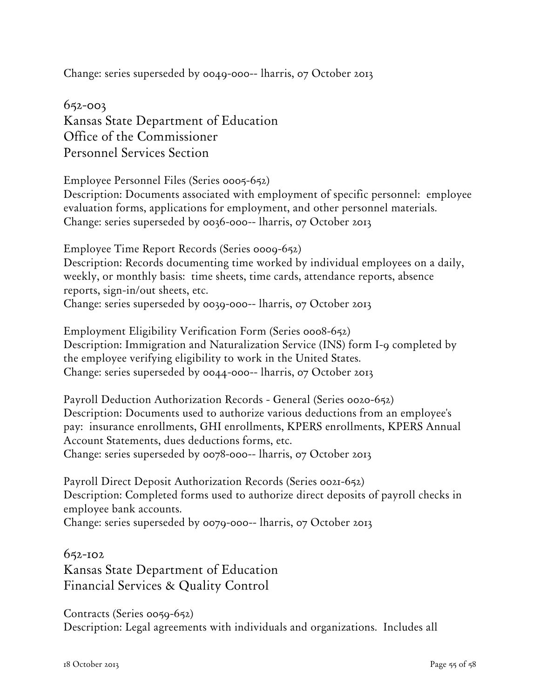Change: series superseded by 0049-000-- lharris, 07 October 2013

652-003 Kansas State Department of Education Office of the Commissioner Personnel Services Section

Employee Personnel Files (Series 0005-652) Description: Documents associated with employment of specific personnel: employee evaluation forms, applications for employment, and other personnel materials. Change: series superseded by 0036-000-- lharris, 07 October 2013

Employee Time Report Records (Series 0009-652) Description: Records documenting time worked by individual employees on a daily, weekly, or monthly basis: time sheets, time cards, attendance reports, absence reports, sign-in/out sheets, etc. Change: series superseded by 0039-000-- lharris, 07 October 2013

Employment Eligibility Verification Form (Series 0008-652) Description: Immigration and Naturalization Service (INS) form I-9 completed by the employee verifying eligibility to work in the United States. Change: series superseded by 0044-000-- lharris, 07 October 2013

Payroll Deduction Authorization Records - General (Series 0020-652) Description: Documents used to authorize various deductions from an employee's pay: insurance enrollments, GHI enrollments, KPERS enrollments, KPERS Annual Account Statements, dues deductions forms, etc. Change: series superseded by 0078-000-- lharris, 07 October 2013

Payroll Direct Deposit Authorization Records (Series 0021-652) Description: Completed forms used to authorize direct deposits of payroll checks in employee bank accounts. Change: series superseded by 0079-000-- lharris, 07 October 2013

#### 652-102

Kansas State Department of Education Financial Services & Quality Control

Contracts (Series 0059-652) Description: Legal agreements with individuals and organizations. Includes all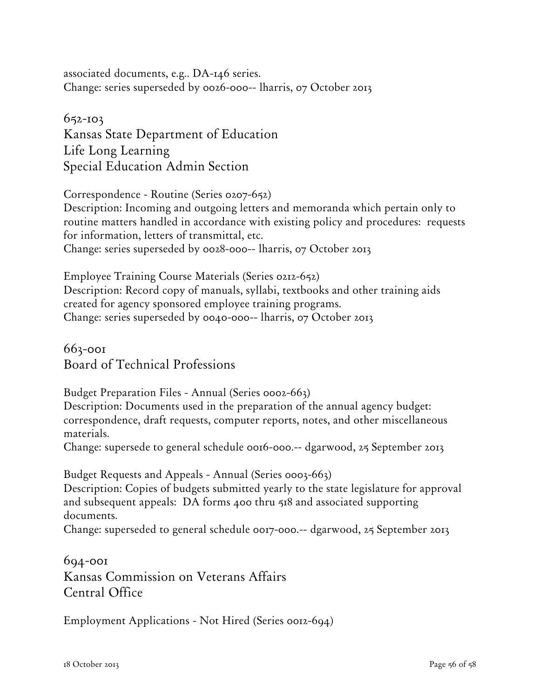associated documents, e.g.. DA-146 series. Change: series superseded by 0026-000-- lharris, 07 October 2013

# 652-103 Kansas State Department of Education Life Long Learning Special Education Admin Section

Correspondence - Routine (Series 0207-652) Description: Incoming and outgoing letters and memoranda which pertain only to routine matters handled in accordance with existing policy and procedures: requests for information, letters of transmittal, etc. Change: series superseded by 0028-000-- lharris, 07 October 2013

Employee Training Course Materials (Series 0212-652) Description: Record copy of manuals, syllabi, textbooks and other training aids created for agency sponsored employee training programs. Change: series superseded by 0040-000-- lharris, 07 October 2013

663-001 Board of Technical Professions

Budget Preparation Files - Annual (Series 0002-663)

Description: Documents used in the preparation of the annual agency budget: correspondence, draft requests, computer reports, notes, and other miscellaneous materials.

Change: supersede to general schedule 0016-000.-- dgarwood, 25 September 2013

Budget Requests and Appeals - Annual (Series 0003-663) Description: Copies of budgets submitted yearly to the state legislature for approval and subsequent appeals: DA forms 400 thru 518 and associated supporting documents.

Change: superseded to general schedule 0017-000.-- dgarwood, 25 September 2013

694-001 Kansas Commission on Veterans Affairs Central Office

Employment Applications - Not Hired (Series 0012-694)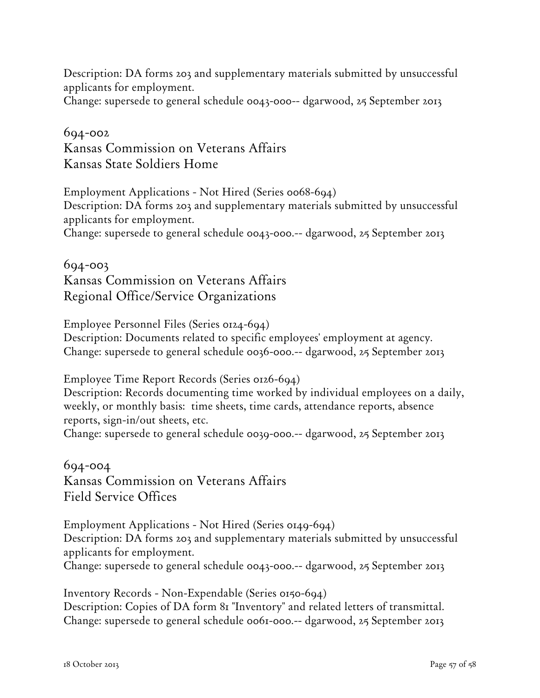Description: DA forms 203 and supplementary materials submitted by unsuccessful applicants for employment.

Change: supersede to general schedule 0043-000-- dgarwood, 25 September 2013

# 694-002 Kansas Commission on Veterans Affairs Kansas State Soldiers Home

Employment Applications - Not Hired (Series 0068-694) Description: DA forms 203 and supplementary materials submitted by unsuccessful applicants for employment. Change: supersede to general schedule 0043-000.-- dgarwood, 25 September 2013

694-003 Kansas Commission on Veterans Affairs Regional Office/Service Organizations

Employee Personnel Files (Series 0124-694) Description: Documents related to specific employees' employment at agency. Change: supersede to general schedule 0036-000.-- dgarwood, 25 September 2013

Employee Time Report Records (Series 0126-694)

Description: Records documenting time worked by individual employees on a daily, weekly, or monthly basis: time sheets, time cards, attendance reports, absence reports, sign-in/out sheets, etc.

Change: supersede to general schedule 0039-000.-- dgarwood, 25 September 2013

# 694-004 Kansas Commission on Veterans Affairs Field Service Offices

Employment Applications - Not Hired (Series 0149-694) Description: DA forms 203 and supplementary materials submitted by unsuccessful applicants for employment. Change: supersede to general schedule 0043-000.-- dgarwood, 25 September 2013

Inventory Records - Non-Expendable (Series 0150-694) Description: Copies of DA form 81 "Inventory" and related letters of transmittal. Change: supersede to general schedule 0061-000.-- dgarwood, 25 September 2013